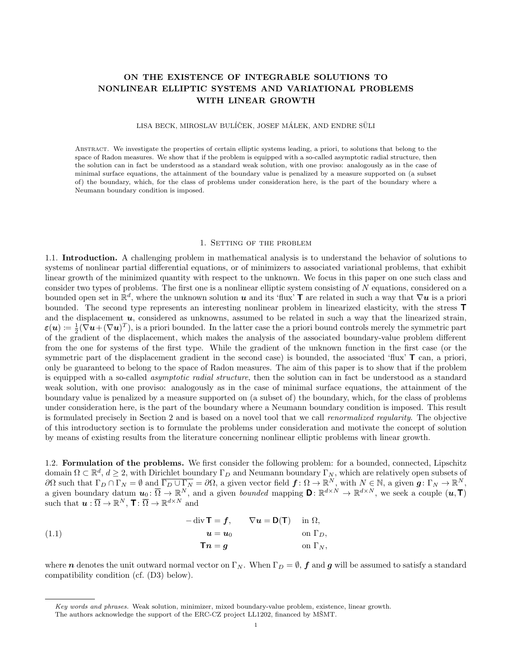# ON THE EXISTENCE OF INTEGRABLE SOLUTIONS TO NONLINEAR ELLIPTIC SYSTEMS AND VARIATIONAL PROBLEMS WITH LINEAR GROWTH

LISA BECK, MIROSLAV BULÍČEK, JOSEF MÁLEK, AND ENDRE SÜLI

Abstract. We investigate the properties of certain elliptic systems leading, a priori, to solutions that belong to the space of Radon measures. We show that if the problem is equipped with a so-called asymptotic radial structure, then the solution can in fact be understood as a standard weak solution, with one proviso: analogously as in the case of minimal surface equations, the attainment of the boundary value is penalized by a measure supported on (a subset of) the boundary, which, for the class of problems under consideration here, is the part of the boundary where a Neumann boundary condition is imposed.

#### 1. Setting of the problem

1.1. Introduction. A challenging problem in mathematical analysis is to understand the behavior of solutions to systems of nonlinear partial differential equations, or of minimizers to associated variational problems, that exhibit linear growth of the minimized quantity with respect to the unknown. We focus in this paper on one such class and consider two types of problems. The first one is a nonlinear elliptic system consisting of N equations, considered on a bounded open set in  $\mathbb{R}^d$ , where the unknown solution  $u$  and its 'flux' T are related in such a way that  $\nabla u$  is a priori bounded. The second type represents an interesting nonlinear problem in linearized elasticity, with the stress T and the displacement  $u$ , considered as unknowns, assumed to be related in such a way that the linearized strain,  $\varepsilon(\boldsymbol{u}) \coloneqq \frac{1}{2} (\nabla \boldsymbol{u} + (\nabla \boldsymbol{u})^T)$ , is a priori bounded. In the latter case the a priori bound controls merely the symmetric part of the gradient of the displacement, which makes the analysis of the associated boundary-value problem different from the one for systems of the first type. While the gradient of the unknown function in the first case (or the symmetric part of the displacement gradient in the second case) is bounded, the associated 'flux' T can, a priori, only be guaranteed to belong to the space of Radon measures. The aim of this paper is to show that if the problem is equipped with a so-called asymptotic radial structure, then the solution can in fact be understood as a standard weak solution, with one proviso: analogously as in the case of minimal surface equations, the attainment of the boundary value is penalized by a measure supported on (a subset of) the boundary, which, for the class of problems under consideration here, is the part of the boundary where a Neumann boundary condition is imposed. This result is formulated precisely in Section 2 and is based on a novel tool that we call renormalized regularity. The objective of this introductory section is to formulate the problems under consideration and motivate the concept of solution by means of existing results from the literature concerning nonlinear elliptic problems with linear growth.

1.2. Formulation of the problems. We first consider the following problem: for a bounded, connected, Lipschitz domain  $\Omega \subset \mathbb{R}^d$ ,  $d \geq 2$ , with Dirichlet boundary  $\Gamma_D$  and Neumann boundary  $\Gamma_N$ , which are relatively open subsets of  $\partial\Omega$  such that  $\Gamma_D \cap \Gamma_N = \emptyset$  and  $\overline{\Gamma_D \cup \Gamma_N} = \partial\Omega$ , a given vector field  $f: \Omega \to \mathbb{R}^N$ , with  $N \in \mathbb{N}$ , a given  $g: \Gamma_N \to \mathbb{R}^N$ , a given boundary datum  $u_0 \,:\, \overline{\Omega} \to \mathbb{R}^N$ , and a given *bounded* mapping  $D \colon \mathbb{R}^{d \times N} \to \mathbb{R}^{d \times N}$ , we seek a couple  $(u, T)$ such that  $\boldsymbol{u} : \overline{\Omega} \to \mathbb{R}^N$ ,  $\mathbf{T} : \overline{\Omega} \to \mathbb{R}^{d \times N}$  and

(1.1) 
$$
- \operatorname{div} \mathbf{T} = \mathbf{f}, \qquad \nabla \mathbf{u} = \mathbf{D}(\mathbf{T}) \quad \text{in } \Omega, \mathbf{u} = \mathbf{u}_0 \qquad \text{on } \Gamma_D, \mathbf{T} \mathbf{n} = \mathbf{g} \qquad \text{on } \Gamma_N,
$$

where *n* denotes the unit outward normal vector on  $\Gamma_N$ . When  $\Gamma_D = \emptyset$ , f and g will be assumed to satisfy a standard compatibility condition (cf. (D3) below).

Key words and phrases. Weak solution, minimizer, mixed boundary-value problem, existence, linear growth. The authors acknowledge the support of the ERC-CZ project LL1202, financed by MŠMT.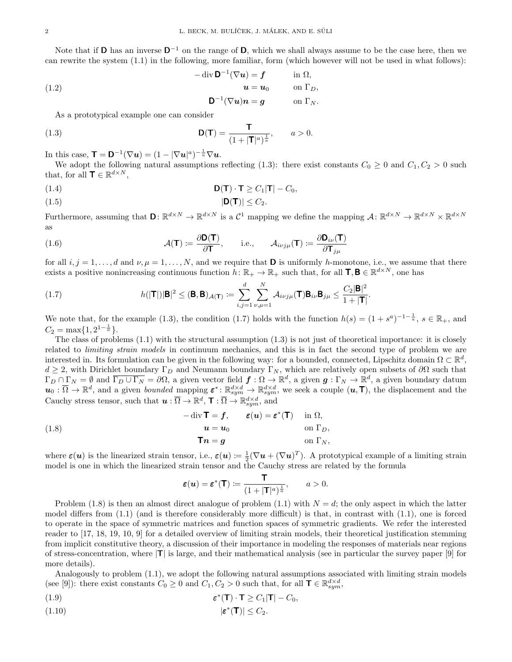Note that if **D** has an inverse  $D^{-1}$  on the range of **D**, which we shall always assume to be the case here, then we can rewrite the system (1.1) in the following, more familiar, form (which however will not be used in what follows):

(1.2)  
\n
$$
-\operatorname{div} \mathbf{D}^{-1}(\nabla \mathbf{u}) = \mathbf{f} \qquad \text{in } \Omega,
$$
\n
$$
\mathbf{u} = \mathbf{u}_0 \qquad \text{on } \Gamma_D,
$$
\n
$$
\mathbf{D}^{-1}(\nabla \mathbf{u})\mathbf{n} = \mathbf{g} \qquad \text{on } \Gamma_N.
$$

As a prototypical example one can consider

(1.3) 
$$
\mathbf{D}(\mathbf{T}) = \frac{\mathbf{T}}{(1+|\mathbf{T}|^a)^{\frac{1}{a}}}, \quad a > 0.
$$

In this case,  $\mathbf{T} = \mathbf{D}^{-1}(\nabla \boldsymbol{u}) = (1 - |\nabla \boldsymbol{u}|^a)^{-\frac{1}{a}} \nabla \boldsymbol{u}.$ 

We adopt the following natural assumptions reflecting (1.3): there exist constants  $C_0 \geq 0$  and  $C_1, C_2 > 0$  such that, for all  $\mathbf{T} \in \mathbb{R}^{d \times N}$ ,

$$
D(T) \cdot T \ge C_1 |T| - C_0,
$$

$$
|\mathbf{D}(\mathbf{T})| \le C_2.
$$

Furthermore, assuming that  $\mathbf{D} \colon \mathbb{R}^{d \times N} \to \mathbb{R}^{d \times N}$  is a  $\mathcal{C}^1$  mapping we define the mapping  $\mathcal{A} \colon \mathbb{R}^{d \times N} \to \mathbb{R}^{d \times N} \times \mathbb{R}^{d \times N}$ as

(1.6) 
$$
\mathcal{A}(\mathbf{T}) \coloneqq \frac{\partial \mathsf{D}(\mathbf{T})}{\partial \mathbf{T}}, \quad \text{i.e.,} \quad \mathcal{A}_{i\nu j\mu}(\mathbf{T}) \coloneqq \frac{\partial \mathsf{D}_{i\nu}(\mathbf{T})}{\partial \mathbf{T}_{j\mu}}
$$

for all  $i, j = 1, \ldots, d$  and  $\nu, \mu = 1, \ldots, N$ , and we require that **D** is uniformly *h*-monotone, i.e., we assume that there exists a positive nonincreasing continuous function  $h: \mathbb{R}_+ \to \mathbb{R}_+$  such that, for all  $\mathbf{T}, \mathbf{B} \in \mathbb{R}^{d \times N}$ , one has

(1.7) 
$$
h(|\mathbf{T}|)|\mathbf{B}|^2 \leq (\mathbf{B}, \mathbf{B})_{\mathcal{A}(\mathbf{T})} := \sum_{i,j=1}^d \sum_{\nu,\mu=1}^N \mathcal{A}_{i\nu j\mu}(\mathbf{T}) \mathbf{B}_{i\nu} \mathbf{B}_{j\mu} \leq \frac{C_2 |\mathbf{B}|^2}{1+|\mathbf{T}|}.
$$

We note that, for the example (1.3), the condition (1.7) holds with the function  $h(s) = (1 + s^a)^{-1-\frac{1}{a}}, s \in \mathbb{R}_+$ , and  $C_2 = \max\{1, 2^{1-\frac{1}{a}}\}.$ 

The class of problems (1.1) with the structural assumption (1.3) is not just of theoretical importance: it is closely related to *limiting strain models* in continuum mechanics, and this is in fact the second type of problem we are interested in. Its formulation can be given in the following way: for a bounded, connected, Lipschitz domain  $\Omega \subset \mathbb{R}^d$ ,  $d \geq 2$ , with Dirichlet boundary  $\Gamma_D$  and Neumann boundary  $\Gamma_N$ , which are relatively open subsets of  $\partial\Omega$  such that  $\Gamma_D \cap \Gamma_N = \emptyset$  and  $\overline{\Gamma_D \cup \Gamma_N} = \partial \Omega$ , a given vector field  $\boldsymbol{f} : \Omega \to \mathbb{R}^d$ , a given  $\boldsymbol{g} : \Gamma_N \to \mathbb{R}^d$ , a given boundary datum  $u_0: \overline{\Omega} \to \mathbb{R}^d$ , and a given *bounded* mapping  $\varepsilon^*: \mathbb{R}^{d \times d}_{sym} \to \mathbb{R}^{d \times d}_{sym}$ , we seek a couple  $(u, \mathsf{T})$ , the displacement and the Cauchy stress tensor, such that  $u : \overline{\Omega} \to \mathbb{R}^d$ ,  $\mathsf{T} : \overline{\Omega} \to \mathbb{R}^{d \times d}_{sym}$ , and

(1.8) 
$$
-\operatorname{div} \mathbf{T} = \mathbf{f}, \qquad \varepsilon(\mathbf{u}) = \varepsilon^*(\mathbf{T}) \quad \text{in } \Omega, \mathbf{u} = \mathbf{u}_0 \qquad \text{on } \Gamma_D, \mathbf{T}\mathbf{n} = \mathbf{g} \qquad \text{on } \Gamma_N,
$$

where  $\varepsilon(u)$  is the linearized strain tensor, i.e.,  $\varepsilon(u) \coloneqq \frac{1}{2}(\nabla u + (\nabla u)^T)$ . A prototypical example of a limiting strain model is one in which the linearized strain tensor and the Cauchy stress are related by the formula

$$
\boldsymbol{\varepsilon}(\boldsymbol{u}) = \boldsymbol{\varepsilon}^*(\mathsf{T}) \coloneqq \frac{\mathsf{T}}{(1+|\mathsf{T}|^a)^{\frac{1}{a}}}, \qquad a > 0.
$$

Problem (1.8) is then an almost direct analogue of problem (1.1) with  $N = d$ ; the only aspect in which the latter model differs from (1.1) (and is therefore considerably more difficult) is that, in contrast with (1.1), one is forced to operate in the space of symmetric matrices and function spaces of symmetric gradients. We refer the interested reader to [17, 18, 19, 10, 9] for a detailed overview of limiting strain models, their theoretical justification stemming from implicit constitutive theory, a discussion of their importance in modeling the responses of materials near regions of stress-concentration, where  $|T|$  is large, and their mathematical analysis (see in particular the survey paper [9] for more details).

Analogously to problem (1.1), we adopt the following natural assumptions associated with limiting strain models (see [9]): there exist constants  $C_0 \ge 0$  and  $C_1, C_2 > 0$  such that, for all  $\mathbf{T} \in \mathbb{R}^{d \times d}_{sym}$ ,

(1.9) 
$$
\boldsymbol{\varepsilon}^*(\mathbf{T}) \cdot \mathbf{T} \geq C_1 |\mathbf{T}| - C_0,
$$

$$
|\varepsilon^*(\mathbf{T})| \le C_2.
$$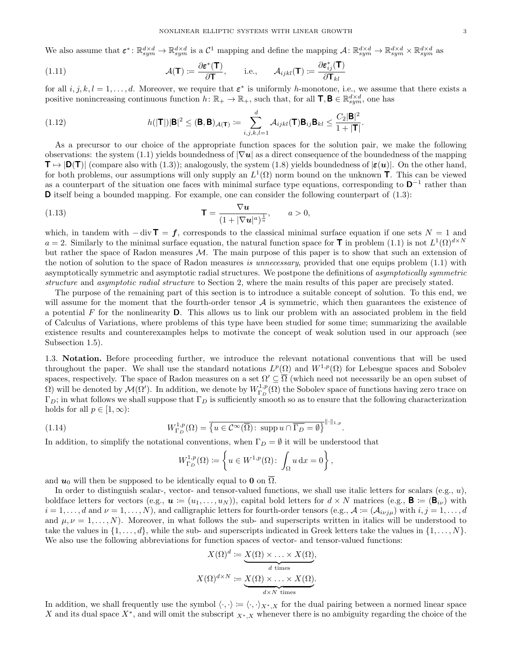We also assume that  $\boldsymbol{\varepsilon}^* \colon \mathbb{R}^{d \times d}_{sym} \to \mathbb{R}^{d \times d}_{sym}$  is a  $\mathcal{C}^1$  mapping and define the mapping  $\mathcal{A} \colon \mathbb{R}^{d \times d}_{sym} \to \mathbb{R}^{d \times d}_{sym} \times \mathbb{R}^{d \times d}_{sym}$  as

(1.11) 
$$
\mathcal{A}(\mathbf{T}) := \frac{\partial \boldsymbol{\varepsilon}^*(\mathbf{T})}{\partial \mathbf{T}}, \quad \text{i.e.,} \quad \mathcal{A}_{ijkl}(\mathbf{T}) := \frac{\partial \boldsymbol{\varepsilon}_{ij}^*(\mathbf{T})}{\partial \mathbf{T}_{kl}}
$$

for all  $i, j, k, l = 1, \ldots, d$ . Moreover, we require that  $\varepsilon^*$  is uniformly h-monotone, i.e., we assume that there exists a positive nonincreasing continuous function  $h: \mathbb{R}_+ \to \mathbb{R}_+$ , such that, for all  $\mathbf{T}, \mathbf{B} \in \mathbb{R}^{d \times d}_{sym}$ , one has

(1.12) 
$$
h(|\mathbf{T}|)|\mathbf{B}|^2 \leq (\mathbf{B}, \mathbf{B})_{\mathcal{A}(\mathbf{T})} \coloneqq \sum_{i,j,k,l=1}^d \mathcal{A}_{ijkl}(\mathbf{T})\mathbf{B}_{ij}\mathbf{B}_{kl} \leq \frac{C_2|\mathbf{B}|^2}{1+|\mathbf{T}|}.
$$

As a precursor to our choice of the appropriate function spaces for the solution pair, we make the following observations: the system (1.1) yields boundedness of  $|\nabla u|$  as a direct consequence of the boundedness of the mapping  $T \mapsto |D(T)|$  (compare also with (1.3)); analogously, the system (1.8) yields boundedness of  $|\varepsilon(u)|$ . On the other hand, for both problems, our assumptions will only supply an  $L^1(\Omega)$  norm bound on the unknown **T**. This can be viewed as a counterpart of the situation one faces with minimal surface type equations, corresponding to  $\mathbf{D}^{-1}$  rather than **D** itself being a bounded mapping. For example, one can consider the following counterpart of  $(1.3)$ :

(1.13) 
$$
\mathbf{T} = \frac{\nabla u}{(1+|\nabla u|^a)^{\frac{1}{a}}}, \quad a > 0,
$$

which, in tandem with  $-\text{div } \mathbf{T} = f$ , corresponds to the classical minimal surface equation if one sets  $N = 1$  and  $a=2$ . Similarly to the minimal surface equation, the natural function space for **T** in problem (1.1) is not  $L^1(\Omega)^{d\times N}$ but rather the space of Radon measures M. The main purpose of this paper is to show that such an extension of the notion of solution to the space of Radon measures is unnecessary, provided that one equips problem (1.1) with asymptotically symmetric and asymptotic radial structures. We postpone the definitions of asymptotically symmetric structure and asymptotic radial structure to Section 2, where the main results of this paper are precisely stated.

The purpose of the remaining part of this section is to introduce a suitable concept of solution. To this end, we will assume for the moment that the fourth-order tensor  $A$  is symmetric, which then guarantees the existence of a potential  $F$  for the nonlinearity  $D$ . This allows us to link our problem with an associated problem in the field of Calculus of Variations, where problems of this type have been studied for some time; summarizing the available existence results and counterexamples helps to motivate the concept of weak solution used in our approach (see Subsection 1.5).

1.3. Notation. Before proceeding further, we introduce the relevant notational conventions that will be used throughout the paper. We shall use the standard notations  $L^p(\Omega)$  and  $W^{1,p}(\Omega)$  for Lebesgue spaces and Sobolev spaces, respectively. The space of Radon measures on a set  $\Omega' \subseteq \overline{\Omega}$  (which need not necessarily be an open subset of  $Ω$ ) will be denoted by  $M(Ω')$ . In addition, we denote by  $W^{1,p}_{\Gamma_D}(Ω)$  the Sobolev space of functions having zero trace on  $\Gamma_D$ ; in what follows we shall suppose that  $\Gamma_D$  is sufficiently smooth so as to ensure that the following characterization holds for all  $p \in [1, \infty)$ :

(1.14) 
$$
W_{\Gamma_D}^{1,p}(\Omega) = \overline{\{u \in \mathcal{C}^{\infty}(\overline{\Omega}) : \operatorname{supp} u \cap \overline{\Gamma_D} = \emptyset\}}^{\|\cdot\|_{1,p}}.
$$

In addition, to simplify the notational conventions, when  $\Gamma_D = \emptyset$  it will be understood that

$$
W^{1,p}_{\Gamma_D}(\Omega) \coloneqq \left\{ u \in W^{1,p}(\Omega) \colon \int_{\Omega} u \, \mathrm{d}x = 0 \right\},\,
$$

and  $u_0$  will then be supposed to be identically equal to 0 on  $\Omega$ .

In order to distinguish scalar-, vector- and tensor-valued functions, we shall use italic letters for scalars (e.g.,  $u$ ), boldface letters for vectors (e.g.,  $\mathbf{u} := (u_1, \ldots, u_N)$ ), capital bold letters for  $d \times N$  matrices (e.g.,  $\mathbf{B} := (\mathbf{B}_{i\nu})$  with  $i = 1, \ldots, d$  and  $\nu = 1, \ldots, N$ , and calligraphic letters for fourth-order tensors (e.g.,  $\mathcal{A} := (\mathcal{A}_{i\nu j\mu})$  with  $i, j = 1, \ldots, d$ and  $\mu, \nu = 1, \ldots, N$ . Moreover, in what follows the sub- and superscripts written in italics will be understood to take the values in  $\{1,\ldots,d\}$ , while the sub- and superscripts indicated in Greek letters take the values in  $\{1,\ldots,N\}$ . We also use the following abbreviations for function spaces of vector- and tensor-valued functions:

$$
X(\Omega)^d := \underbrace{X(\Omega) \times \ldots \times X(\Omega)}_{d \text{ times}},
$$

$$
X(\Omega)^{d \times N} := \underbrace{X(\Omega) \times \ldots \times X(\Omega)}_{d \times N \text{ times}}.
$$

In addition, we shall frequently use the symbol  $\langle \cdot, \cdot \rangle := \langle \cdot, \cdot \rangle_{X^*,X}$  for the dual pairing between a normed linear space X and its dual space  $X^*$ , and will omit the subscript  $_{X^*,X}$  whenever there is no ambiguity regarding the choice of the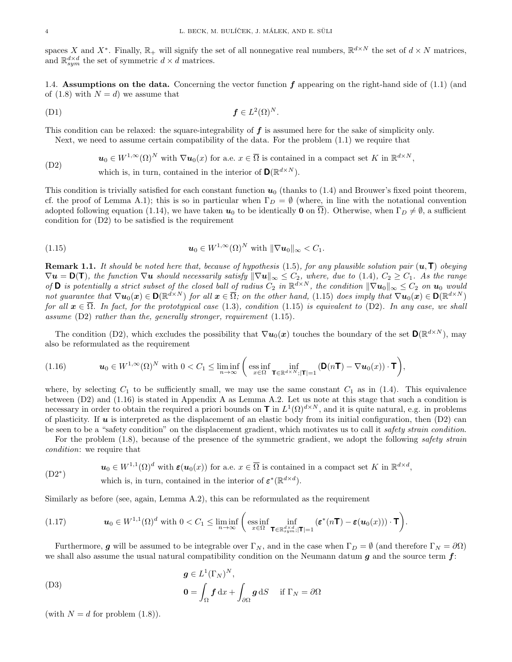spaces X and X<sup>\*</sup>. Finally,  $\mathbb{R}_+$  will signify the set of all nonnegative real numbers,  $\mathbb{R}^{d \times N}$  the set of  $d \times N$  matrices, and  $\mathbb{R}^{d \times d}_{sym}$  the set of symmetric  $d \times d$  matrices.

1.4. Assumptions on the data. Concerning the vector function  $f$  appearing on the right-hand side of (1.1) (and of (1.8) with  $N = d$ ) we assume that

(D1) f ∈ L 2 (Ω)<sup>N</sup> .

This condition can be relaxed: the square-integrability of f is assumed here for the sake of simplicity only. Next, we need to assume certain compatibility of the data. For the problem (1.1) we require that

(D2) 
$$
\mathbf{u}_0 \in W^{1,\infty}(\Omega)^N \text{ with } \nabla \mathbf{u}_0(x) \text{ for a.e. } x \in \overline{\Omega} \text{ is contained in a compact set } K \text{ in } \mathbb{R}^{d \times N},
$$
  
which is, in turn, contained in the interior of  $\mathbf{D}(\mathbb{R}^{d \times N})$ .

This condition is trivially satisfied for each constant function  $u_0$  (thanks to (1.4) and Brouwer's fixed point theorem, cf. the proof of Lemma A.1); this is so in particular when  $\Gamma_D = \emptyset$  (where, in line with the notational convention adopted following equation (1.14), we have taken  $u_0$  to be identically **0** on  $\overline{\Omega}$ ). Otherwise, when  $\Gamma_D \neq \emptyset$ , a sufficient condition for (D2) to be satisfied is the requirement

(1.15) 
$$
\mathbf{u}_0 \in W^{1,\infty}(\Omega)^N \text{ with } \|\nabla \mathbf{u}_0\|_{\infty} < C_1.
$$

**Remark 1.1.** It should be noted here that, because of hypothesis (1.5), for any plausible solution pair  $(u, T)$  obeying  $\nabla u = \mathsf{D}(\mathsf{T})$ , the function  $\nabla u$  should necessarily satisfy  $\|\nabla u\|_{\infty} \leq C_2$ , where, due to (1.4),  $C_2 \geq C_1$ . As the range of **D** is potentially a strict subset of the closed ball of radius  $C_2$  in  $\mathbb{R}^{d\times N}$ , the condition  $\|\nabla u_0\|_{\infty} \leq C_2$  on  $u_0$  would not guarantee that  $\nabla u_0(x) \in \mathsf{D}(\mathbb{R}^{d\times N})$  for all  $x \in \overline{\Omega}$ ; on the other hand, (1.15) does imply that  $\nabla u_0(x) \in \mathsf{D}(\mathbb{R}^{d\times N})$ for all  $x \in \Omega$ . In fact, for the prototypical case (1.3), condition (1.15) is equivalent to (D2). In any case, we shall assume (D2) rather than the, generally stronger, requirement (1.15).

The condition (D2), which excludes the possibility that  $\nabla u_0(x)$  touches the boundary of the set  $\mathbf{D}(\mathbb{R}^{d\times N})$ , may also be reformulated as the requirement

$$
(1.16) \t\t \t\t \boldsymbol{u}_0 \in W^{1,\infty}(\Omega)^N \t\t with \ 0 < C_1 \leq \liminf_{n \to \infty} \left( \underset{x \in \Omega}{\mathrm{ess}\inf} \inf_{\mathbf{T} \in \mathbb{R}^{d \times N}; |\mathbf{T}| = 1} \left( \mathbf{D}(n\mathbf{T}) - \nabla \boldsymbol{u}_0(x) \right) \cdot \mathbf{T} \right),
$$

where, by selecting  $C_1$  to be sufficiently small, we may use the same constant  $C_1$  as in (1.4). This equivalence between (D2) and (1.16) is stated in Appendix A as Lemma A.2. Let us note at this stage that such a condition is necessary in order to obtain the required a priori bounds on  $\mathbf T$  in  $L^1(\Omega)^{d\times N}$ , and it is quite natural, e.g. in problems of plasticity. If  $u$  is interpreted as the displacement of an elastic body from its initial configuration, then  $(D2)$  can be seen to be a "safety condition" on the displacement gradient, which motivates us to call it safety strain condition.

For the problem (1.8), because of the presence of the symmetric gradient, we adopt the following *safety strain* condition: we require that

$$
(D2^*)\qquad \qquad \mathbf{u}_0 \in W^{1,1}(\Omega)^d \text{ with } \boldsymbol{\varepsilon}(\mathbf{u}_0(x)) \text{ for a.e. } x \in \overline{\Omega} \text{ is contained in a compact set } K \text{ in } \mathbb{R}^{d \times d},
$$

which is, in turn, contained in the interior of  $\boldsymbol{\varepsilon}^*(\mathbb{R}^{d \times d})$ .

Similarly as before (see, again, Lemma A.2), this can be reformulated as the requirement

(1.17) 
$$
\boldsymbol{u}_0 \in W^{1,1}(\Omega)^d \text{ with } 0 < C_1 \leq \liminf_{n \to \infty} \left( \underset{x \in \Omega}{\text{ess inf}} \underset{\boldsymbol{\tau} \in \mathbb{R}^{d \times d}_{sym}; |\boldsymbol{\tau}| = 1}{\inf} (\boldsymbol{\varepsilon}^*(n\boldsymbol{\tau}) - \boldsymbol{\varepsilon}(\boldsymbol{u}_0(x))) \cdot \boldsymbol{\tau} \right).
$$

Furthermore, g will be assumed to be integrable over  $\Gamma_N$ , and in the case when  $\Gamma_D = \emptyset$  (and therefore  $\Gamma_N = \partial\Omega$ ) we shall also assume the usual natural compatibility condition on the Neumann datum  $g$  and the source term  $f$ :

$$
g \in L^{1}(\Gamma_{N})^{N},
$$
  
\n
$$
0 = \int_{\Omega} f dx + \int_{\partial \Omega} g dS \quad \text{if } \Gamma_{N} = \partial \Omega
$$

(with  $N = d$  for problem  $(1.8)$ ).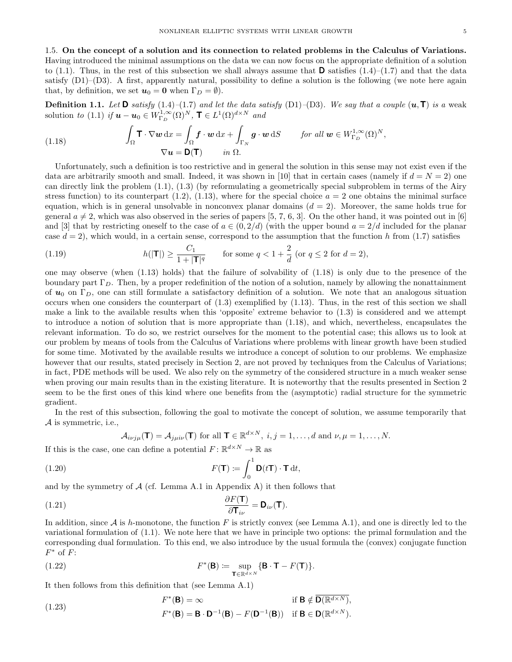**Definition 1.1.** Let **D** satisfy  $(1.4)$ – $(1.7)$  and let the data satisfy  $(D1)$ – $(D3)$ . We say that a couple  $(u, T)$  is a weak solution to (1.1) if  $\mathbf{u} - \mathbf{u}_0 \in W_{\Gamma_D}^{1,\infty}(\Omega)^N$ ,  $\mathbf{T} \in L^1(\Omega)^{d \times N}$  and

(1.18) 
$$
\int_{\Omega} \mathbf{T} \cdot \nabla \mathbf{w} \, dx = \int_{\Omega} \mathbf{f} \cdot \mathbf{w} \, dx + \int_{\Gamma_N} \mathbf{g} \cdot \mathbf{w} \, dS \quad \text{for all } \mathbf{w} \in W_{\Gamma_D}^{1,\infty}(\Omega)^N, \\ \nabla \mathbf{u} = \mathbf{D}(\mathbf{T}) \quad \text{in } \Omega.
$$

Unfortunately, such a definition is too restrictive and in general the solution in this sense may not exist even if the data are arbitrarily smooth and small. Indeed, it was shown in [10] that in certain cases (namely if  $d = N = 2$ ) one can directly link the problem (1.1), (1.3) (by reformulating a geometrically special subproblem in terms of the Airy stress function) to its counterpart  $(1.2)$ ,  $(1.13)$ , where for the special choice  $a = 2$  one obtains the minimal surface equation, which is in general unsolvable in nonconvex planar domains  $(d = 2)$ . Moreover, the same holds true for general  $a \neq 2$ , which was also observed in the series of papers [5, 7, 6, 3]. On the other hand, it was pointed out in [6] and [3] that by restricting oneself to the case of  $a \in (0, 2/d)$  (with the upper bound  $a = 2/d$  included for the planar case  $d = 2$ ), which would, in a certain sense, correspond to the assumption that the function h from (1.7) satisfies

(1.19) 
$$
h(|\mathbf{T}|) \ge \frac{C_1}{1+|\mathbf{T}|^q} \quad \text{for some } q < 1 + \frac{2}{d} \text{ (or } q \le 2 \text{ for } d = 2),
$$

one may observe (when  $(1.13)$  holds) that the failure of solvability of  $(1.18)$  is only due to the presence of the boundary part  $\Gamma_D$ . Then, by a proper redefinition of the notion of a solution, namely by allowing the nonattainment of  $u_0$  on  $\Gamma_D$ , one can still formulate a satisfactory definition of a solution. We note that an analogous situation occurs when one considers the counterpart of (1.3) exemplified by (1.13). Thus, in the rest of this section we shall make a link to the available results when this 'opposite' extreme behavior to (1.3) is considered and we attempt to introduce a notion of solution that is more appropriate than (1.18), and which, nevertheless, encapsulates the relevant information. To do so, we restrict ourselves for the moment to the potential case; this allows us to look at our problem by means of tools from the Calculus of Variations where problems with linear growth have been studied for some time. Motivated by the available results we introduce a concept of solution to our problems. We emphasize however that our results, stated precisely in Section 2, are not proved by techniques from the Calculus of Variations; in fact, PDE methods will be used. We also rely on the symmetry of the considered structure in a much weaker sense when proving our main results than in the existing literature. It is noteworthy that the results presented in Section 2 seem to be the first ones of this kind where one benefits from the (asymptotic) radial structure for the symmetric gradient.

In the rest of this subsection, following the goal to motivate the concept of solution, we assume temporarily that  $A$  is symmetric, i.e.,

$$
\mathcal{A}_{i\nu j\mu}(\mathbf{T}) = \mathcal{A}_{j\mu i\nu}(\mathbf{T}) \text{ for all } \mathbf{T} \in \mathbb{R}^{d \times N}, i, j = 1, \dots, d \text{ and } \nu, \mu = 1, \dots, N.
$$

If this is the case, one can define a potential  $F: \mathbb{R}^{d \times N} \to \mathbb{R}$  as

(1.20) 
$$
F(\mathbf{T}) := \int_0^1 \mathbf{D}(t\mathbf{T}) \cdot \mathbf{T} dt,
$$

and by the symmetry of  $A$  (cf. Lemma A.1 in Appendix A) it then follows that

(1.21) 
$$
\frac{\partial F(\mathbf{T})}{\partial \mathbf{T}_{i\nu}} = \mathbf{D}_{i\nu}(\mathbf{T}).
$$

In addition, since  $A$  is h-monotone, the function F is strictly convex (see Lemma A.1), and one is directly led to the variational formulation of (1.1). We note here that we have in principle two options: the primal formulation and the corresponding dual formulation. To this end, we also introduce by the usual formula the (convex) conjugate function  $F^*$  of  $F$ :

(1.22) 
$$
F^*(\mathbf{B}) := \sup_{\mathbf{T} \in \mathbb{R}^{d \times N}} \{ \mathbf{B} \cdot \mathbf{T} - F(\mathbf{T}) \}.
$$

It then follows from this definition that (see Lemma A.1)

(1.23) 
$$
F^*(\mathbf{B}) = \infty \quad \text{if } \mathbf{B} \notin \overline{\mathbf{D}(\mathbb{R}^{d \times N})},
$$

$$
F^*(\mathbf{B}) = \mathbf{B} \cdot \mathbf{D}^{-1}(\mathbf{B}) - F(\mathbf{D}^{-1}(\mathbf{B})) \quad \text{if } \mathbf{B} \in \mathbf{D}(\mathbb{R}^{d \times N}).
$$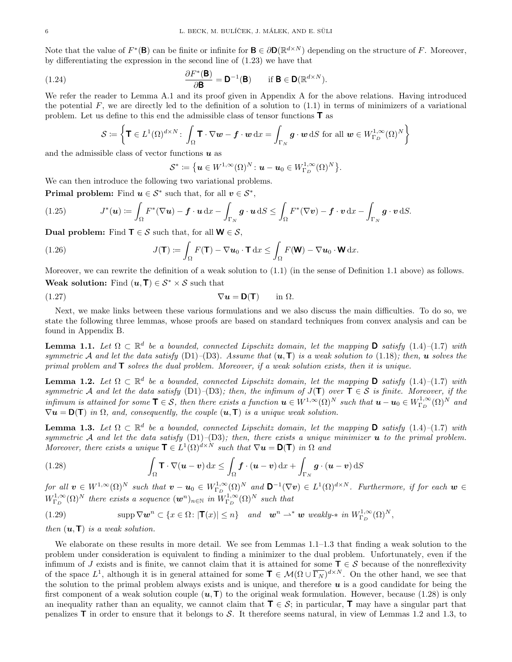Note that the value of  $F^*(\mathbf{B})$  can be finite or infinite for  $\mathbf{B} \in \partial \mathbf{D}(\mathbb{R}^{d \times N})$  depending on the structure of F. Moreover, by differentiating the expression in the second line of (1.23) we have that

(1.24) 
$$
\frac{\partial F^*(\mathbf{B})}{\partial \mathbf{B}} = \mathbf{D}^{-1}(\mathbf{B}) \quad \text{if } \mathbf{B} \in \mathbf{D}(\mathbb{R}^{d \times N}).
$$

We refer the reader to Lemma A.1 and its proof given in Appendix A for the above relations. Having introduced the potential  $F$ , we are directly led to the definition of a solution to  $(1.1)$  in terms of minimizers of a variational problem. Let us define to this end the admissible class of tensor functions T as

$$
\mathcal{S} := \left\{ \mathbf{T} \in L^1(\Omega)^{d \times N} : \int_{\Omega} \mathbf{T} \cdot \nabla \mathbf{w} - \mathbf{f} \cdot \mathbf{w} \, dx = \int_{\Gamma_N} \mathbf{g} \cdot \mathbf{w} \, dS \text{ for all } \mathbf{w} \in W_{\Gamma_D}^{1,\infty}(\Omega)^N \right\}
$$

and the admissible class of vector functions  $\boldsymbol{u}$  as

$$
\mathcal{S}^* := \left\{ \boldsymbol{u} \in W^{1,\infty}(\Omega)^N \colon \boldsymbol{u} - \boldsymbol{u}_0 \in W^{1,\infty}_{\Gamma_D}(\Omega)^N \right\}
$$

.

We can then introduce the following two variational problems.

**Primal problem:** Find  $u \in S^*$  such that, for all  $v \in S^*$ ,

(1.25) 
$$
J^*(u) := \int_{\Omega} F^*(\nabla u) - \boldsymbol{f} \cdot \boldsymbol{u} \, dx - \int_{\Gamma_N} \boldsymbol{g} \cdot \boldsymbol{u} \, dS \leq \int_{\Omega} F^*(\nabla \boldsymbol{v}) - \boldsymbol{f} \cdot \boldsymbol{v} \, dx - \int_{\Gamma_N} \boldsymbol{g} \cdot \boldsymbol{v} \, dS.
$$

Dual problem: Find  $\mathsf{T} \in \mathcal{S}$  such that, for all  $\mathsf{W} \in \mathcal{S}$ ,

(1.26) 
$$
J(\mathbf{T}) := \int_{\Omega} F(\mathbf{T}) - \nabla \mathbf{u}_0 \cdot \mathbf{T} \, dx \leq \int_{\Omega} F(\mathbf{W}) - \nabla \mathbf{u}_0 \cdot \mathbf{W} \, dx.
$$

Moreover, we can rewrite the definition of a weak solution to (1.1) (in the sense of Definition 1.1 above) as follows.

Weak solution: Find  $(u, T) \in S^* \times S$  such that

$$
\nabla \mathbf{u} = \mathbf{D}(\mathbf{T}) \quad \text{in } \Omega.
$$

Next, we make links between these various formulations and we also discuss the main difficulties. To do so, we state the following three lemmas, whose proofs are based on standard techniques from convex analysis and can be found in Appendix B.

**Lemma 1.1.** Let  $\Omega \subset \mathbb{R}^d$  be a bounded, connected Lipschitz domain, let the mapping **D** satisfy (1.4)–(1.7) with symmetric A and let the data satisfy (D1)–(D3). Assume that  $(u, T)$  is a weak solution to (1.18); then, u solves the primal problem and  $\mathsf T$  solves the dual problem. Moreover, if a weak solution exists, then it is unique.

**Lemma 1.2.** Let  $\Omega \subset \mathbb{R}^d$  be a bounded, connected Lipschitz domain, let the mapping **D** satisfy  $(1.4)$ - $(1.7)$  with symmetric A and let the data satisfy (D1)–(D3); then, the infimum of  $J(T)$  over  $T \in S$  is finite. Moreover, if the infimum is attained for some  $\mathbf{T} \in \mathcal{S}$ , then there exists a function  $\mathbf{u} \in W^{1,\infty}(\Omega)^N$  such that  $\mathbf{u} - \mathbf{u}_0 \in W^{1,\infty}_{\Gamma_D}(\Omega)^N$  and  $\nabla u = D(T)$  in  $\Omega$ , and, consequently, the couple  $(u, T)$  is a unique weak solution.

**Lemma 1.3.** Let  $\Omega \subset \mathbb{R}^d$  be a bounded, connected Lipschitz domain, let the mapping **D** satisfy (1.4)–(1.7) with symmetric A and let the data satisfy  $(D1)$ – $(D3)$ ; then, there exists a unique minimizer **u** to the primal problem. Moreover, there exists a unique  $\mathbf{T} \in L^1(\Omega)^{d \times N}$  such that  $\nabla \mathbf{u} = \mathbf{D}(\mathbf{T})$  in  $\Omega$  and

(1.28) 
$$
\int_{\Omega} \mathbf{T} \cdot \nabla (\boldsymbol{u} - \boldsymbol{v}) \, dx \leq \int_{\Omega} \boldsymbol{f} \cdot (\boldsymbol{u} - \boldsymbol{v}) \, dx + \int_{\Gamma_N} \boldsymbol{g} \cdot (\boldsymbol{u} - \boldsymbol{v}) \, dS
$$

 $for \ all \ \mathbf{v} \in W^{1,\infty}(\Omega)^N \ \ such \ that \ \mathbf{v} - \mathbf{u}_0 \in W^{1,\infty}_{\Gamma_D}(\Omega)^N \ \ and \ \mathbf{D}^{-1}(\nabla \mathbf{v}) \in L^1(\Omega)^{d \times N}$ . Furthermore, if for each  $\mathbf{w} \in$  $W^{1,\infty}_{\Gamma_D}(\Omega)^N$  there exists a sequence  $(\mathbf{w}^n)_{n\in\mathbb{N}}$  in  $W^{1,\infty}_{\Gamma_D}(\Omega)^N$  such that

(1.29) 
$$
\text{supp } \nabla \mathbf{w}^n \subset \{x \in \Omega \colon |\mathbf{T}(x)| \leq n\} \quad \text{and} \quad \mathbf{w}^n \rightharpoonup^* \mathbf{w} \text{ weakly-* in } W^{1,\infty}_{\Gamma_D}(\Omega)^N,
$$

then  $(\mathbf{u}, \mathbf{T})$  is a weak solution.

We elaborate on these results in more detail. We see from Lemmas 1.1–1.3 that finding a weak solution to the problem under consideration is equivalent to finding a minimizer to the dual problem. Unfortunately, even if the infimum of J exists and is finite, we cannot claim that it is attained for some  $\mathsf{T} \in \mathcal{S}$  because of the nonreflexivity of the space  $L^1$ , although it is in general attained for some  $\mathbf{T} \in \mathcal{M}(\Omega \cup \overline{\Gamma_N})^{d \times N}$ . On the other hand, we see that the solution to the primal problem always exists and is unique, and therefore  $\boldsymbol{u}$  is a good candidate for being the first component of a weak solution couple  $(u, T)$  to the original weak formulation. However, because (1.28) is only an inequality rather than an equality, we cannot claim that  $\mathbf{T} \in \mathcal{S}$ ; in particular,  $\mathbf{T}$  may have a singular part that penalizes  $\mathsf{T}$  in order to ensure that it belongs to S. It therefore seems natural, in view of Lemmas 1.2 and 1.3, to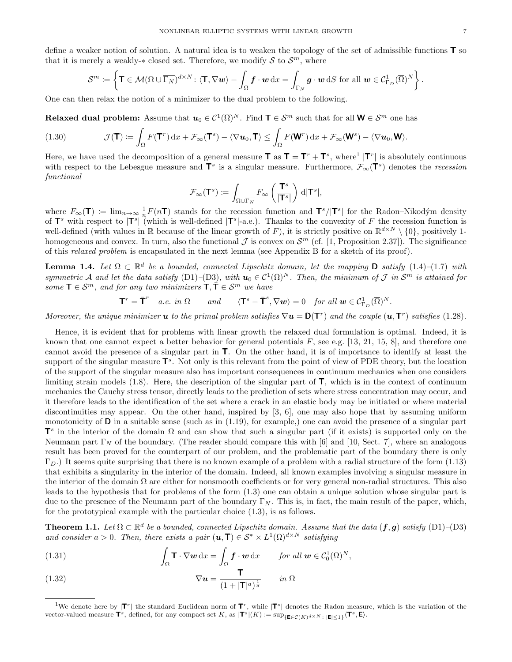define a weaker notion of solution. A natural idea is to weaken the topology of the set of admissible functions  $T$  so that it is merely a weakly- $*$  closed set. Therefore, we modify S to  $S<sup>m</sup>$ , where

$$
\mathcal{S}^m \coloneqq \left\{ \mathbf{T} \in \mathcal{M}(\Omega \cup \overline{\Gamma_N})^{d \times N} \colon \langle \mathbf{T}, \nabla \mathbf{w} \rangle - \int_{\Omega} \mathbf{f} \cdot \mathbf{w} \, dx = \int_{\Gamma_N} \mathbf{g} \cdot \mathbf{w} \, dS \text{ for all } \mathbf{w} \in \mathcal{C}_{\Gamma_D}^1(\overline{\Omega})^N \right\}.
$$

One can then relax the notion of a minimizer to the dual problem to the following.

Relaxed dual problem: Assume that  $u_0 \in \mathcal{C}^1(\overline{\Omega})^N$ . Find  $\textsf{T} \in \mathcal{S}^m$  such that for all  $\textsf{W} \in \mathcal{S}^m$  one has

(1.30) 
$$
\mathcal{J}(\mathbf{T}) := \int_{\Omega} F(\mathbf{T}^r) dx + \mathcal{F}_{\infty}(\mathbf{T}^s) - \langle \nabla u_0, \mathbf{T} \rangle \leq \int_{\Omega} F(\mathbf{W}^r) dx + \mathcal{F}_{\infty}(\mathbf{W}^s) - \langle \nabla u_0, \mathbf{W} \rangle.
$$

Here, we have used the decomposition of a general measure  $\mathbf{T}$  as  $\mathbf{T} = \mathbf{T}^r + \mathbf{T}^s$ , where<sup>1</sup> | $\mathbf{T}^r$ | is absolutely continuous with respect to the Lebesgue measure and  $T^s$  is a singular measure. Furthermore,  $\mathcal{F}_{\infty}(T^s)$  denotes the recession functional

$$
\mathcal{F}_\infty(\mathbf{T}^s):=\int_{\Omega\cup\overline{\Gamma_N}}F_\infty\left(\frac{\mathbf{T}^s}{|\mathbf{T}^s|}\right)\,\mathrm{d} |\mathbf{T}^s|,
$$

where  $F_{\infty}(\mathbf{T}) \coloneqq \lim_{n \to \infty} \frac{1}{n} F(n\mathbf{T})$  stands for the recession function and  $\mathbf{T}^s/|\mathbf{T}^s|$  for the Radon–Nikodým density of  $\mathsf{T}^s$  with respect to  $|\mathsf{T}^s|$  (which is well-defined  $|\mathsf{T}^s|$ -a.e.). Thanks to the convexity of F the recession function is well-defined (with values in R because of the linear growth of F), it is strictly positive on  $\mathbb{R}^{d\times N}\setminus\{0\}$ , positively 1homogeneous and convex. In turn, also the functional  $\mathcal J$  is convex on  $\mathcal S^m$  (cf. [1, Proposition 2.37]). The significance of this relaxed problem is encapsulated in the next lemma (see Appendix B for a sketch of its proof).

**Lemma 1.4.** Let  $\Omega \subset \mathbb{R}^d$  be a bounded, connected Lipschitz domain, let the mapping **D** satisfy (1.4)–(1.7) with symmetric A and let the data satisfy (D1)–(D3), with  $u_0 \in C^1(\overline{\Omega})^N$ . Then, the minimum of J in  $S^m$  is attained for some  $\mathbf{T} \in \mathcal{S}^m$ , and for any two minimizers  $\mathbf{T}, \mathbf{T} \in \mathcal{S}^m$  we have

$$
\mathbf{T}^r = \overline{\mathbf{T}}^r \quad a.e. \in \mathbb{N} \quad \text{and} \quad \langle \mathbf{T}^s - \overline{\mathbf{T}}^s, \nabla \mathbf{w} \rangle = 0 \quad \text{for all } \mathbf{w} \in \mathcal{C}_{\Gamma_D}^1(\overline{\Omega})^N.
$$

Moreover, the unique minimizer **u** to the primal problem satisfies  $\nabla u = \mathsf{D}(\mathsf{T}^r)$  and the couple  $(u, \mathsf{T}^r)$  satisfies (1.28).

Hence, it is evident that for problems with linear growth the relaxed dual formulation is optimal. Indeed, it is known that one cannot expect a better behavior for general potentials  $F$ , see e.g. [13, 21, 15, 8], and therefore one cannot avoid the presence of a singular part in T. On the other hand, it is of importance to identify at least the support of the singular measure  $\mathsf{T}^s$ . Not only is this relevant from the point of view of PDE theory, but the location of the support of the singular measure also has important consequences in continuum mechanics when one considers limiting strain models  $(1.8)$ . Here, the description of the singular part of  $\mathsf{T}$ , which is in the context of continuum mechanics the Cauchy stress tensor, directly leads to the prediction of sets where stress concentration may occur, and it therefore leads to the identification of the set where a crack in an elastic body may be initiated or where material discontinuities may appear. On the other hand, inspired by [3, 6], one may also hope that by assuming uniform monotonicity of  $\bf{D}$  in a suitable sense (such as in (1.19), for example,) one can avoid the presence of a singular part  $T^s$  in the interior of the domain  $\Omega$  and can show that such a singular part (if it exists) is supported only on the Neumann part  $\Gamma_N$  of the boundary. (The reader should compare this with [6] and [10, Sect. 7], where an analogous result has been proved for the counterpart of our problem, and the problematic part of the boundary there is only  $\Gamma_D$ .) It seems quite surprising that there is no known example of a problem with a radial structure of the form (1.13) that exhibits a singularity in the interior of the domain. Indeed, all known examples involving a singular measure in the interior of the domain  $\Omega$  are either for nonsmooth coefficients or for very general non-radial structures. This also leads to the hypothesis that for problems of the form (1.3) one can obtain a unique solution whose singular part is due to the presence of the Neumann part of the boundary  $\Gamma_N$ . This is, in fact, the main result of the paper, which, for the prototypical example with the particular choice (1.3), is as follows.

**Theorem 1.1.** Let  $\Omega \subset \mathbb{R}^d$  be a bounded, connected Lipschitz domain. Assume that the data  $(f, g)$  satisfy  $(D1)$ - $(D3)$ and consider  $a > 0$ . Then, there exists a pair  $(u, T) \in S^* \times L^1(\Omega)^{d \times N}$  satisfying

(1.31) 
$$
\int_{\Omega} \mathbf{T} \cdot \nabla \mathbf{w} \, dx = \int_{\Omega} \mathbf{f} \cdot \mathbf{w} \, dx \quad \text{for all } \mathbf{w} \in C_0^1(\Omega)^N,
$$

(1.32) 
$$
\nabla u = \frac{\mathbf{T}}{(1+|\mathbf{T}|^a)^{\frac{1}{a}}} \quad in \ \Omega
$$

<sup>&</sup>lt;sup>1</sup>We denote here by  $|T^r|$  the standard Euclidean norm of  $T^r$ , while  $|T^s|$  denotes the Radon measure, which is the variation of the vector-valued measure  $\mathbf{T}^s$ , defined, for any compact set K, as  $|\mathbf{T}^s|(K) := \sup_{\{\mathbf{E} \in \mathcal{C}(K)^{d \times N} : |\mathbf{E}| \leq 1\}} \langle \mathbf{T}^s, \mathbf{E} \rangle$ .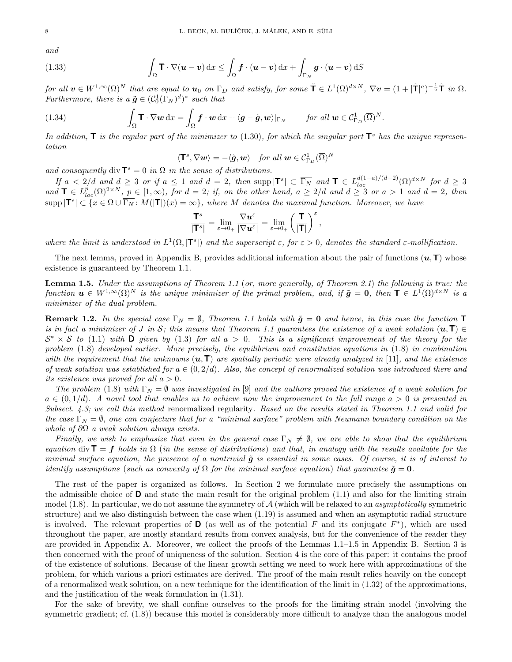and

(1.33) 
$$
\int_{\Omega} \mathbf{T} \cdot \nabla (\boldsymbol{u} - \boldsymbol{v}) \, dx \leq \int_{\Omega} \boldsymbol{f} \cdot (\boldsymbol{u} - \boldsymbol{v}) \, dx + \int_{\Gamma_N} \boldsymbol{g} \cdot (\boldsymbol{u} - \boldsymbol{v}) \, dS
$$

for all  $v \in W^{1,\infty}(\Omega)^N$  that are equal to  $u_0$  on  $\Gamma_D$  and satisfy, for some  $\tilde{\mathbf{T}} \in L^1(\Omega)^{d \times N}$ ,  $\nabla v = (1 + |\tilde{\mathbf{T}}|^a)^{-\frac{1}{a}} \tilde{\mathbf{T}}$  in  $\Omega$ . Furthermore, there is a  $\tilde{\boldsymbol{g}} \in (C_0^1(\Gamma_N)^d)^*$  such that

(1.34) 
$$
\int_{\Omega} \mathbf{T} \cdot \nabla \mathbf{w} \, dx = \int_{\Omega} \mathbf{f} \cdot \mathbf{w} \, dx + \langle \mathbf{g} - \tilde{\mathbf{g}}, \mathbf{w} \rangle |_{\Gamma_N} \quad \text{for all } \mathbf{w} \in \mathcal{C}_{\Gamma_D}^1(\overline{\Omega})^N.
$$

In addition,  $\bf{T}$  is the regular part of the minimizer to (1.30), for which the singular part  $\bf{T}^s$  has the unique representation

$$
\langle \mathbf{T}^s, \nabla \boldsymbol{w} \rangle = -\langle \tilde{\boldsymbol{g}}, \boldsymbol{w} \rangle \quad \text{for all } \boldsymbol{w} \in \mathcal{C}_{\Gamma_D}^1(\overline{\Omega})^N
$$

and consequently div  $\mathbf{T}^s = 0$  in  $\Omega$  in the sense of distributions.

If  $a < 2/d$  and  $d \geq 3$  or if  $a \leq 1$  and  $d = 2$ , then supp  $|\mathbf{T}^s| \subset \overline{\Gamma_N}$  and  $\mathbf{T} \in L^{d(1-a)/(d-2)}_{loc}(\Omega)^{d \times N}$  for  $d \geq 3$ and  $\mathbf{T} \in L_{loc}^{p}(\Omega)^{2\times N}$ ,  $p \in [1,\infty)$ , for  $d=2$ ; if, on the other hand,  $a \geq 2/d$  and  $d \geq 3$  or  $a > 1$  and  $d=2$ , then  $\supp |\mathsf{T}^s| \subset \{x \in \Omega \cup \overline{\Gamma_N} : M(|\mathsf{T}|)(x) = \infty\},\$  where M denotes the maximal function. Moreover, we have

$$
\frac{\mathsf{T}^s}{|\mathsf{T}^s|} = \lim_{\varepsilon \to 0_+} \frac{\nabla \boldsymbol{u}^\varepsilon}{|\nabla \boldsymbol{u}^\varepsilon|} = \lim_{\varepsilon \to 0_+} \left(\frac{\mathsf{T}}{|\mathsf{T}|}\right)^\varepsilon,
$$

where the limit is understood in  $L^1(\Omega,|\mathbf{T}^s|)$  and the superscript  $\varepsilon$ , for  $\varepsilon > 0$ , denotes the standard  $\varepsilon$ -mollification.

The next lemma, proved in Appendix B, provides additional information about the pair of functions  $(u, T)$  whose existence is guaranteed by Theorem 1.1.

Lemma 1.5. Under the assumptions of Theorem 1.1 (or, more generally, of Theorem 2.1) the following is true: the function  $u \in W^{1,\infty}(\Omega)^N$  is the unique minimizer of the primal problem, and, if  $\tilde{g} = 0$ , then  $\mathsf{T} \in L^1(\Omega)^{d \times N}$  is a minimizer of the dual problem.

**Remark 1.2.** In the special case  $\Gamma_N = \emptyset$ , Theorem 1.1 holds with  $\tilde{g} = 0$  and hence, in this case the function  $\mathbf T$ is in fact a minimizer of J in S; this means that Theorem 1.1 guarantees the existence of a weak solution  $(u,T) \in$  $S^* \times S$  to (1.1) with **D** given by (1.3) for all  $a > 0$ . This is a significant improvement of the theory for the problem (1.8) developed earlier. More precisely, the equilibrium and constitutive equations in (1.8) in combination with the requirement that the unknowns  $(u, T)$  are spatially periodic were already analyzed in [11], and the existence of weak solution was established for  $a \in (0, 2/d)$ . Also, the concept of renormalized solution was introduced there and its existence was proved for all  $a > 0$ .

The problem (1.8) with  $\Gamma_N = \emptyset$  was investigated in [9] and the authors proved the existence of a weak solution for  $a \in (0,1/d)$ . A novel tool that enables us to achieve now the improvement to the full range  $a > 0$  is presented in Subsect.  $4.3$ ; we call this method renormalized regularity. Based on the results stated in Theorem 1.1 and valid for the case  $\Gamma_N = \emptyset$ , one can conjecture that for a "minimal surface" problem with Neumann boundary condition on the whole of  $\partial\Omega$  a weak solution always exists.

Finally, we wish to emphasize that even in the general case  $\Gamma_N \neq \emptyset$ , we are able to show that the equilibrium equation div  $\mathbf{T} = \mathbf{f}$  holds in  $\Omega$  (in the sense of distributions) and that, in analogy with the results available for the minimal surface equation, the presence of a nontrivial  $\tilde{q}$  is essential in some cases. Of course, it is of interest to identify assumptions (such as convexity of  $\Omega$  for the minimal surface equation) that guarantee  $\tilde{g} = 0$ .

The rest of the paper is organized as follows. In Section 2 we formulate more precisely the assumptions on the admissible choice of  $\bf{D}$  and state the main result for the original problem (1.1) and also for the limiting strain model  $(1.8)$ . In particular, we do not assume the symmetry of  $\mathcal A$  (which will be relaxed to an *asymptotically* symmetric structure) and we also distinguish between the case when (1.19) is assumed and when an asymptotic radial structure is involved. The relevant properties of **D** (as well as of the potential F and its conjugate  $F^*$ ), which are used throughout the paper, are mostly standard results from convex analysis, but for the convenience of the reader they are provided in Appendix A. Moreover, we collect the proofs of the Lemmas 1.1–1.5 in Appendix B. Section 3 is then concerned with the proof of uniqueness of the solution. Section 4 is the core of this paper: it contains the proof of the existence of solutions. Because of the linear growth setting we need to work here with approximations of the problem, for which various a priori estimates are derived. The proof of the main result relies heavily on the concept of a renormalized weak solution, on a new technique for the identification of the limit in  $(1.32)$  of the approximations, and the justification of the weak formulation in (1.31).

For the sake of brevity, we shall confine ourselves to the proofs for the limiting strain model (involving the symmetric gradient; cf.  $(1.8)$ ) because this model is considerably more difficult to analyze than the analogous model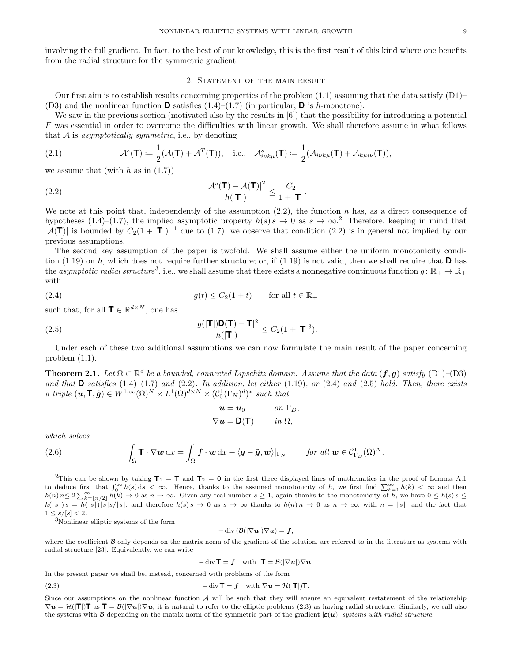involving the full gradient. In fact, to the best of our knowledge, this is the first result of this kind where one benefits from the radial structure for the symmetric gradient.

#### 2. STATEMENT OF THE MAIN RESULT

Our first aim is to establish results concerning properties of the problem  $(1.1)$  assuming that the data satisfy  $(D1)$ – (D3) and the nonlinear function **D** satisfies  $(1.4)$ – $(1.7)$  (in particular, **D** is h-monotone).

We saw in the previous section (motivated also by the results in [6]) that the possibility for introducing a potential F was essential in order to overcome the difficulties with linear growth. We shall therefore assume in what follows that  $A$  is *asymptotically symmetric*, i.e., by denoting

(2.1) 
$$
\mathcal{A}^s(\mathbf{T}) \coloneqq \frac{1}{2}(\mathcal{A}(\mathbf{T}) + \mathcal{A}^T(\mathbf{T})), \text{ i.e., } \mathcal{A}^s_{i\nu k\mu}(\mathbf{T}) \coloneqq \frac{1}{2}(\mathcal{A}_{i\nu k\mu}(\mathbf{T}) + \mathcal{A}_{k\mu i\nu}(\mathbf{T})),
$$

we assume that (with  $h$  as in  $(1.7)$ )

(2.2) 
$$
\frac{|\mathcal{A}^s(\mathbf{T}) - \mathcal{A}(\mathbf{T})|^2}{h(|\mathbf{T}|)} \le \frac{C_2}{1 + |\mathbf{T}|}
$$

We note at this point that, independently of the assumption  $(2.2)$ , the function h has, as a direct consequence of hypotheses (1.4)–(1.7), the implied asymptotic property  $h(s) s \to 0$  as  $s \to \infty$ .<sup>2</sup> Therefore, keeping in mind that  $|\mathcal{A}(\mathsf{T})|$  is bounded by  $C_2(1+|\mathsf{T}|)^{-1}$  due to (1.7), we observe that condition (2.2) is in general not implied by our previous assumptions.

.

The second key assumption of the paper is twofold. We shall assume either the uniform monotonicity condition (1.19) on h, which does not require further structure; or, if (1.19) is not valid, then we shall require that  $\bf{D}$  has the *asymptotic radial structure*<sup>3</sup>, i.e., we shall assume that there exists a nonnegative continuous function  $g: \mathbb{R}_+ \to \mathbb{R}_+$ with

(2.4) 
$$
g(t) \le C_2(1+t) \quad \text{for all } t \in \mathbb{R}_+
$$

such that, for all  $\mathbf{T} \in \mathbb{R}^{d \times N}$ , one has

(2.5) 
$$
\frac{|g(|\mathbf{T}|)\mathbf{D}(\mathbf{T}) - \mathbf{T}|^2}{h(|\mathbf{T}|)} \leq C_2(1 + |\mathbf{T}|^3).
$$

Under each of these two additional assumptions we can now formulate the main result of the paper concerning problem (1.1).

**Theorem 2.1.** Let  $\Omega \subset \mathbb{R}^d$  be a bounded, connected Lipschitz domain. Assume that the data  $(f, g)$  satisfy  $(D1)$ - $(D3)$ and that  $\bf{D}$  satisfies (1.4)–(1.7) and (2.2). In addition, let either (1.19), or (2.4) and (2.5) hold. Then, there exists a triple  $(\mathbf{u}, \mathbf{T}, \tilde{\mathbf{g}}) \in W^{1,\infty}(\Omega)^N \times L^1(\Omega)^{d \times N} \times (C_0^1(\Gamma_N)^d)^*$  such that

$$
\mathbf{u} = \mathbf{u}_0 \qquad \text{on } \Gamma_D,
$$
  

$$
\nabla \mathbf{u} = \mathbf{D}(\mathbf{T}) \qquad \text{in } \Omega,
$$

which solves

(2.6) 
$$
\int_{\Omega} \mathbf{T} \cdot \nabla \mathbf{w} \,dx = \int_{\Omega} \mathbf{f} \cdot \mathbf{w} \,dx + \langle \mathbf{g} - \tilde{\mathbf{g}}, \mathbf{w} \rangle |_{\Gamma_N} \quad \text{for all } \mathbf{w} \in \mathcal{C}_{\Gamma_D}^1(\overline{\Omega})^N.
$$

<sup>2</sup>This can be shown by taking  $T_1 = T$  and  $T_2 = 0$  in the first three displayed lines of mathematics in the proof of Lemma A.1 to deduce first that  $\int_0^\infty h(s) ds < \infty$ . Hence, thanks to the assumed monotonicity of h, we first find  $\sum_{k=1}^\infty h(k) < \infty$  and then  $h(n)$   $n \leq 2 \sum_{k=\lfloor n/2 \rfloor}^{\infty} h(k) \to 0$  as  $n \to \infty$ . Given any real number  $s \geq 1$ , again thanks to the monotonicity of h, we have  $0 \leq h(s)$  s  $\leq$  $h([s]) s = h([s])[s]s/[s],$  and therefore  $h(s) s \to 0$  as  $s \to \infty$  thanks to  $h(n)n \to 0$  as  $n \to \infty$ , with  $n = [s]$ , and the fact that  $1\le s/[s]<2.$ 

<sup>3</sup>Nonlinear elliptic systems of the form

$$
-\operatorname{div}(\mathcal{B}(|\nabla u|)\nabla u)=\mathbf{f},
$$

where the coefficient  $\beta$  only depends on the matrix norm of the gradient of the solution, are referred to in the literature as systems with radial structure [23]. Equivalently, we can write

$$
-\operatorname{div} \mathbf{T} = \mathbf{f} \quad \text{with} \quad \mathbf{T} = \mathcal{B}(|\nabla \mathbf{u}|) \nabla \mathbf{u}.
$$

In the present paper we shall be, instead, concerned with problems of the form

(2.3) 
$$
-\operatorname{div} \mathbf{T} = \mathbf{f} \quad \text{with } \nabla \mathbf{u} = \mathcal{H}(|\mathbf{T}|) \mathbf{T}.
$$

Since our assumptions on the nonlinear function  $A$  will be such that they will ensure an equivalent restatement of the relationship  $\nabla u = \mathcal{H}(|\mathsf{T}|)$ **T** as  $\mathsf{T} = \mathcal{B}(|\nabla u|) \nabla u$ , it is natural to refer to the elliptic problems (2.3) as having radial structure. Similarly, we call also the systems with B depending on the matrix norm of the symmetric part of the gradient  $|\varepsilon(u)|$  systems with radial structure.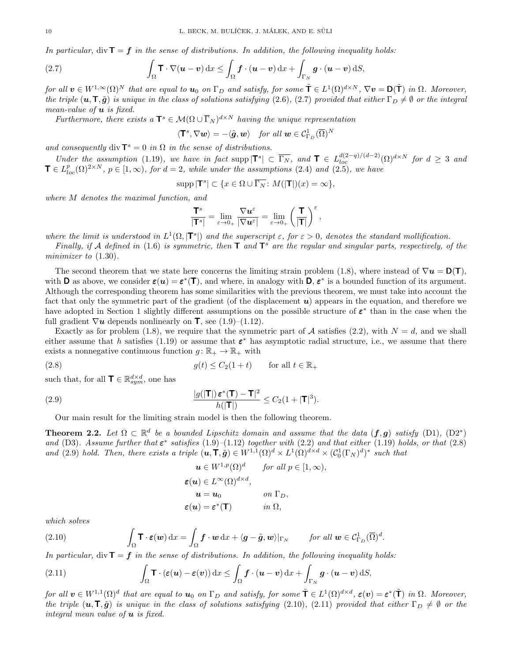In particular, div  $\mathbf{T} = \mathbf{f}$  in the sense of distributions. In addition, the following inequality holds:

(2.7) 
$$
\int_{\Omega} \mathbf{T} \cdot \nabla (\boldsymbol{u} - \boldsymbol{v}) \, dx \leq \int_{\Omega} \boldsymbol{f} \cdot (\boldsymbol{u} - \boldsymbol{v}) \, dx + \int_{\Gamma_N} \boldsymbol{g} \cdot (\boldsymbol{u} - \boldsymbol{v}) \, dS,
$$

for all  $\mathbf{v} \in W^{1,\infty}(\Omega)^N$  that are equal to  $\mathbf{u}_0$  on  $\Gamma_D$  and satisfy, for some  $\tilde{\mathbf{T}} \in L^1(\Omega)^{d \times N}$ ,  $\nabla \mathbf{v} = \mathbf{D}(\tilde{\mathbf{T}})$  in  $\Omega$ . Moreover, the triple  $(u, \mathsf{T}, \tilde{g})$  is unique in the class of solutions satisfying (2.6), (2.7) provided that either  $\Gamma_D \neq \emptyset$  or the integral mean-value of  $u$  is fixed.

Furthermore, there exists a  $\mathbf{T}^s \in \mathcal{M}(\Omega \cup \overline{\Gamma}_N)^{d \times N}$  having the unique representation

$$
\langle \mathbf{T}^s, \nabla \boldsymbol{w} \rangle = - \langle \tilde{\boldsymbol{g}}, \boldsymbol{w} \rangle \quad \textit{for all } \boldsymbol{w} \in \mathcal{C}^1_{\Gamma_D}(\overline{\Omega})^N
$$

and consequently div  $\mathbf{T}^s = 0$  in  $\Omega$  in the sense of distributions.

Under the assumption (1.19), we have in fact supp  $|\mathbf{T}^s| \subset \overline{\Gamma_N}$ , and  $\mathbf{T} \in L_{loc}^{d(2-q)/(d-2)}(\Omega)^{d\times N}$  for  $d \geq 3$  and  $\mathbf{T} \in L_{loc}^p(\Omega)^{2\times N}$ ,  $p \in [1,\infty)$ , for  $d=2$ , while under the assumptions (2.4) and (2.5), we have

$$
\operatorname{supp} |\mathbf{T}^s| \subset \{ x \in \Omega \cup \overline{\Gamma_N} \colon M(|\mathbf{T}|)(x) = \infty \},
$$

where M denotes the maximal function, and

$$
\frac{\mathsf{T}^s}{|\mathsf{T}^s|} = \lim_{\varepsilon \to 0_+} \frac{\nabla u^\varepsilon}{|\nabla u^\varepsilon|} = \lim_{\varepsilon \to 0_+} \left(\frac{\mathsf{T}}{|\mathsf{T}|}\right)^\varepsilon,
$$

where the limit is understood in  $L^1(\Omega, |\mathbf{T}^s|)$  and the superscript  $\varepsilon$ , for  $\varepsilon > 0$ , denotes the standard mollification.

Finally, if A defined in (1.6) is symmetric, then  $T$  and  $T^s$  are the regular and singular parts, respectively, of the minimizer to  $(1.30)$ .

The second theorem that we state here concerns the limiting strain problem (1.8), where instead of  $\nabla u = D(T)$ , with **D** as above, we consider  $\varepsilon(u) = \varepsilon^*(T)$ , and where, in analogy with **D**,  $\varepsilon^*$  is a bounded function of its argument. Although the corresponding theorem has some similarities with the previous theorem, we must take into account the fact that only the symmetric part of the gradient (of the displacement  $u$ ) appears in the equation, and therefore we have adopted in Section 1 slightly different assumptions on the possible structure of  $\varepsilon^*$  than in the case when the full gradient  $\nabla u$  depends nonlinearly on **T**, see (1.9)–(1.12).

Exactly as for problem (1.8), we require that the symmetric part of A satisfies (2.2), with  $N = d$ , and we shall either assume that h satisfies (1.19) or assume that  $\varepsilon^*$  has asymptotic radial structure, i.e., we assume that there exists a nonnegative continuous function  $g: \mathbb{R}_+ \to \mathbb{R}_+$  with

(2.8) 
$$
g(t) \le C_2(1+t) \quad \text{for all } t \in \mathbb{R}_+
$$

such that, for all  $\mathbf{T} \in \mathbb{R}^{d \times d}_{sym}$ , one has

(2.9) 
$$
\frac{|g(|\mathbf{T}|)\,\boldsymbol{\varepsilon}^*(\mathbf{T})-\mathbf{T}|^2}{h(|\mathbf{T}|)}\leq C_2(1+|\mathbf{T}|^3).
$$

Our main result for the limiting strain model is then the following theorem.

**Theorem 2.2.** Let  $\Omega \subset \mathbb{R}^d$  be a bounded Lipschitz domain and assume that the data  $(f,g)$  satisfy  $(D1)$ ,  $(D2^*)$ and (D3). Assume further that  $\varepsilon^*$  satisfies (1.9)–(1.12) together with (2.2) and that either (1.19) holds, or that (2.8) and (2.9) hold. Then, there exists a triple  $(\mathbf{u}, \mathbf{T}, \tilde{\mathbf{g}}) \in W^{1,1}(\Omega)^d \times L^1(\Omega)^{d \times d} \times (\mathcal{C}_0^1(\Gamma_N)^d)^*$  such that

$$
\mathbf{u} \in W^{1,p}(\Omega)^d \quad \text{for all } p \in [1,\infty),
$$
  

$$
\varepsilon(\mathbf{u}) \in L^{\infty}(\Omega)^{d \times d},
$$
  

$$
\mathbf{u} = \mathbf{u}_0 \quad \text{on } \Gamma_D,
$$
  

$$
\varepsilon(\mathbf{u}) = \varepsilon^*(\mathbf{T}) \quad \text{in } \Omega,
$$

which solves

(2.10) 
$$
\int_{\Omega} \mathbf{T} \cdot \boldsymbol{\varepsilon}(\boldsymbol{w}) dx = \int_{\Omega} \boldsymbol{f} \cdot \boldsymbol{w} dx + \langle \boldsymbol{g} - \tilde{\boldsymbol{g}}, \boldsymbol{w} \rangle |_{\Gamma_N} \quad \text{for all } \boldsymbol{w} \in C_{\Gamma_D}^1(\overline{\Omega})^d.
$$

In particular, div  $\mathbf{T} = \mathbf{f}$  in the sense of distributions. In addition, the following inequality holds:

(2.11) 
$$
\int_{\Omega} \mathbf{T} \cdot (\boldsymbol{\varepsilon}(\boldsymbol{u}) - \boldsymbol{\varepsilon}(\boldsymbol{v})) \, dx \leq \int_{\Omega} \boldsymbol{f} \cdot (\boldsymbol{u} - \boldsymbol{v}) \, dx + \int_{\Gamma_N} \boldsymbol{g} \cdot (\boldsymbol{u} - \boldsymbol{v}) \, dS,
$$

for all  $v oldsymbol{\in} W^{1,1}(\Omega)^d$  that are equal to  $u_0$  on  $\Gamma_D$  and satisfy, for some  $\tilde{\mathbf{T}} \in L^1(\Omega)^{d \times d}$ ,  $\varepsilon(v) = \varepsilon^*(\tilde{\mathbf{T}})$  in  $\Omega$ . Moreover, the triple  $(u,\mathsf{T},\tilde{g})$  is unique in the class of solutions satisfying (2.10), (2.11) provided that either  $\Gamma_D \neq \emptyset$  or the integral mean value of  $u$  is fixed.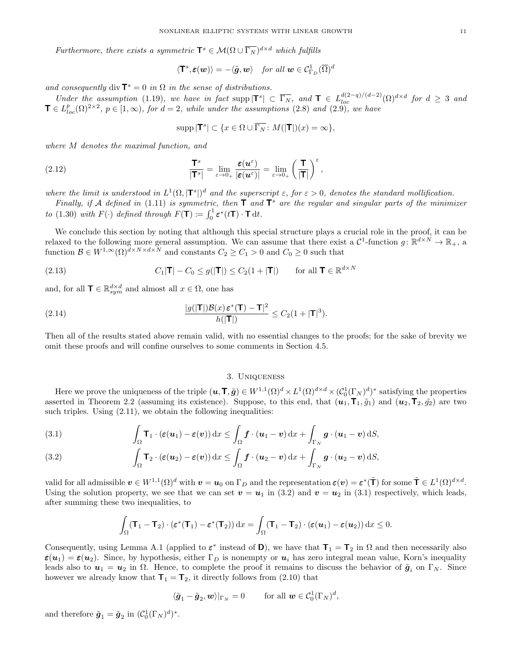Furthermore, there exists a symmetric  $\mathbf{T}^s \in \mathcal{M}(\Omega \cup \overline{\Gamma_N})^{d \times d}$  which fulfills

$$
\langle \mathbf{T}^s, \boldsymbol{\varepsilon}(\boldsymbol{w}) \rangle = - \langle \tilde{\boldsymbol{g}}, \boldsymbol{w} \rangle \quad \textit{for all } \boldsymbol{w} \in \mathcal{C}_{\Gamma_D}^1(\overline{\Omega})^d
$$

and consequently div  $\mathbf{T}^s = 0$  in  $\Omega$  in the sense of distributions.

Under the assumption (1.19), we have in fact supp  $|\mathbf{T}^s| \subset \overline{\Gamma_N}$ , and  $\mathbf{T} \in L^{d(2-q)/(d-2)}_{loc}(\Omega)^{d \times d}$  for  $d \geq 3$  and  $\mathbf{T} \in L_{loc}^p(\Omega)^{2\times 2}$ ,  $p \in [1,\infty)$ , for  $d=2$ , while under the assumptions (2.8) and (2.9), we have

$$
\operatorname{supp} |{\mathbf T}^s|\subset \{x\in \Omega\cup \overline{\Gamma_N}\colon M(|{\mathbf T}|)(x)=\infty\},
$$

where M denotes the maximal function, and

(2.12) 
$$
\frac{\mathbf{T}^s}{|\mathbf{T}^s|} = \lim_{\varepsilon \to 0_+} \frac{\varepsilon(\mathbf{u}^{\varepsilon})}{|\varepsilon(\mathbf{u}^{\varepsilon})|} = \lim_{\varepsilon \to 0_+} \left(\frac{\mathbf{T}}{|\mathbf{T}|}\right)^{\varepsilon},
$$

where the limit is understood in  $L^1(\Omega,|\mathbf{T}^s|)^d$  and the superscript  $\varepsilon$ , for  $\varepsilon > 0$ , denotes the standard mollification.

Finally, if A defined in (1.11) is symmetric, then  $T$  and  $T^s$  are the regular and singular parts of the minimizer to (1.30) with  $F(\cdot)$  defined through  $F(\mathbf{T}) := \int_0^1 \varepsilon^*(t\mathbf{T}) \cdot \mathbf{T} dt$ .

We conclude this section by noting that although this special structure plays a crucial role in the proof, it can be relaxed to the following more general assumption. We can assume that there exist a  $C^1$ -function  $g: \mathbb{R}^{d \times N} \to \mathbb{R}_+$ , a function  $\mathcal{B} \in W^{1,\infty}(\Omega)^{d \times N \times d \times N}$  and constants  $C_2 \geq C_1 > 0$  and  $C_0 \geq 0$  such that

(2.13) 
$$
C_1|\mathbf{T}| - C_0 \le g(|\mathbf{T}|) \le C_2(1+|\mathbf{T}|) \quad \text{for all } \mathbf{T} \in \mathbb{R}^{d \times N}
$$

and, for all  $\mathbf{T} \in \mathbb{R}^{d \times d}_{sym}$  and almost all  $x \in \Omega$ , one has

(2.14) 
$$
\frac{|g(|\mathbf{T}|)\mathcal{B}(x)\,\varepsilon^*(\mathbf{T})-\mathbf{T}|^2}{h(|\mathbf{T}|)}\leq C_2(1+|\mathbf{T}|^3).
$$

Then all of the results stated above remain valid, with no essential changes to the proofs; for the sake of brevity we omit these proofs and will confine ourselves to some comments in Section 4.5.

#### 3. Uniqueness

Here we prove the uniqueness of the triple  $(\boldsymbol{u}, \boldsymbol{\mathsf{T}}, \tilde{\boldsymbol{g}}) \in W^{1,1}(\Omega)^d \times L^1(\Omega)^{d \times d} \times (\mathcal{C}_0^1(\Gamma_N)^d)^*$  satisfying the properties asserted in Theorem 2.2 (assuming its existence). Suppose, to this end, that  $(\mathbf{u}_1, \mathbf{T}_1, \tilde{g}_1)$  and  $(\mathbf{u}_2, \mathbf{T}_2, \tilde{g}_2)$  are two such triples. Using  $(2.11)$ , we obtain the following inequalities:

(3.1) 
$$
\int_{\Omega} \mathbf{T}_1 \cdot (\varepsilon(\boldsymbol{u}_1) - \varepsilon(\boldsymbol{v})) \, dx \leq \int_{\Omega} \boldsymbol{f} \cdot (\boldsymbol{u}_1 - \boldsymbol{v}) \, dx + \int_{\Gamma_N} \boldsymbol{g} \cdot (\boldsymbol{u}_1 - \boldsymbol{v}) \, dS,
$$

(3.2) 
$$
\int_{\Omega} \mathbf{T}_2 \cdot (\boldsymbol{\varepsilon}(\boldsymbol{u}_2) - \boldsymbol{\varepsilon}(\boldsymbol{v})) \, dx \leq \int_{\Omega} \boldsymbol{f} \cdot (\boldsymbol{u}_2 - \boldsymbol{v}) \, dx + \int_{\Gamma_N} \boldsymbol{g} \cdot (\boldsymbol{u}_2 - \boldsymbol{v}) \, dS,
$$

valid for all admissible  $v \in W^{1,1}(\Omega)^d$  with  $v = u_0$  on  $\Gamma_D$  and the representation  $\varepsilon(v) = \varepsilon^*(\tilde{\mathbf{T}})$  for some  $\tilde{\mathbf{T}} \in L^1(\Omega)^{d \times d}$ . Using the solution property, we see that we can set  $v = u_1$  in (3.2) and  $v = u_2$  in (3.1) respectively, which leads, after summing these two inequalities, to

$$
\int_{\Omega} (\mathbf{T}_1 - \mathbf{T}_2) \cdot (\boldsymbol{\varepsilon}^*(\mathbf{T}_1) - \boldsymbol{\varepsilon}^*(\mathbf{T}_2)) dx = \int_{\Omega} (\mathbf{T}_1 - \mathbf{T}_2) \cdot (\boldsymbol{\varepsilon}(\boldsymbol{u}_1) - \boldsymbol{\varepsilon}(\boldsymbol{u}_2)) dx \leq 0.
$$

Consequently, using Lemma A.1 (applied to  $\varepsilon^*$  instead of D), we have that  $T_1 = T_2$  in  $\Omega$  and then necessarily also  $\varepsilon(u_1) = \varepsilon(u_2)$ . Since, by hypothesis, either  $\Gamma_D$  is nonempty or  $u_i$  has zero integral mean value, Korn's inequality leads also to  $u_1 = u_2$  in  $\Omega$ . Hence, to complete the proof it remains to discuss the behavior of  $\tilde{g}_i$  on  $\Gamma_N$ . Since however we already know that  $\mathbf{T}_1 = \mathbf{T}_2$ , it directly follows from (2.10) that

$$
\langle \tilde{\boldsymbol{g}}_1 - \tilde{\boldsymbol{g}}_2, \boldsymbol{w} \rangle |_{\Gamma_N} = 0
$$
 for all  $\boldsymbol{w} \in C_0^1(\Gamma_N)^d$ ,

and therefore  $\tilde{\boldsymbol{g}}_1 = \tilde{\boldsymbol{g}}_2$  in  $(C_0^1(\Gamma_N)^d)^*$ .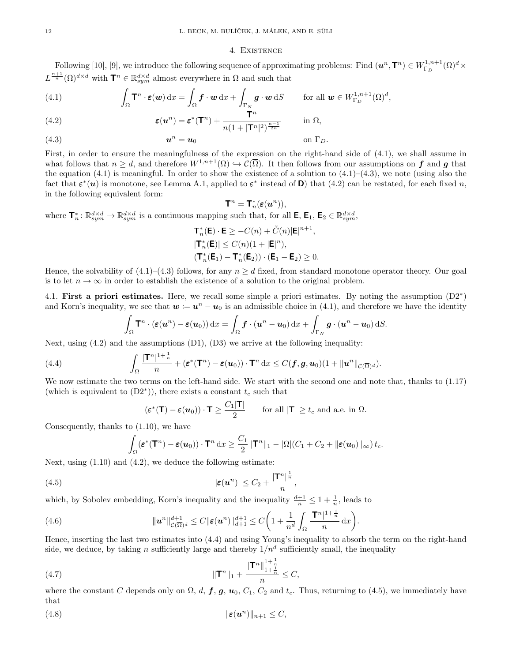## 4. Existence

Following [10], [9], we introduce the following sequence of approximating problems: Find  $(u^n, T^n) \in W^{1,n+1}_{\Gamma_D}(\Omega)^d \times$  $L^{\frac{n+1}{n}}(\Omega)^{d \times d}$  with  $\mathbf{T}^n \in \mathbb{R}^{d \times d}_{sym}$  almost everywhere in  $\Omega$  and such that

(4.1) 
$$
\int_{\Omega} \mathbf{T}^n \cdot \boldsymbol{\varepsilon}(\boldsymbol{w}) dx = \int_{\Omega} \boldsymbol{f} \cdot \boldsymbol{w} dx + \int_{\Gamma_{\underline{N}}} \boldsymbol{g} \cdot \boldsymbol{w} dS \quad \text{for all } \boldsymbol{w} \in W_{\Gamma_{\underline{D}}}^{1,n+1}(\Omega)^d,
$$

(4.2) 
$$
\epsilon(\mathbf{u}^n) = \epsilon^*(\mathbf{T}^n) + \frac{\mathbf{T}^n}{n(1+|\mathbf{T}^n|^2)^{\frac{n-1}{2n}}} \quad \text{in } \Omega,
$$

u n (4.3) = u<sup>0</sup> on ΓD.

First, in order to ensure the meaningfulness of the expression on the right-hand side of (4.1), we shall assume in what follows that  $n \geq d$ , and therefore  $W^{1,n+1}(\Omega) \hookrightarrow \mathcal{C}(\overline{\Omega})$ . It then follows from our assumptions on f and g that the equation  $(4.1)$  is meaningful. In order to show the existence of a solution to  $(4.1)-(4.3)$ , we note (using also the fact that  $\varepsilon^*(u)$  is monotone, see Lemma A.1, applied to  $\varepsilon^*$  instead of **D**) that (4.2) can be restated, for each fixed n, in the following equivalent form:

$$
\mathbf{T}^n=\mathbf{T}_n^*(\pmb{\varepsilon}(\pmb{u}^n)),
$$

where  $\mathbf{T}_n^* \colon \mathbb{R}^{d \times d}_{sym} \to \mathbb{R}^{d \times d}_{sym}$  is a continuous mapping such that, for all  $\mathbf{E}, \mathbf{E}_1, \mathbf{E}_2 \in \mathbb{R}^{d \times d}_{sym}$ ,

$$
\mathbf{T}_n^*(\mathbf{E}) \cdot \mathbf{E} \ge -C(n) + \tilde{C}(n)|\mathbf{E}|^{n+1},
$$
  
\n
$$
|\mathbf{T}_n^*(\mathbf{E})| \le C(n)(1 + |\mathbf{E}|^n),
$$
  
\n
$$
(\mathbf{T}_n^*(\mathbf{E}_1) - \mathbf{T}_n^*(\mathbf{E}_2)) \cdot (\mathbf{E}_1 - \mathbf{E}_2) \ge 0.
$$

Hence, the solvability of  $(4.1)$ – $(4.3)$  follows, for any  $n \geq d$  fixed, from standard monotone operator theory. Our goal is to let  $n \to \infty$  in order to establish the existence of a solution to the original problem.

4.1. First a priori estimates. Here, we recall some simple a priori estimates. By noting the assumption  $(D2^*)$ and Korn's inequality, we see that  $w := u^n - u_0$  is an admissible choice in (4.1), and therefore we have the identity

$$
\int_{\Omega} \mathbf{T}^n \cdot (\boldsymbol{\varepsilon}(\boldsymbol{u}^n) - \boldsymbol{\varepsilon}(\boldsymbol{u}_0)) \, dx = \int_{\Omega} \boldsymbol{f} \cdot (\boldsymbol{u}^n - \boldsymbol{u}_0) \, dx + \int_{\Gamma_N} \boldsymbol{g} \cdot (\boldsymbol{u}^n - \boldsymbol{u}_0) \, dS.
$$

Next, using  $(4.2)$  and the assumptions  $(D1)$ ,  $(D3)$  we arrive at the following inequality:

(4.4) 
$$
\int_{\Omega} \frac{|\mathbf{T}^n|^{1+\frac{1}{n}}}{n} + (\boldsymbol{\varepsilon}^*(\mathbf{T}^n) - \boldsymbol{\varepsilon}(\boldsymbol{u}_0)) \cdot \mathbf{T}^n dx \leq C(\boldsymbol{f}, \boldsymbol{g}, \boldsymbol{u}_0) (1 + ||\boldsymbol{u}^n||_{\mathcal{C}(\overline{\Omega})^d}).
$$

We now estimate the two terms on the left-hand side. We start with the second one and note that, thanks to  $(1.17)$ (which is equivalent to  $(D2^*)$ ), there exists a constant  $t_c$  such that

$$
(\boldsymbol{\varepsilon}^*(\mathbf{T}) - \boldsymbol{\varepsilon}(\boldsymbol{u}_0)) \cdot \mathbf{T} \ge \frac{C_1 |\mathbf{T}|}{2}
$$
 for all  $|\mathbf{T}| \ge t_c$  and a.e. in  $\Omega$ .

Consequently, thanks to (1.10), we have

$$
\int_{\Omega} (\boldsymbol{\varepsilon}^*(\mathbf{T}^n) - \boldsymbol{\varepsilon}(\boldsymbol{u}_0)) \cdot \mathbf{T}^n \, dx \geq \frac{C_1}{2} \|\mathbf{T}^n\|_1 - |\Omega|(C_1 + C_2 + ||\boldsymbol{\varepsilon}(\boldsymbol{u}_0)||_{\infty}) \, t_c.
$$

Next, using (1.10) and (4.2), we deduce the following estimate:

(4.5) 
$$
|\varepsilon(\boldsymbol{u}^n)| \leq C_2 + \frac{|\mathbf{T}^n|^{\frac{1}{n}}}{n},
$$

which, by Sobolev embedding, Korn's inequality and the inequality  $\frac{d+1}{n} \leq 1 + \frac{1}{n}$ , leads to

(4.6) 
$$
\|u^n\|_{\mathcal{C}(\overline{\Omega})^d}^{d+1} \leq C \|\boldsymbol{\varepsilon}(u^n)\|_{d+1}^{d+1} \leq C \bigg(1 + \frac{1}{n^d} \int_{\Omega} \frac{|\mathsf{T}^n|^{1+\frac{1}{n}}}{n} dx\bigg).
$$

Hence, inserting the last two estimates into (4.4) and using Young's inequality to absorb the term on the right-hand side, we deduce, by taking n sufficiently large and thereby  $1/n^d$  sufficiently small, the inequality

(4.7) 
$$
\|\mathbf{T}^n\|_1 + \frac{\|\mathbf{T}^n\|_{1+\frac{1}{n}}^{1+\frac{1}{n}}}{n} \leq C,
$$

where the constant C depends only on  $\Omega$ , d, f, g,  $u_0$ ,  $C_1$ ,  $C_2$  and  $t_c$ . Thus, returning to (4.5), we immediately have that

$$
||\varepsilon(\boldsymbol{u}^n)||_{n+1} \leq C,
$$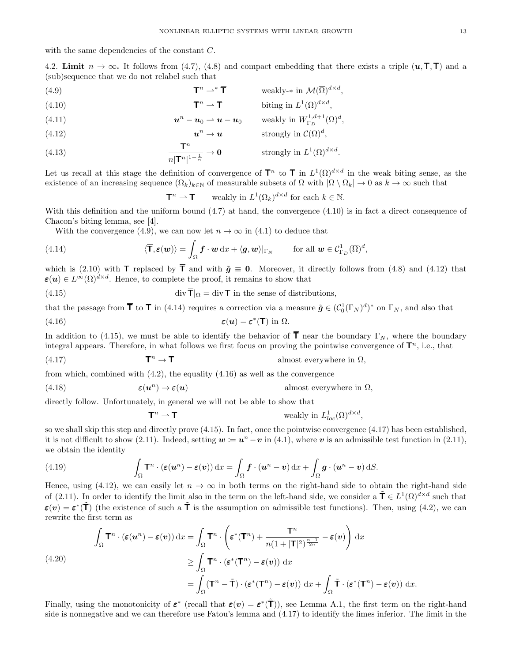with the same dependencies of the constant C.

4.2. Limit  $n \to \infty$ . It follows from (4.7), (4.8) and compact embedding that there exists a triple  $(u, \mathsf{T}, \overline{\mathsf{T}})$  and a (sub)sequence that we do not relabel such that

(4.9) 
$$
\mathbf{T}^n \rightharpoonup^* \overline{\mathbf{T}} \qquad \text{ weakly-* in } \mathcal{M}(\overline{\Omega})^{d \times d},
$$

(4.10) 
$$
\mathbf{T}^n \rightharpoonup \mathbf{T} \qquad \text{biting in } L^1(\Omega)^{d \times d},
$$

(4.11) 
$$
\mathbf{u}^n - \mathbf{u}_0 \rightharpoonup \mathbf{u} - \mathbf{u}_0 \quad \text{weakly in } W_{\Gamma_D}^{1,d+1}(\Omega)^d,
$$

(4.12) 
$$
\mathbf{u}^n \to \mathbf{u} \quad \text{strongly in } \mathcal{C}(\overline{\Omega})^d,
$$

(4.13) 
$$
\frac{\mathbf{T}^n}{n|\mathbf{T}^n|^{1-\frac{1}{n}}} \to \mathbf{0} \quad \text{strongly in } L^1(\Omega)^{d \times d}.
$$

Let us recall at this stage the definition of convergence of  $\mathbf{T}^n$  to  $\mathbf{T}$  in  $L^1(\Omega)^{d \times d}$  in the weak biting sense, as the existence of an increasing sequence  $(\Omega_k)_{k\in\mathbb{N}}$  of measurable subsets of  $\Omega$  with  $|\Omega \setminus \Omega_k| \to 0$  as  $k \to \infty$  such that

$$
\mathbf{T}^n \rightharpoonup \mathbf{T} \qquad \text{weakly in } L^1(\Omega_k)^{d \times d} \text{ for each } k \in \mathbb{N}.
$$

With this definition and the uniform bound (4.7) at hand, the convergence (4.10) is in fact a direct consequence of Chacon's biting lemma, see [4].

With the convergence (4.9), we can now let  $n \to \infty$  in (4.1) to deduce that

(4.14) 
$$
\langle \overline{\mathbf{T}}, \boldsymbol{\varepsilon}(\boldsymbol{w}) \rangle = \int_{\Omega} \boldsymbol{f} \cdot \boldsymbol{w} \, dx + \langle \boldsymbol{g}, \boldsymbol{w} \rangle |_{\Gamma_N} \quad \text{for all } \boldsymbol{w} \in \mathcal{C}_{\Gamma_D}^1(\overline{\Omega})^d,
$$

which is (2.10) with **T** replaced by  $\overline{T}$  and with  $\tilde{q} \equiv 0$ . Moreover, it directly follows from (4.8) and (4.12) that  $\varepsilon(u) \in L^{\infty}(\Omega)^{d \times d}$ . Hence, to complete the proof, it remains to show that

(4.15) 
$$
\operatorname{div} \overline{\mathbf{T}}|_{\Omega} = \operatorname{div} \mathbf{T} \text{ in the sense of distributions,}
$$

that the passage from  $\bar{\mathsf{T}}$  to  $\mathsf{T}$  in (4.14) requires a correction via a measure  $\tilde{\boldsymbol{g}} \in (\mathcal{C}_0^1(\Gamma_N)^d)^*$  on  $\Gamma_N$ , and also that

(4.16) 
$$
\boldsymbol{\varepsilon}(\boldsymbol{u}) = \boldsymbol{\varepsilon}^*(\mathbf{T}) \text{ in } \Omega.
$$

In addition to (4.15), we must be able to identify the behavior of  $\bar{\mathsf{T}}$  near the boundary  $\Gamma_N$ , where the boundary integral appears. Therefore, in what follows we first focus on proving the pointwise convergence of  $\mathsf{T}^n$ , i.e., that

(4.17) 
$$
\mathbf{T}^n \to \mathbf{T}
$$
 almost everywhere in  $\Omega$ ,

from which, combined with  $(4.2)$ , the equality  $(4.16)$  as well as the convergence

(4.18) 
$$
\boldsymbol{\varepsilon}(\boldsymbol{u}^n) \to \boldsymbol{\varepsilon}(\boldsymbol{u})
$$
 almost everywhere in  $\Omega$ ,

directly follow. Unfortunately, in general we will not be able to show that

$$
\mathbf{T}^n \rightharpoonup \mathbf{T}
$$
 weakly in  $L^1_{loc}(\Omega)^{d \times d}$ 

,

so we shall skip this step and directly prove (4.15). In fact, once the pointwise convergence (4.17) has been established, it is not difficult to show (2.11). Indeed, setting  $w := u^n - v$  in (4.1), where v is an admissible test function in (2.11), we obtain the identity

(4.19) 
$$
\int_{\Omega} \mathbf{T}^n \cdot (\boldsymbol{\varepsilon}(\boldsymbol{u}^n) - \boldsymbol{\varepsilon}(\boldsymbol{v})) \, dx = \int_{\Omega} \boldsymbol{f} \cdot (\boldsymbol{u}^n - \boldsymbol{v}) \, dx + \int_{\Omega} \boldsymbol{g} \cdot (\boldsymbol{u}^n - \boldsymbol{v}) \, dS.
$$

Hence, using (4.12), we can easily let  $n \to \infty$  in both terms on the right-hand side to obtain the right-hand side of (2.11). In order to identify the limit also in the term on the left-hand side, we consider a  $\tilde{\mathbf{T}} \in L^1(\Omega)^{d \times d}$  such that  $\varepsilon(v) = \varepsilon^*(\tilde{\mathsf{T}})$  (the existence of such a  $\tilde{\mathsf{T}}$  is the assumption on admissible test functions). Then, using (4.2), we can rewrite the first term as

(4.20)  
\n
$$
\int_{\Omega} \mathbf{T}^n \cdot (\boldsymbol{\varepsilon}(\boldsymbol{u}^n) - \boldsymbol{\varepsilon}(\boldsymbol{v})) dx = \int_{\Omega} \mathbf{T}^n \cdot \left( \boldsymbol{\varepsilon}^*(\mathbf{T}^n) + \frac{\mathbf{T}^n}{n(1+|\mathbf{T}|^2)^{\frac{n-1}{2n}}} - \boldsymbol{\varepsilon}(\boldsymbol{v}) \right) dx
$$
\n
$$
\geq \int_{\Omega} \mathbf{T}^n \cdot (\boldsymbol{\varepsilon}^*(\mathbf{T}^n) - \boldsymbol{\varepsilon}(\boldsymbol{v})) dx
$$
\n
$$
= \int_{\Omega} (\mathbf{T}^n - \tilde{\mathbf{T}}) \cdot (\boldsymbol{\varepsilon}^*(\mathbf{T}^n) - \boldsymbol{\varepsilon}(\boldsymbol{v})) dx + \int_{\Omega} \tilde{\mathbf{T}} \cdot (\boldsymbol{\varepsilon}^*(\mathbf{T}^n) - \boldsymbol{\varepsilon}(\boldsymbol{v})) dx.
$$

Finally, using the monotonicity of  $\varepsilon^*$  (recall that  $\varepsilon(v) = \varepsilon^*(\tilde{\mathbf{T}})$ ), see Lemma A.1, the first term on the right-hand side is nonnegative and we can therefore use Fatou's lemma and (4.17) to identify the limes inferior. The limit in the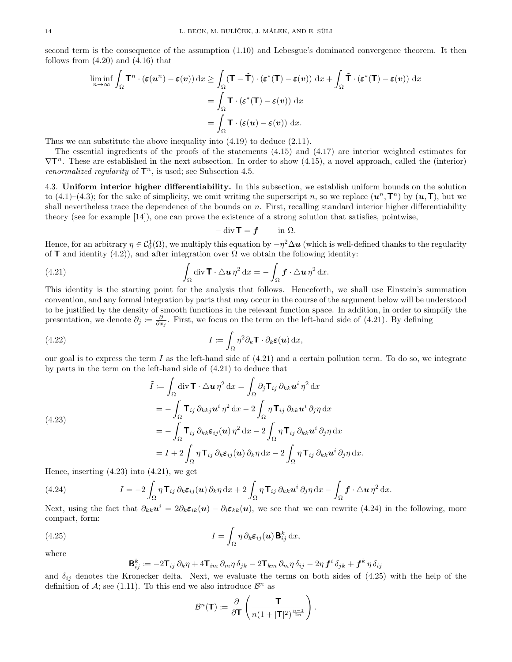second term is the consequence of the assumption (1.10) and Lebesgue's dominated convergence theorem. It then follows from  $(4.20)$  and  $(4.16)$  that

$$
\liminf_{n \to \infty} \int_{\Omega} \mathbf{T}^n \cdot (\varepsilon(\mathbf{u}^n) - \varepsilon(\mathbf{v})) dx \ge \int_{\Omega} (\mathbf{T} - \tilde{\mathbf{T}}) \cdot (\varepsilon^*(\mathbf{T}) - \varepsilon(\mathbf{v})) dx + \int_{\Omega} \tilde{\mathbf{T}} \cdot (\varepsilon^*(\mathbf{T}) - \varepsilon(\mathbf{v})) dx
$$

$$
= \int_{\Omega} \mathbf{T} \cdot (\varepsilon^*(\mathbf{T}) - \varepsilon(\mathbf{v})) dx
$$

$$
= \int_{\Omega} \mathbf{T} \cdot (\varepsilon(\mathbf{u}) - \varepsilon(\mathbf{v})) dx.
$$

Thus we can substitute the above inequality into (4.19) to deduce (2.11).

The essential ingredients of the proofs of the statements (4.15) and (4.17) are interior weighted estimates for  $\nabla T^n$ . These are established in the next subsection. In order to show (4.15), a novel approach, called the (interior) *renormalized regularity* of  $\mathbf{T}^n$ , is used; see Subsection 4.5.

4.3. Uniform interior higher differentiability. In this subsection, we establish uniform bounds on the solution to (4.1)–(4.3); for the sake of simplicity, we omit writing the superscript n, so we replace  $(u^n, T^n)$  by  $(u, T)$ , but we shall nevertheless trace the dependence of the bounds on  $n$ . First, recalling standard interior higher differentiability theory (see for example [14]), one can prove the existence of a strong solution that satisfies, pointwise,

$$
-\operatorname{div} \mathbf{T} = \mathbf{f} \qquad \text{in } \Omega.
$$

Hence, for an arbitrary  $\eta \in C_0^1(\Omega)$ , we multiply this equation by  $-\eta^2 \Delta u$  (which is well-defined thanks to the regularity of **T** and identity (4.2)), and after integration over  $\Omega$  we obtain the following identity:

(4.21) 
$$
\int_{\Omega} \operatorname{div} \mathbf{T} \cdot \Delta \mathbf{u} \, \eta^2 \, \mathrm{d}x = - \int_{\Omega} \mathbf{f} \cdot \Delta \mathbf{u} \, \eta^2 \, \mathrm{d}x.
$$

This identity is the starting point for the analysis that follows. Henceforth, we shall use Einstein's summation convention, and any formal integration by parts that may occur in the course of the argument below will be understood to be justified by the density of smooth functions in the relevant function space. In addition, in order to simplify the presentation, we denote  $\partial_j \coloneqq \frac{\partial}{\partial x_j}$ . First, we focus on the term on the left-hand side of (4.21). By defining

(4.22) 
$$
I := \int_{\Omega} \eta^2 \partial_k \mathbf{T} \cdot \partial_k \boldsymbol{\varepsilon}(\boldsymbol{u}) \, \mathrm{d}x,
$$

our goal is to express the term I as the left-hand side of  $(4.21)$  and a certain pollution term. To do so, we integrate by parts in the term on the left-hand side of (4.21) to deduce that

(4.23)  
\n
$$
\tilde{I} := \int_{\Omega} \text{div}\,\mathbf{T} \cdot \triangle \mathbf{u} \,\eta^2 \,dx = \int_{\Omega} \partial_j \mathbf{T}_{ij} \,\partial_{kk} \mathbf{u}^i \,\eta^2 \,dx
$$
\n
$$
= -\int_{\Omega} \mathbf{T}_{ij} \,\partial_{kk} \mathbf{u}^i \,\eta^2 \,dx - 2 \int_{\Omega} \eta \mathbf{T}_{ij} \,\partial_{kk} \mathbf{u}^i \,\partial_j \eta \,dx
$$
\n
$$
= -\int_{\Omega} \mathbf{T}_{ij} \,\partial_{kk} \varepsilon_{ij}(\mathbf{u}) \,\eta^2 \,dx - 2 \int_{\Omega} \eta \mathbf{T}_{ij} \,\partial_{kk} \mathbf{u}^i \,\partial_j \eta \,dx
$$
\n
$$
= I + 2 \int_{\Omega} \eta \mathbf{T}_{ij} \,\partial_k \varepsilon_{ij}(\mathbf{u}) \,\partial_k \eta \,dx - 2 \int_{\Omega} \eta \mathbf{T}_{ij} \,\partial_{kk} \mathbf{u}^i \,\partial_j \eta \,dx.
$$

Hence, inserting  $(4.23)$  into  $(4.21)$ , we get

(4.24) 
$$
I = -2 \int_{\Omega} \eta \mathbf{T}_{ij} \, \partial_k \varepsilon_{ij}(\mathbf{u}) \, \partial_k \eta \, dx + 2 \int_{\Omega} \eta \mathbf{T}_{ij} \, \partial_k \kappa \mathbf{u}^i \, \partial_j \eta \, dx - \int_{\Omega} \mathbf{f} \cdot \Delta \mathbf{u} \, \eta^2 \, dx.
$$

Next, using the fact that  $\partial_{kk}u^i = 2\partial_k \varepsilon_{ik}(u) - \partial_i \varepsilon_{kk}(u)$ , we see that we can rewrite (4.24) in the following, more compact, form:

(4.25) 
$$
I = \int_{\Omega} \eta \, \partial_k \boldsymbol{\varepsilon}_{ij}(\boldsymbol{u}) \, \mathbf{B}_{ij}^k \, \mathrm{d}x,
$$

where

 ${\sf B}^k_{ij} \coloneqq -2 {\sf T}_{ij} \, \partial_k \eta + 4 {\sf T}_{im} \, \partial_m \eta \, \delta_{jk} -2 {\sf T}_{km} \, \partial_m \eta \, \delta_{ij} - 2 \eta \, {\bm f}^i \, \delta_{jk} + {\bm f}^k \, \eta \, \delta_{ij}$ 

and  $\delta_{ij}$  denotes the Kronecker delta. Next, we evaluate the terms on both sides of (4.25) with the help of the definition of  $A$ ; see (1.11). To this end we also introduce  $\mathcal{B}^n$  as

$$
\mathcal{B}^n(\mathbf{T}) \coloneqq \frac{\partial}{\partial \mathbf{T}} \left( \frac{\mathbf{T}}{n(1+|\mathbf{T}|^2)^{\frac{n-1}{2n}}} \right).
$$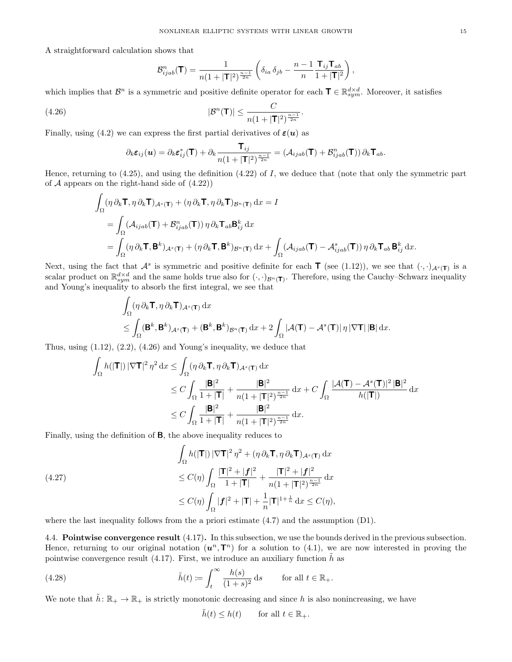A straightforward calculation shows that

$$
\mathcal{B}_{ijab}^n(\mathbf{T}) = \frac{1}{n(1+|\mathbf{T}|^2)^{\frac{n-1}{2n}}} \left( \delta_{ia} \,\delta_{jb} - \frac{n-1}{n} \frac{\mathbf{T}_{ij} \mathbf{T}_{ab}}{1+|\mathbf{T}|^2} \right),\,
$$

.

which implies that  $\mathcal{B}^n$  is a symmetric and positive definite operator for each  $\mathbf{T} \in \mathbb{R}^{d \times d}_{sym}$ . Moreover, it satisfies

$$
|\mathcal{B}^n(\mathbf{T})| \le \frac{C}{n(1+|\mathbf{T}|^2)^{\frac{n-1}{2n}}}
$$

Finally, using (4.2) we can express the first partial derivatives of  $\varepsilon(u)$  as

$$
\partial_k \varepsilon_{ij}(\mathbf{u}) = \partial_k \varepsilon_{ij}^*(\mathbf{T}) + \partial_k \frac{\mathbf{T}_{ij}}{n(1+|\mathbf{T}|^2)^{\frac{n-1}{2n}}} = (\mathcal{A}_{ijab}(\mathbf{T}) + \mathcal{B}_{ijab}^n(\mathbf{T})) \partial_k \mathbf{T}_{ab}.
$$

Hence, returning to  $(4.25)$ , and using the definition  $(4.22)$  of I, we deduce that (note that only the symmetric part of  $A$  appears on the right-hand side of  $(4.22)$ )

$$
\int_{\Omega} (\eta \, \partial_k \mathbf{T}, \eta \, \partial_k \mathbf{T})_{A^s(\mathbf{T})} + (\eta \, \partial_k \mathbf{T}, \eta \, \partial_k \mathbf{T})_{B^n(\mathbf{T})} \, dx = I
$$
\n
$$
= \int_{\Omega} (\mathcal{A}_{ijab}(\mathbf{T}) + \mathcal{B}_{ijab}^n(\mathbf{T})) \, \eta \, \partial_k \mathbf{T}_{ab} \mathbf{B}_{ij}^k \, dx
$$
\n
$$
= \int_{\Omega} (\eta \, \partial_k \mathbf{T}, \mathbf{B}^k)_{A^s(\mathbf{T})} + (\eta \, \partial_k \mathbf{T}, \mathbf{B}^k)_{B^n(\mathbf{T})} \, dx + \int_{\Omega} (\mathcal{A}_{ijab}(\mathbf{T}) - \mathcal{A}_{ijab}^s(\mathbf{T})) \, \eta \, \partial_k \mathbf{T}_{ab} \, \mathbf{B}_{ij}^k \, dx.
$$

Next, using the fact that  $\mathcal{A}^s$  is symmetric and positive definite for each **T** (see (1.12)), we see that  $(\cdot, \cdot)_{\mathcal{A}^s(\mathbf{T})}$  is a scalar product on  $\mathbb{R}^{d\times d}_{sym}$  and the same holds true also for  $(\cdot,\cdot)_{\mathcal{B}^n(\mathsf{T})}$ . Therefore, using the Cauchy–Schwarz inequality and Young's inequality to absorb the first integral, we see that

$$
\int_{\Omega} (\eta \, \partial_k \mathbf{T}, \eta \, \partial_k \mathbf{T})_{\mathcal{A}^s(\mathbf{T})} \, dx \n\leq \int_{\Omega} (\mathbf{B}^k, \mathbf{B}^k)_{\mathcal{A}^s(\mathbf{T})} + (\mathbf{B}^k, \mathbf{B}^k)_{\mathcal{B}^n(\mathbf{T})} \, dx + 2 \int_{\Omega} |\mathcal{A}(\mathbf{T}) - \mathcal{A}^s(\mathbf{T})| \, \eta \, |\nabla \mathbf{T}| \, |\mathbf{B}| \, dx.
$$

Thus, using  $(1.12)$ ,  $(2.2)$ ,  $(4.26)$  and Young's inequality, we deduce that

$$
\int_{\Omega} h(|\mathbf{T}|) |\nabla \mathbf{T}|^2 \eta^2 dx \le \int_{\Omega} (\eta \, \partial_k \mathbf{T}, \eta \, \partial_k \mathbf{T})_{\mathcal{A}^s(\mathbf{T})} dx
$$
\n
$$
\le C \int_{\Omega} \frac{|\mathbf{B}|^2}{1+|\mathbf{T}|} + \frac{|\mathbf{B}|^2}{n(1+|\mathbf{T}|^2)^{\frac{n-1}{2n}}} dx + C \int_{\Omega} \frac{|\mathcal{A}(\mathbf{T}) - \mathcal{A}^s(\mathbf{T})|^2 |\mathbf{B}|^2}{h(|\mathbf{T}|)} dx
$$
\n
$$
\le C \int_{\Omega} \frac{|\mathbf{B}|^2}{1+|\mathbf{T}|} + \frac{|\mathbf{B}|^2}{n(1+|\mathbf{T}|^2)^{\frac{n-1}{2n}}} dx.
$$

Finally, using the definition of B, the above inequality reduces to

(4.27)  
\n
$$
\int_{\Omega} h(|\mathbf{T}|) |\nabla \mathbf{T}|^2 \eta^2 + (\eta \partial_k \mathbf{T}, \eta \partial_k \mathbf{T})_{A^s(\mathbf{T})} dx
$$
\n
$$
\leq C(\eta) \int_{\Omega} \frac{|\mathbf{T}|^2 + |\mathbf{f}|^2}{1 + |\mathbf{T}|} + \frac{|\mathbf{T}|^2 + |\mathbf{f}|^2}{n(1 + |\mathbf{T}|^2)^{\frac{n-1}{2n}}} dx
$$
\n
$$
\leq C(\eta) \int_{\Omega} |\mathbf{f}|^2 + |\mathbf{T}| + \frac{1}{n} |\mathbf{T}|^{1 + \frac{1}{n}} dx \leq C(\eta),
$$

where the last inequality follows from the a priori estimate  $(4.7)$  and the assumption  $(D1)$ .

4.4. Pointwise convergence result (4.17). In this subsection, we use the bounds derived in the previous subsection. Hence, returning to our original notation  $(u^n, T^n)$  for a solution to (4.1), we are now interested in proving the pointwise convergence result (4.17). First, we introduce an auxiliary function  $\hat{h}$  as

(4.28) 
$$
\tilde{h}(t) := \int_t^{\infty} \frac{h(s)}{(1+s)^2} ds \quad \text{for all } t \in \mathbb{R}_+.
$$

We note that  $\tilde{h} \colon \mathbb{R}_+ \to \mathbb{R}_+$  is strictly monotonic decreasing and since h is also nonincreasing, we have

$$
\tilde{h}(t) \le h(t) \qquad \text{for all } t \in \mathbb{R}_+.
$$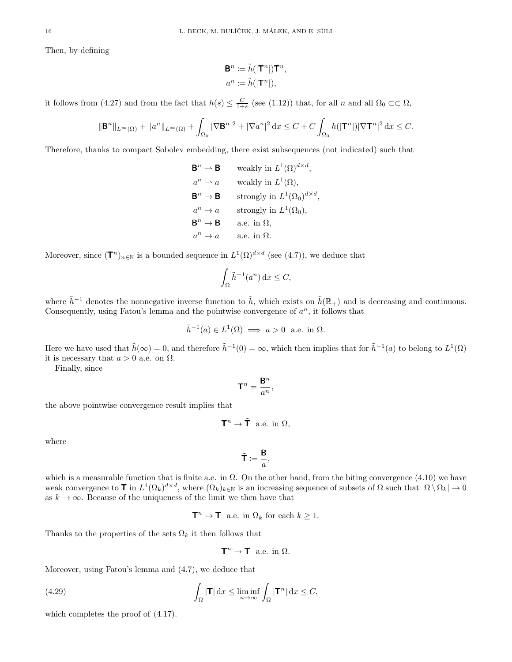Then, by defining

$$
\mathbf{B}^n \coloneqq \tilde{h}(|\mathbf{T}^n|)\mathbf{T}^n,
$$
  

$$
a^n \coloneqq \tilde{h}(|\mathbf{T}^n|),
$$

it follows from (4.27) and from the fact that  $h(s) \leq \frac{C}{1+s}$  (see (1.12)) that, for all n and all  $\Omega_0 \subset\subset \Omega$ ,

$$
\|\mathbf{B}^n\|_{L^{\infty}(\Omega)} + \|a^n\|_{L^{\infty}(\Omega)} + \int_{\Omega_0} |\nabla \mathbf{B}^n|^2 + |\nabla a^n|^2 \, \mathrm{d}x \le C + C \int_{\Omega_0} h(|\mathbf{T}^n|) |\nabla \mathbf{T}^n|^2 \, \mathrm{d}x \le C.
$$

Therefore, thanks to compact Sobolev embedding, there exist subsequences (not indicated) such that

 $\mathbf{B}^n \to \mathbf{B}$  $n \to \mathbf{B}$  weakly in  $L^1(\Omega)^{d \times d}$ ,  $a^n \rightharpoonup a$  weakly in  $L^1(\Omega)$ ,  $\mathbf{B}^n \to \mathbf{B}$  strongly in  $L^1(\Omega_0)^{d \times d}$ ,  $a^n \to a$  strongly in  $L^1(\Omega_0)$ ,  $\mathsf{B}^n \to \mathsf{B}$ a.e. in  $\Omega$ .  $a^n \rightarrow a$ a.e. in  $\Omega$ .

Moreover, since  $(\mathbf{T}^n)_{n\in\mathbb{N}}$  is a bounded sequence in  $L^1(\Omega)^{d\times d}$  (see (4.7)), we deduce that

$$
\int_{\Omega} \tilde{h}^{-1}(a^n) \, \mathrm{d}x \le C,
$$

where  $\tilde{h}^{-1}$  denotes the nonnegative inverse function to  $\tilde{h}$ , which exists on  $\tilde{h}(\mathbb{R}_+)$  and is decreasing and continuous. Consequently, using Fatou's lemma and the pointwise convergence of  $a^n$ , it follows that

$$
\tilde{h}^{-1}(a) \in L^1(\Omega) \implies a > 0 \text{ a.e. in } \Omega.
$$

Here we have used that  $\tilde{h}(\infty) = 0$ , and therefore  $\tilde{h}^{-1}(0) = \infty$ , which then implies that for  $\tilde{h}^{-1}(a)$  to belong to  $L^1(\Omega)$ it is necessary that  $a > 0$  a.e. on  $\Omega$ .

Finally, since

$$
\mathbf{T}^n = \frac{\mathbf{B}^n}{a^n},
$$

the above pointwise convergence result implies that

$$
\mathbf{T}^n \to \tilde{\mathbf{T}} \text{ a.e. in } \Omega,
$$

where

$$
\tilde{\mathbf{T}}\coloneqq \frac{\mathbf{B}}{a},
$$

which is a measurable function that is finite a.e. in  $\Omega$ . On the other hand, from the biting convergence (4.10) we have weak convergence to  $\mathbf{T}$  in  $L^1(\Omega_k)^{d \times d}$ , where  $(\Omega_k)_{k \in \mathbb{N}}$  is an increasing sequence of subsets of  $\Omega$  such that  $|\Omega \setminus \Omega_k| \to 0$ as  $k \to \infty$ . Because of the uniqueness of the limit we then have that

 $\mathbf{T}^n \to \mathbf{T}$  a.e. in  $\Omega_k$  for each  $k \geq 1$ .

Thanks to the properties of the sets  $\Omega_k$  it then follows that

$$
\mathbf{T}^n \to \mathbf{T} \text{ a.e. in } \Omega.
$$

Moreover, using Fatou's lemma and (4.7), we deduce that

(4.29) 
$$
\int_{\Omega} |\mathbf{T}| dx \le \liminf_{n \to \infty} \int_{\Omega} |\mathbf{T}^n| dx \le C,
$$

which completes the proof of (4.17).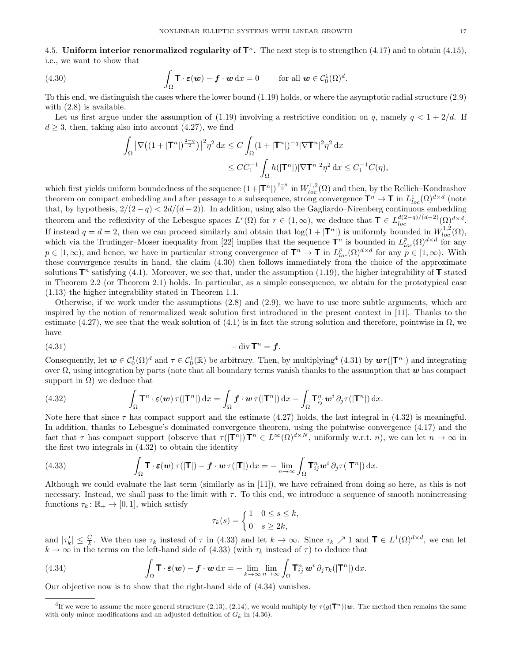4.5. Uniform interior renormalized regularity of  $\mathbf{T}^n$ . The next step is to strengthen (4.17) and to obtain (4.15), i.e., we want to show that

(4.30) 
$$
\int_{\Omega} \mathbf{T} \cdot \boldsymbol{\varepsilon}(\boldsymbol{w}) - \boldsymbol{f} \cdot \boldsymbol{w} \, dx = 0 \quad \text{for all } \boldsymbol{w} \in C_0^1(\Omega)^d.
$$

To this end, we distinguish the cases where the lower bound (1.19) holds, or where the asymptotic radial structure (2.9) with  $(2.8)$  is available.

Let us first argue under the assumption of (1.19) involving a restrictive condition on q, namely  $q < 1 + 2/d$ . If  $d \geq 3$ , then, taking also into account (4.27), we find

$$
\int_{\Omega} \left| \nabla \left( (1+|\mathbf{T}^n|)^{\frac{2-q}{2}} \right) \right|^2 \eta^2 dx \le C \int_{\Omega} (1+|\mathbf{T}^n|)^{-q} |\nabla \mathbf{T}^n|^2 \eta^2 dx
$$
  

$$
\le CC_1^{-1} \int_{\Omega} h(|\mathbf{T}^n|) |\nabla \mathbf{T}^n|^2 \eta^2 dx \le C_1^{-1} C(\eta),
$$

which first yields uniform boundedness of the sequence  $(1+|\mathbf{T}^n|)^{\frac{2-q}{2}}$  in  $W^{1,2}_{loc}(\Omega)$  and then, by the Rellich–Kondrashov theorem on compact embedding and after passage to a subsequence, strong convergence  $\mathbf{T}^n \to \mathbf{T}$  in  $L^1_{loc}(\Omega)^{d \times d}$  (note that, by hypothesis,  $2/(2-q) < 2d/(d-2)$ . In addition, using also the Gagliardo–Nirenberg continuous embedding theorem and the reflexivity of the Lebesgue spaces  $L^r(\Omega)$  for  $r \in (1,\infty)$ , we deduce that  $\mathbf{T} \in L^{d(2-q)/(d-2)}_{loc}(\Omega)^{d \times d}$ . If instead  $q = d = 2$ , then we can proceed similarly and obtain that  $log(1 + |\mathbf{T}^n|)$  is uniformly bounded in  $W_{loc}^{1,2}(\Omega)$ , which via the Trudinger–Moser inequality from [22] implies that the sequence  $\mathbf{T}^n$  is bounded in  $L_{loc}^p(\Omega)^{d \times d}$  for any  $p \in [1,\infty)$ , and hence, we have in particular strong convergence of  $\mathbf{T}^n \to \mathbf{T}$  in  $L^p_{loc}(\Omega)^{d \times d}$  for any  $p \in [1,\infty)$ . With these convergence results in hand, the claim (4.30) then follows immediately from the choice of the approximate solutions  $\mathbf{T}^n$  satisfying (4.1). Moreover, we see that, under the assumption (1.19), the higher integrability of  $\mathbf T$  stated in Theorem 2.2 (or Theorem 2.1) holds. In particular, as a simple consequence, we obtain for the prototypical case (1.13) the higher integrability stated in Theorem 1.1.

Otherwise, if we work under the assumptions (2.8) and (2.9), we have to use more subtle arguments, which are inspired by the notion of renormalized weak solution first introduced in the present context in [11]. Thanks to the estimate (4.27), we see that the weak solution of (4.1) is in fact the strong solution and therefore, pointwise in  $\Omega$ , we have

$$
(4.31)\qquad \qquad -\operatorname{div} \mathsf{T}^n = \mathbf{f}.
$$

Consequently, let  $w \in C_0^1(\Omega)^d$  and  $\tau \in C_0^1(\mathbb{R})$  be arbitrary. Then, by multiplying<sup>4</sup> (4.31) by  $w\tau(|\mathbf{T}^n|)$  and integrating over Ω, using integration by parts (note that all boundary terms vanish thanks to the assumption that  $w$  has compact support in  $\Omega$ ) we deduce that

(4.32) 
$$
\int_{\Omega} \mathbf{T}^n \cdot \boldsymbol{\varepsilon}(\boldsymbol{w}) \,\tau(|\mathbf{T}^n|) \,dx = \int_{\Omega} \boldsymbol{f} \cdot \boldsymbol{w} \,\tau(|\mathbf{T}^n|) \,dx - \int_{\Omega} \mathbf{T}_{ij}^n \,\boldsymbol{w}^i \,\partial_j \tau(|\mathbf{T}^n|) \,dx.
$$

Note here that since  $\tau$  has compact support and the estimate (4.27) holds, the last integral in (4.32) is meaningful. In addition, thanks to Lebesgue's dominated convergence theorem, using the pointwise convergence (4.17) and the fact that  $\tau$  has compact support (observe that  $\tau(|\mathbf{T}^n|)\mathbf{T}^n \in L^{\infty}(\Omega)^{d \times N}$ , uniformly w.r.t. n), we can let  $n \to \infty$  in the first two integrals in (4.32) to obtain the identity

(4.33) 
$$
\int_{\Omega} \mathbf{T} \cdot \boldsymbol{\varepsilon}(\boldsymbol{w}) \tau(|\mathbf{T}|) - \boldsymbol{f} \cdot \boldsymbol{w} \tau(|\mathbf{T}|) dx = - \lim_{n \to \infty} \int_{\Omega} \mathbf{T}_{ij}^n \boldsymbol{w}^i \, \partial_j \tau(|\mathbf{T}^n|) dx.
$$

Although we could evaluate the last term (similarly as in [11]), we have refrained from doing so here, as this is not necessary. Instead, we shall pass to the limit with  $\tau$ . To this end, we introduce a sequence of smooth nonincreasing functions  $\tau_k : \mathbb{R}_+ \to [0, 1]$ , which satisfy

$$
\tau_k(s) = \begin{cases} 1 & 0 \le s \le k, \\ 0 & s \ge 2k, \end{cases}
$$

and  $|\tau'_k| \leq \frac{C}{k}$ . We then use  $\tau_k$  instead of  $\tau$  in (4.33) and let  $k \to \infty$ . Since  $\tau_k \nearrow 1$  and  $\mathbf{T} \in L^1(\Omega)^{d \times d}$ , we can let  $k \to \infty$  in the terms on the left-hand side of (4.33) (with  $\tau_k$  instead of  $\tau$ ) to deduce that

(4.34) 
$$
\int_{\Omega} \mathbf{T} \cdot \boldsymbol{\varepsilon}(\boldsymbol{w}) - \boldsymbol{f} \cdot \boldsymbol{w} \, dx = - \lim_{k \to \infty} \lim_{n \to \infty} \int_{\Omega} \mathbf{T}_{ij}^{n} \, \boldsymbol{w}^{i} \, \partial_{j} \tau_{k}(|\mathbf{T}^{n}|) \, dx.
$$

Our objective now is to show that the right-hand side of (4.34) vanishes.

<sup>&</sup>lt;sup>4</sup>If we were to assume the more general structure (2.13), (2.14), we would multiply by  $\tau(g(\mathbf{T}^n))\boldsymbol{w}$ . The method then remains the same with only minor modifications and an adjusted definition of  $G_k$  in (4.36).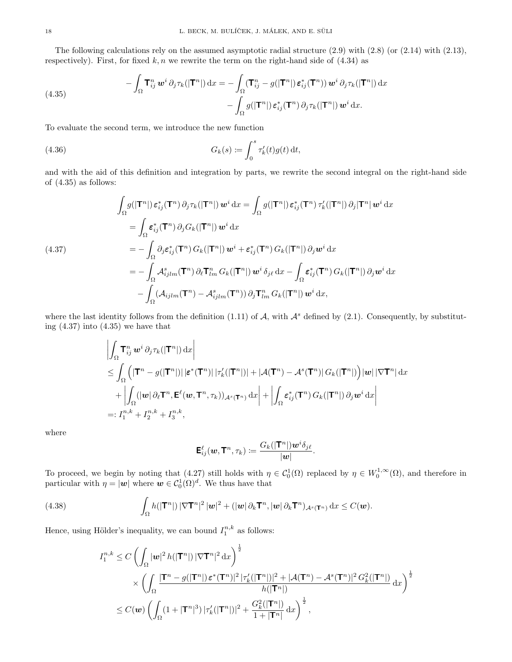The following calculations rely on the assumed asymptotic radial structure  $(2.9)$  with  $(2.8)$  (or  $(2.14)$  with  $(2.13)$ , respectively). First, for fixed  $k, n$  we rewrite the term on the right-hand side of  $(4.34)$  as

(4.35) 
$$
- \int_{\Omega} \mathbf{T}_{ij}^{n} \mathbf{w}^{i} \, \partial_{j} \tau_{k}(|\mathbf{T}^{n}|) \, dx = - \int_{\Omega} (\mathbf{T}_{ij}^{n} - g(|\mathbf{T}^{n}|) \, \varepsilon_{ij}^{*}(\mathbf{T}^{n})) \, \mathbf{w}^{i} \, \partial_{j} \tau_{k}(|\mathbf{T}^{n}|) \, dx - \int_{\Omega} g(|\mathbf{T}^{n}|) \, \varepsilon_{ij}^{*}(\mathbf{T}^{n}) \, \partial_{j} \tau_{k}(|\mathbf{T}^{n}|) \, \mathbf{w}^{i} \, dx.
$$

To evaluate the second term, we introduce the new function

(4.36) 
$$
G_k(s) := \int_0^s \tau'_k(t) g(t) dt,
$$

and with the aid of this definition and integration by parts, we rewrite the second integral on the right-hand side of (4.35) as follows:

$$
\int_{\Omega} g(|\mathbf{T}^{n}|) \, \boldsymbol{\varepsilon}_{ij}^{*}(\mathbf{T}^{n}) \, \partial_{j} \tau_{k}(|\mathbf{T}^{n}|) \, \boldsymbol{w}^{i} \, dx = \int_{\Omega} g(|\mathbf{T}^{n}|) \, \boldsymbol{\varepsilon}_{ij}^{*}(\mathbf{T}^{n}) \, \tau_{k}'(|\mathbf{T}^{n}|) \, \partial_{j}|\mathbf{T}^{n}| \, \boldsymbol{w}^{i} \, dx
$$
\n
$$
= \int_{\Omega} \boldsymbol{\varepsilon}_{ij}^{*}(\mathbf{T}^{n}) \, \partial_{j} G_{k}(|\mathbf{T}^{n}|) \, \boldsymbol{w}^{i} \, dx
$$
\n
$$
= -\int_{\Omega} \partial_{j} \boldsymbol{\varepsilon}_{ij}^{*}(\mathbf{T}^{n}) \, G_{k}(|\mathbf{T}^{n}|) \, \boldsymbol{w}^{i} + \boldsymbol{\varepsilon}_{ij}^{*}(\mathbf{T}^{n}) \, G_{k}(|\mathbf{T}^{n}|) \, \partial_{j} \boldsymbol{w}^{i} \, dx
$$
\n
$$
= -\int_{\Omega} \mathcal{A}_{ijlm}^{s}(\mathbf{T}^{n}) \, \partial_{\ell} \mathbf{T}_{lm}^{n} \, G_{k}(|\mathbf{T}^{n}|) \, \boldsymbol{w}^{i} \, \delta_{j\ell} \, dx - \int_{\Omega} \boldsymbol{\varepsilon}_{ij}^{*}(\mathbf{T}^{n}) \, G_{k}(|\mathbf{T}^{n}|) \, \partial_{j} \boldsymbol{w}^{i} \, dx
$$
\n
$$
- \int_{\Omega} (\mathcal{A}_{ijlm}(\mathbf{T}^{n}) - \mathcal{A}_{ijlm}^{s}(\mathbf{T}^{n})) \, \partial_{j} \mathbf{T}_{lm}^{n} \, G_{k}(|\mathbf{T}^{n}|) \, \boldsymbol{w}^{i} \, dx,
$$

where the last identity follows from the definition (1.11) of  $A$ , with  $A^s$  defined by (2.1). Consequently, by substituting  $(4.37)$  into  $(4.35)$  we have that

$$
\left| \int_{\Omega} {\bf T}^n_{ij} {\bf w}^i \, \partial_j \tau_k(|{\bf T}^n|) \, dx \right|
$$
  
\n
$$
\leq \int_{\Omega} \left( |{\bf T}^n - g(|{\bf T}^n|) | \, |\varepsilon^*({\bf T}^n)| \, |\tau'_k(|{\bf T}^n|) | + |\mathcal{A}({\bf T}^n) - \mathcal{A}^s({\bf T}^n)| \, G_k(|{\bf T}^n|) \right) |{\bf w}| \, |\nabla {\bf T}^n| \, dx
$$
  
\n
$$
+ \left| \int_{\Omega} (|{\bf w}| \, \partial_\ell {\bf T}^n, {\bf E}^\ell({\bf w},{\bf T}^n, \tau_k))_{\mathcal{A}^s({\bf T}^n)} \, dx \right| + \left| \int_{\Omega} \varepsilon^*_{ij}({\bf T}^n) \, G_k(|{\bf T}^n|) \, \partial_j {\bf w}^i \, dx \right|
$$
  
\n=:  $I_1^{n,k} + I_2^{n,k} + I_3^{n,k},$ 

where

$$
\mathsf{E}_{ij}^\ell(\boldsymbol{w},\mathsf{T}^n,\tau_k) \coloneqq \frac{G_k(|\mathsf{T}^n|)\boldsymbol{w}^i\delta_{j\ell}}{|\boldsymbol{w}|}.
$$

To proceed, we begin by noting that (4.27) still holds with  $\eta \in C_0^1(\Omega)$  replaced by  $\eta \in W_0^{1,\infty}(\Omega)$ , and therefore in particular with  $\eta = |\mathbf{w}|$  where  $\mathbf{w} \in C_0^1(\Omega)^d$ . We thus have that

(4.38) 
$$
\int_{\Omega} h(|\mathbf{T}^n|) |\nabla \mathbf{T}^n|^2 |\mathbf{w}|^2 + (|\mathbf{w}| \partial_k \mathbf{T}^n, |\mathbf{w}| \partial_k \mathbf{T}^n)_{\mathcal{A}^s(\mathbf{T}^n)} \, dx \leq C(\mathbf{w}).
$$

Hence, using Hölder's inequality, we can bound  $I_1^{n,k}$  as follows:

$$
I_1^{n,k} \leq C \left( \int_{\Omega} |\mathbf{w}|^2 h(|\mathbf{T}^n|) |\nabla \mathbf{T}^n|^2 \, dx \right)^{\frac{1}{2}}
$$
  
\$\times \left( \int\_{\Omega} \frac{|\mathbf{T}^n - g(|\mathbf{T}^n|) \mathbf{\varepsilon}^\*(\mathbf{T}^n)|^2 |\tau\_k'(|\mathbf{T}^n|)|^2 + |\mathcal{A}(\mathbf{T}^n) - \mathcal{A}^s(\mathbf{T}^n)|^2 G\_k^2(|\mathbf{T}^n|)}{h(|\mathbf{T}^n|)} \, dx \right)^{\frac{1}{2}}\$  
\$\leq C(\mathbf{w}) \left( \int\_{\Omega} (1 + |\mathbf{T}^n|^3) |\tau\_k'(|\mathbf{T}^n|)|^2 + \frac{G\_k^2(|\mathbf{T}^n|)}{1 + |\mathbf{T}^n|} \, dx \right)^{\frac{1}{2}},\$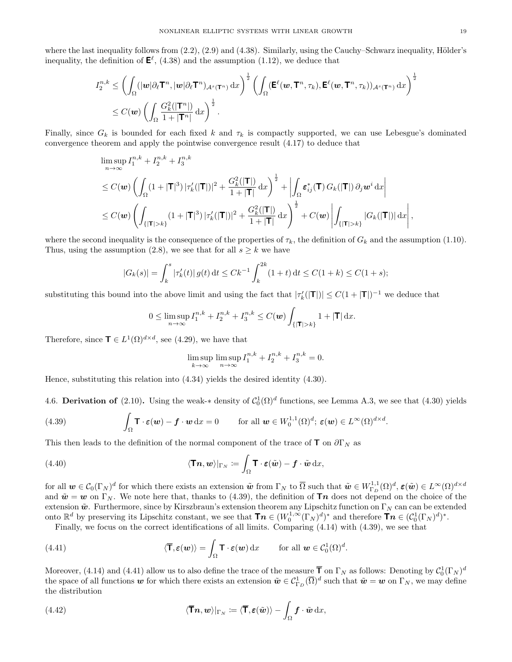where the last inequality follows from  $(2.2)$ ,  $(2.9)$  and  $(4.38)$ . Similarly, using the Cauchy–Schwarz inequality, Hölder's inequality, the definition of  $\mathbf{E}^{\ell}$ , (4.38) and the assumption (1.12), we deduce that

$$
I_2^{n,k} \leq \left( \int_{\Omega} (|\mathbf{w}| \partial_{\ell} \mathbf{T}^n, |\mathbf{w}| \partial_{\ell} \mathbf{T}^n)_{\mathcal{A}^s(\mathbf{T}^n)} \, dx \right)^{\frac{1}{2}} \left( \int_{\Omega} (\mathbf{E}^{\ell}(\mathbf{w}, \mathbf{T}^n, \tau_k), \mathbf{E}^{\ell}(\mathbf{w}, \mathbf{T}^n, \tau_k))_{\mathcal{A}^s(\mathbf{T}^n)} \, dx \right)^{\frac{1}{2}}
$$
  
 
$$
\leq C(\mathbf{w}) \left( \int_{\Omega} \frac{G_k^2(|\mathbf{T}^n|)}{1 + |\mathbf{T}^n|} \, dx \right)^{\frac{1}{2}}.
$$

Finally, since  $G_k$  is bounded for each fixed k and  $\tau_k$  is compactly supported, we can use Lebesgue's dominated convergence theorem and apply the pointwise convergence result (4.17) to deduce that

$$
\begin{split} &\limsup_{n\to\infty}I_{1}^{n,k}+I_{2}^{n,k}+I_{3}^{n,k} \\ &\leq C(\boldsymbol{w})\left(\int_{\Omega}(1+|\mathsf{T}|^{3})\,|\tau'_{k}(|\mathsf{T}|)|^{2}+\frac{G_{k}^{2}(|\mathsf{T}|)}{1+|\mathsf{T}|}\,\mathrm{d}x\right)^{\frac{1}{2}}+\left|\int_{\Omega}\boldsymbol{\varepsilon}_{ij}^{*}(\mathsf{T})\,G_{k}(|\mathsf{T}|)\,\partial_{j}\boldsymbol{w}^{i}\,\mathrm{d}x\right| \\ &\leq C(\boldsymbol{w})\left(\int_{\{|\mathsf{T}|>k\}}(1+|\mathsf{T}|^{3})\,|\tau'_{k}(|\mathsf{T}|)|^{2}+\frac{G_{k}^{2}(|\mathsf{T}|)}{1+|\mathsf{T}|}\,\mathrm{d}x\right)^{\frac{1}{2}}+C(\boldsymbol{w})\left|\int_{\{|\mathsf{T}|>k\}}|G_{k}(|\mathsf{T}|)|\,\mathrm{d}x\right|, \end{split}
$$

where the second inequality is the consequence of the properties of  $\tau_k$ , the definition of  $G_k$  and the assumption (1.10). Thus, using the assumption (2.8), we see that for all  $s \geq k$  we have

$$
|G_k(s)| = \int_k^s |\tau'_k(t)| g(t) dt \le Ck^{-1} \int_k^{2k} (1+t) dt \le C(1+k) \le C(1+s);
$$

substituting this bound into the above limit and using the fact that  $|\tau'_{k}(|{\bf T}|)| \leq C(1+|{\bf T}|)^{-1}$  we deduce that

$$
0 \leq \limsup_{n \to \infty} I_1^{n,k} + I_2^{n,k} + I_3^{n,k} \leq C(\boldsymbol{w}) \int_{\{|\mathbf{T}| > k\}} 1 + |\mathbf{T}| \, \mathrm{d} x.
$$

Therefore, since  $\mathbf{T} \in L^1(\Omega)^{d \times d}$ , see (4.29), we have that

$$
\limsup_{k \to \infty} \limsup_{n \to \infty} I_1^{n,k} + I_2^{n,k} + I_3^{n,k} = 0.
$$

Hence, substituting this relation into (4.34) yields the desired identity (4.30).

4.6. Derivation of (2.10). Using the weak-\* density of  $C_0^1(\Omega)^d$  functions, see Lemma A.3, we see that (4.30) yields

(4.39) 
$$
\int_{\Omega} \mathbf{T} \cdot \boldsymbol{\varepsilon}(\boldsymbol{w}) - \boldsymbol{f} \cdot \boldsymbol{w} \, dx = 0 \quad \text{for all } \boldsymbol{w} \in W_0^{1,1}(\Omega)^d; \ \boldsymbol{\varepsilon}(\boldsymbol{w}) \in L^{\infty}(\Omega)^{d \times d}.
$$

This then leads to the definition of the normal component of the trace of  $\mathbf{T}$  on  $\partial\Gamma_N$  as

(4.40) 
$$
\langle \mathbf{T} \mathbf{n}, \mathbf{w} \rangle |_{\Gamma_N} := \int_{\Omega} \mathbf{T} \cdot \boldsymbol{\varepsilon}(\tilde{\mathbf{w}}) - \mathbf{f} \cdot \tilde{\mathbf{w}} \, dx,
$$

for all  $\mathbf{w} \in \mathcal{C}_0(\Gamma_N)^d$  for which there exists an extension  $\tilde{\mathbf{w}}$  from  $\Gamma_N$  to  $\overline{\Omega}$  such that  $\tilde{\mathbf{w}} \in W_{\Gamma_D}^{1,1}(\Omega)^d$ ,  $\varepsilon(\tilde{\mathbf{w}}) \in L^{\infty}(\Omega)^{d \times d}$ and  $\tilde{\mathbf{w}} = \mathbf{w}$  on  $\Gamma_N$ . We note here that, thanks to (4.39), the definition of **Tn** does not depend on the choice of the extension  $\tilde{\boldsymbol{w}}$ . Furthermore, since by Kirszbraun's extension theorem any Lipschitz function on  $\Gamma_N$  can can be extended onto  $\mathbb{R}^d$  by preserving its Lipschitz constant, we see that  $\mathbf{T}\boldsymbol{n} \in (W_0^{1,\infty}(\Gamma_N)^d)^*$  and therefore  $\mathbf{T}\boldsymbol{n} \in (\mathcal{C}_0^1(\Gamma_N)^d)^*$ .

Finally, we focus on the correct identifications of all limits. Comparing (4.14) with (4.39), we see that

(4.41) 
$$
\langle \overline{\mathbf{T}}, \boldsymbol{\varepsilon}(\boldsymbol{w}) \rangle = \int_{\Omega} \mathbf{T} \cdot \boldsymbol{\varepsilon}(\boldsymbol{w}) \, dx \quad \text{for all } \boldsymbol{w} \in C_0^1(\Omega)^d.
$$

Moreover, (4.14) and (4.41) allow us to also define the trace of the measure  $\bar{\bm{\mathsf{T}}}$  on  $\Gamma_N$  as follows: Denoting by  $\mathcal{C}_0^1(\Gamma_N)^d$ the space of all functions w for which there exists an extension  $\tilde{\boldsymbol{w}} \in C^1_{\Gamma_D}(\overline{\Omega})^d$  such that  $\tilde{\boldsymbol{w}} = \boldsymbol{w}$  on  $\Gamma_N$ , we may define the distribution

(4.42) 
$$
\langle \overline{\mathbf{T}} \mathbf{n}, \mathbf{w} \rangle |_{\Gamma_N} \coloneqq \langle \overline{\mathbf{T}}, \boldsymbol{\varepsilon}(\tilde{\mathbf{w}}) \rangle - \int_{\Omega} \mathbf{f} \cdot \tilde{\mathbf{w}} \, dx,
$$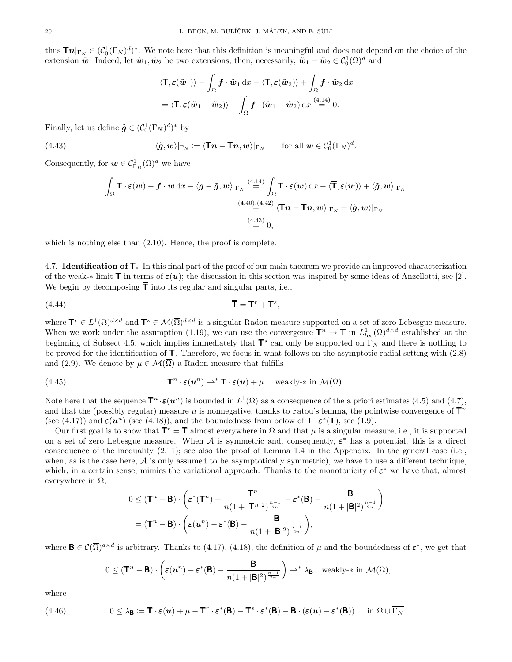thus  $\bar{\mathbf{T}}\mathbf{n}|_{\Gamma_N} \in (C_0^1(\Gamma_N)^d)^*$ . We note here that this definition is meaningful and does not depend on the choice of the extension  $\tilde{\mathbf{w}}$ . Indeed, let  $\tilde{\mathbf{w}}_1, \tilde{\mathbf{w}}_2$  be two extensions; then, necessarily,  $\tilde{\mathbf{w}}_1 - \tilde{\mathbf{w}}_2 \in C_0^1(\Omega)^d$  and

$$
\langle \overline{\mathbf{T}}, \boldsymbol{\varepsilon}(\tilde{\boldsymbol{w}}_1) \rangle - \int_{\Omega} \boldsymbol{f} \cdot \tilde{\boldsymbol{w}}_1 \, dx - \langle \overline{\mathbf{T}}, \boldsymbol{\varepsilon}(\tilde{\boldsymbol{w}}_2) \rangle + \int_{\Omega} \boldsymbol{f} \cdot \tilde{\boldsymbol{w}}_2 \, dx
$$

$$
= \langle \overline{\mathbf{T}}, \boldsymbol{\varepsilon}(\tilde{\boldsymbol{w}}_1 - \tilde{\boldsymbol{w}}_2) \rangle - \int_{\Omega} \boldsymbol{f} \cdot (\tilde{\boldsymbol{w}}_1 - \tilde{\boldsymbol{w}}_2) \, dx \stackrel{(4.14)}{=} 0.
$$

Finally, let us define  $\tilde{\mathbf{g}} \in (\mathcal{C}_0^1(\Gamma_N)^d)^*$  by

(4.43) 
$$
\langle \tilde{\boldsymbol{g}}, \boldsymbol{w} \rangle |_{\Gamma_N} \coloneqq \langle \overline{\boldsymbol{\mathsf{T}}} \boldsymbol{n} - \mathbf{T} \boldsymbol{n}, \boldsymbol{w} \rangle |_{\Gamma_N} \quad \text{for all } \boldsymbol{w} \in \mathcal{C}_0^1(\Gamma_N)^d.
$$

Consequently, for  $\mathbf{w} \in \mathcal{C}_{\Gamma_D}^1(\overline{\Omega})^d$  we have

$$
\int_{\Omega} \mathbf{T} \cdot \boldsymbol{\varepsilon}(\boldsymbol{w}) - \boldsymbol{f} \cdot \boldsymbol{w} \, dx - \langle \boldsymbol{g} - \tilde{\boldsymbol{g}}, \boldsymbol{w} \rangle|_{\Gamma_{N}} \stackrel{(4.14)}{=} \int_{\Omega} \mathbf{T} \cdot \boldsymbol{\varepsilon}(\boldsymbol{w}) \, dx - \langle \overline{\mathbf{T}}, \boldsymbol{\varepsilon}(\boldsymbol{w}) \rangle + \langle \tilde{\boldsymbol{g}}, \boldsymbol{w} \rangle|_{\Gamma_{N}} \n\stackrel{(4.40)}{=} \langle \mathbf{T} \boldsymbol{n} - \overline{\mathbf{T}} \boldsymbol{n}, \boldsymbol{w} \rangle|_{\Gamma_{N}} + \langle \tilde{\boldsymbol{g}}, \boldsymbol{w} \rangle|_{\Gamma_{N}} \n\stackrel{(4.43)}{=} 0,
$$

which is nothing else than (2.10). Hence, the proof is complete.

4.7. **Identification of**  $\overline{T}$ **.** In this final part of the proof of our main theorem we provide an improved characterization of the weak-\* limit  $\bar{\mathsf{T}}$  in terms of  $\varepsilon(u)$ ; the discussion in this section was inspired by some ideas of Anzellotti, see [2]. We begin by decomposing  $\bar{\mathsf{T}}$  into its regular and singular parts, i.e.,

$$
\mathbf{A}^{(4.44)} \qquad \qquad \mathbf{\overline{T}} = \mathbf{T}^r + \mathbf{T}^s,
$$

where  $\mathbf{T}^r \in L^1(\Omega)^{d \times d}$  and  $\mathbf{T}^s \in \mathcal{M}(\overline{\Omega})^{d \times d}$  is a singular Radon measure supported on a set of zero Lebesgue measure. When we work under the assumption (1.19), we can use the convergence  $\mathbf{T}^n \to \mathbf{T}$  in  $L^1_{loc}(\Omega)^{d \times d}$  established at the beginning of Subsect 4.5, which implies immediately that  $\mathbf{T}^s$  can only be supported on  $\overline{\Gamma_N}$  and there is nothing to be proved for the identification of  $\overline{\mathsf{T}}$ . Therefore, we focus in what follows on the asymptotic radial setting with (2.8) and (2.9). We denote by  $\mu \in \mathcal{M}(\overline{\Omega})$  a Radon measure that fulfills

(4.45) 
$$
\mathbf{T}^n \cdot \boldsymbol{\varepsilon}(\boldsymbol{u}^n) \rightharpoonup^* \mathbf{T} \cdot \boldsymbol{\varepsilon}(\boldsymbol{u}) + \mu \quad \text{ weakly-* in } \mathcal{M}(\overline{\Omega}).
$$

Note here that the sequence  $\mathbf{T}^n \cdot \boldsymbol{\varepsilon}(\boldsymbol{u}^n)$  is bounded in  $L^1(\Omega)$  as a consequence of the a priori estimates (4.5) and (4.7), and that the (possibly regular) measure  $\mu$  is nonnegative, thanks to Fatou's lemma, the pointwise convergence of  $\mathbf{T}^n$ (see (4.17)) and  $\varepsilon(u^n)$  (see (4.18)), and the boundedness from below of  $\mathbf{T} \cdot \varepsilon^*(\mathbf{T})$ , see (1.9).

Our first goal is to show that  $T^r = T$  almost everywhere in  $\Omega$  and that  $\mu$  is a singular measure, i.e., it is supported on a set of zero Lebesgue measure. When A is symmetric and, consequently,  $\varepsilon^*$  has a potential, this is a direct consequence of the inequality (2.11); see also the proof of Lemma 1.4 in the Appendix. In the general case (i.e., when, as is the case here,  $A$  is only assumed to be asymptotically symmetric), we have to use a different technique, which, in a certain sense, mimics the variational approach. Thanks to the monotonicity of  $\varepsilon^*$  we have that, almost everywhere in  $\Omega$ ,

$$
0 \leq (\mathbf{T}^n - \mathbf{B}) \cdot \left( \varepsilon^*(\mathbf{T}^n) + \frac{\mathbf{T}^n}{n(1+|\mathbf{T}^n|^2)^{\frac{n-1}{2n}}} - \varepsilon^*(\mathbf{B}) - \frac{\mathbf{B}}{n(1+|\mathbf{B}|^2)^{\frac{n-1}{2n}}} \right)
$$

$$
= (\mathbf{T}^n - \mathbf{B}) \cdot \left( \varepsilon(\mathbf{u}^n) - \varepsilon^*(\mathbf{B}) - \frac{\mathbf{B}}{n(1+|\mathbf{B}|^2)^{\frac{n-1}{2n}}} \right),
$$

where  $\mathbf{B} \in \mathcal{C}(\overline{\Omega})^{d \times d}$  is arbitrary. Thanks to (4.17), (4.18), the definition of  $\mu$  and the boundedness of  $\boldsymbol{\varepsilon}^*$ , we get that

$$
0 \leq (\mathbf{T}^n - \mathbf{B}) \cdot \left( \varepsilon(\mathbf{u}^n) - \varepsilon^*(\mathbf{B}) - \frac{\mathbf{B}}{n(1+|\mathbf{B}|^2)^{\frac{n-1}{2n}}} \right) \rightharpoonup^* \lambda_{\mathbf{B}} \quad \text{weakly-$\ast$ in } \mathcal{M}(\overline{\Omega}),
$$

where

(4.46) 
$$
0 \leq \lambda_{\mathbf{B}} := \mathbf{T} \cdot \varepsilon(\mathbf{u}) + \mu - \mathbf{T}^r \cdot \varepsilon^*(\mathbf{B}) - \mathbf{T}^s \cdot \varepsilon^*(\mathbf{B}) - \mathbf{B} \cdot (\varepsilon(\mathbf{u}) - \varepsilon^*(\mathbf{B})) \quad \text{in } \Omega \cup \overline{\Gamma_N}.
$$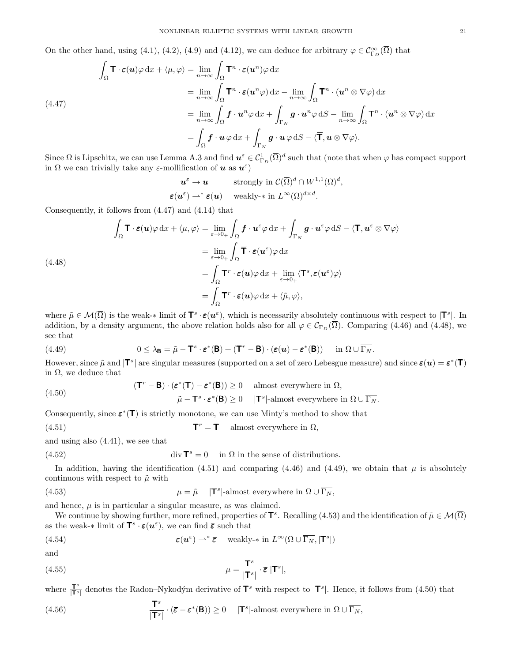On the other hand, using (4.1), (4.2), (4.9) and (4.12), we can deduce for arbitrary  $\varphi \in C^{\infty}_{\Gamma_D}(\overline{\Omega})$  that

$$
\int_{\Omega} \mathbf{T} \cdot \boldsymbol{\varepsilon}(\boldsymbol{u}) \varphi \,dx + \langle \mu, \varphi \rangle = \lim_{n \to \infty} \int_{\Omega} \mathbf{T}^n \cdot \boldsymbol{\varepsilon}(\boldsymbol{u}^n) \varphi \,dx
$$
\n
$$
= \lim_{n \to \infty} \int_{\Omega} \mathbf{T}^n \cdot \boldsymbol{\varepsilon}(\boldsymbol{u}^n \varphi) \,dx - \lim_{n \to \infty} \int_{\Omega} \mathbf{T}^n \cdot (\boldsymbol{u}^n \otimes \nabla \varphi) \,dx
$$
\n
$$
(4.47)
$$
\n
$$
= \lim_{n \to \infty} \int_{\Omega} \boldsymbol{f} \cdot \boldsymbol{u}^n \varphi \,dx + \int_{\Gamma_N} \boldsymbol{g} \cdot \boldsymbol{u}^n \varphi \,dS - \lim_{n \to \infty} \int_{\Omega} \mathbf{T}^n \cdot (\boldsymbol{u}^n \otimes \nabla \varphi) \,dx
$$
\n
$$
= \int_{\Omega} \boldsymbol{f} \cdot \boldsymbol{u} \varphi \,dx + \int_{\Gamma_N} \boldsymbol{g} \cdot \boldsymbol{u} \varphi \,dS - \langle \overline{\mathbf{T}}, \boldsymbol{u} \otimes \nabla \varphi \rangle.
$$

Since  $\Omega$  is Lipschitz, we can use Lemma A.3 and find  $u^{\varepsilon} \in \mathcal{C}^1_{\Gamma_D}(\overline{\Omega})^d$  such that (note that when  $\varphi$  has compact support in  $\Omega$  we can trivially take any  $\varepsilon$ -mollification of **u** as  $u^{\varepsilon}$ )

$$
\begin{aligned}\n\boldsymbol{u}^{\varepsilon} &\to \boldsymbol{u} &\text{strongly in } C(\overline{\Omega})^d \cap W^{1,1}(\Omega)^d, \\
\boldsymbol{\varepsilon}(\boldsymbol{u}^{\varepsilon}) &\rightharpoonup^* \boldsymbol{\varepsilon}(\boldsymbol{u}) &\text{weakly-* in } L^{\infty}(\Omega)^{d \times d}.\n\end{aligned}
$$

Consequently, it follows from (4.47) and (4.14) that

$$
\int_{\Omega} \mathbf{T} \cdot \boldsymbol{\varepsilon}(\boldsymbol{u}) \varphi \, dx + \langle \mu, \varphi \rangle = \lim_{\varepsilon \to 0+} \int_{\Omega} \boldsymbol{f} \cdot \boldsymbol{u}^{\varepsilon} \varphi \, dx + \int_{\Gamma_{N}} \boldsymbol{g} \cdot \boldsymbol{u}^{\varepsilon} \varphi \, dS - \langle \overline{\mathbf{T}}, \boldsymbol{u}^{\varepsilon} \otimes \nabla \varphi \rangle
$$
\n
$$
= \lim_{\varepsilon \to 0+} \int_{\Omega} \overline{\mathbf{T}} \cdot \boldsymbol{\varepsilon}(\boldsymbol{u}^{\varepsilon}) \varphi \, dx
$$
\n
$$
= \int_{\Omega} \mathbf{T}^{r} \cdot \boldsymbol{\varepsilon}(\boldsymbol{u}) \varphi \, dx + \lim_{\varepsilon \to 0+} \langle \mathbf{T}^{s}, \boldsymbol{\varepsilon}(\boldsymbol{u}^{\varepsilon}) \varphi \rangle
$$
\n
$$
= \int_{\Omega} \mathbf{T}^{r} \cdot \boldsymbol{\varepsilon}(\boldsymbol{u}) \varphi \, dx + \langle \tilde{\mu}, \varphi \rangle,
$$

where  $\tilde{\mu} \in \mathcal{M}(\overline{\Omega})$  is the weak-\* limit of  $\mathbf{T}^s \cdot \varepsilon(\mathbf{u}^\varepsilon)$ , which is necessarily absolutely continuous with respect to  $|\mathbf{T}^s|$ . In addition, by a density argument, the above relation holds also for all  $\varphi \in C_{\Gamma_D}(\overline{\Omega})$ . Comparing (4.46) and (4.48), we see that

(4.49) 
$$
0 \leq \lambda_{\mathbf{B}} = \tilde{\mu} - \mathbf{T}^s \cdot \boldsymbol{\varepsilon}^*(\mathbf{B}) + (\mathbf{T}^r - \mathbf{B}) \cdot (\boldsymbol{\varepsilon}(\boldsymbol{u}) - \boldsymbol{\varepsilon}^*(\mathbf{B})) \quad \text{in } \Omega \cup \overline{\Gamma_N}.
$$

However, since  $\tilde{\mu}$  and  $|\mathbf{T}^s|$  are singular measures (supported on a set of zero Lebesgue measure) and since  $\varepsilon(\mathbf{u}) = \varepsilon^*(\mathbf{T})$ in  $\Omega$ , we deduce that

(4.50) 
$$
(\mathbf{T}^r - \mathbf{B}) \cdot (\varepsilon^*(\mathbf{T}) - \varepsilon^*(\mathbf{B})) \ge 0 \quad \text{almost everywhere in } \Omega,
$$

$$
\tilde{\mu} - \mathbf{T}^s \cdot \varepsilon^*(\mathbf{B}) \ge 0 \quad |\mathbf{T}^s| \text{-almost everywhere in } \Omega \cup \overline{\Gamma_N}.
$$

Consequently, since  $\varepsilon^*(\mathsf{T})$  is strictly monotone, we can use Minty's method to show that

(4.51) 
$$
\mathbf{T}^r = \mathbf{T} \quad \text{almost everywhere in } \Omega,
$$

and using also (4.41), we see that

(4.52) 
$$
\operatorname{div} \mathbf{T}^s = 0 \quad \text{in } \Omega \text{ in the sense of distributions.}
$$

In addition, having the identification (4.51) and comparing (4.46) and (4.49), we obtain that  $\mu$  is absolutely continuous with respect to  $\tilde{\mu}$  with

(4.53) 
$$
\mu = \tilde{\mu} \quad |\mathbf{T}^s| \text{-almost everywhere in } \Omega \cup \overline{\Gamma_N},
$$

and hence,  $\mu$  is in particular a singular measure, as was claimed.

We continue by showing further, more refined, properties of  $\mathbf{T}^s$ . Recalling (4.53) and the identification of  $\tilde{\mu} \in \mathcal{M}(\overline{\Omega})$ as the weak- $*$  limit of  $\mathbf{T}^s \cdot \varepsilon(\boldsymbol{u}^{\varepsilon})$ , we can find  $\bar{\varepsilon}$  such that

(4.54) 
$$
\varepsilon(\mathbf{u}^{\varepsilon}) \rightharpoonup^* \bar{\varepsilon} \quad \text{ weakly-* in } L^{\infty}(\Omega \cup \overline{\Gamma_N}, |\mathbf{T}^s|)
$$

and

(4.55) 
$$
\mu = \frac{\mathbf{T}^s}{|\mathbf{T}^s|} \cdot \overline{\boldsymbol{\varepsilon}} \, |\mathbf{T}^s|,
$$

where  $\frac{\mathbf{T}^s}{\mathbf{T}^s}$  $\frac{\mathbf{T}^s}{|\mathbf{T}^s|}$  denotes the Radon–Nykodým derivative of  $\mathbf{T}^s$  with respect to  $|\mathbf{T}^s|$ . Hence, it follows from (4.50) that

(4.56) 
$$
\frac{\mathbf{T}^s}{|\mathbf{T}^s|} \cdot (\overline{\boldsymbol{\varepsilon}} - \boldsymbol{\varepsilon}^*(\mathbf{B})) \ge 0 \quad |\mathbf{T}^s|\text{-almost everywhere in } \Omega \cup \overline{\Gamma_N},
$$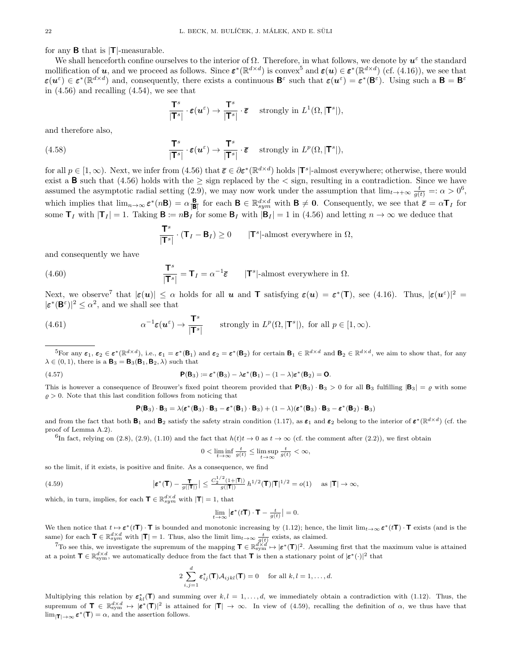for any  $\bf{B}$  that is  $|\bf{T}|$ -measurable.

We shall henceforth confine ourselves to the interior of  $\Omega$ . Therefore, in what follows, we denote by  $u^{\varepsilon}$  the standard mollification of **u**, and we proceed as follows. Since  $\boldsymbol{\varepsilon}^*(\mathbb{R}^{d \times d})$  is convex<sup>5</sup> and  $\boldsymbol{\varepsilon}(\boldsymbol{u}) \in \boldsymbol{\varepsilon}^*(\mathbb{R}^{d \times d})$  (cf. (4.16)), we see that  $\varepsilon(u^{\varepsilon}) \in \varepsilon^*(\mathbb{R}^{d \times d})$  and, consequently, there exists a continuous  $\mathsf{B}^{\varepsilon}$  such that  $\varepsilon(u^{\varepsilon}) = \varepsilon^*(\mathsf{B}^{\varepsilon})$ . Using such a  $\mathsf{B} = \mathsf{B}^{\varepsilon}$ in  $(4.56)$  and recalling  $(4.54)$ , we see that

$$
\frac{\mathsf{T}^s}{|\mathsf{T}^s|} \cdot \varepsilon(\boldsymbol{u}^\varepsilon) \to \frac{\mathsf{T}^s}{|\mathsf{T}^s|} \cdot \overline{\varepsilon} \quad \text{ strongly in } L^1(\Omega, |\mathsf{T}^s|),
$$

and therefore also,

(4.58) 
$$
\frac{\mathbf{T}^s}{|\mathbf{T}^s|} \cdot \boldsymbol{\varepsilon}(\boldsymbol{u}^\varepsilon) \to \frac{\mathbf{T}^s}{|\mathbf{T}^s|} \cdot \boldsymbol{\bar{\varepsilon}} \quad \text{strongly in } L^p(\Omega, |\mathbf{T}^s|),
$$

for all  $p \in [1,\infty)$ . Next, we infer from (4.56) that  $\bar{\varepsilon} \in \partial \varepsilon^*(\mathbb{R}^{d \times d})$  holds  $|\mathbf{T}^s|$ -almost everywhere; otherwise, there would exist a **B** such that (4.56) holds with the  $\geq$  sign replaced by the  $\lt$  sign, resulting in a contradiction. Since we have assumed the asymptotic radial setting (2.9), we may now work under the assumption that  $\lim_{t\to+\infty}\frac{t}{g(t)}=:\alpha>0^6$ , which implies that  $\lim_{n\to\infty} \varepsilon^*(n\mathbf{B}) = \alpha \frac{\mathbf{B}}{|\mathbf{B}|}$  for each  $\mathbf{B} \in \mathbb{R}^{d \times d}_{sym}$  with  $\mathbf{B} \neq \mathbf{0}$ . Consequently, we see that  $\overline{\varepsilon} = \alpha \mathbf{T}_I$  for some  $\mathbf{T}_I$  with  $|\mathbf{T}_I| = 1$ . Taking  $\mathbf{B} := n\mathbf{B}_I$  for some  $\mathbf{B}_I$  with  $|\mathbf{B}_I| = 1$  in (4.56) and letting  $n \to \infty$  we deduce that

$$
\frac{\mathbf{T}^s}{|\mathbf{T}^s|} \cdot (\mathbf{T}_I - \mathbf{B}_I) \ge 0 \qquad |\mathbf{T}^s| \text{-almost everywhere in } \Omega,
$$

and consequently we have

(4.60) 
$$
\frac{\mathbf{T}^s}{|\mathbf{T}^s|} = \mathbf{T}_I = \alpha^{-1}\overline{\boldsymbol{\varepsilon}} \qquad |\mathbf{T}^s| \text{-almost everywhere in } \Omega.
$$

Next, we observe<sup>7</sup> that  $|\boldsymbol{\varepsilon}(\boldsymbol{u})| \leq \alpha$  holds for all **u** and **T** satisfying  $\boldsymbol{\varepsilon}(\boldsymbol{u}) = \boldsymbol{\varepsilon}^*(\mathbf{T})$ , see (4.16). Thus,  $|\boldsymbol{\varepsilon}(\boldsymbol{u}^{\varepsilon})|^2 =$  $|\varepsilon^*(\mathbf{B}^{\varepsilon})|^2 \leq \alpha^2$ , and we shall see that

(4.61) 
$$
\alpha^{-1} \varepsilon(\boldsymbol{u}^{\varepsilon}) \to \frac{\mathbf{T}^s}{|\mathbf{T}^s|} \qquad \text{strongly in } L^p(\Omega, |\mathbf{T}^s|), \text{ for all } p \in [1, \infty).
$$

<sup>5</sup>For any  $\varepsilon_1, \varepsilon_2 \in \varepsilon^* (\mathbb{R}^{d \times d})$ , i.e.,  $\varepsilon_1 = \varepsilon^* (\mathsf{B}_1)$  and  $\varepsilon_2 = \varepsilon^* (\mathsf{B}_2)$  for certain  $\mathsf{B}_1 \in \mathbb{R}^{d \times d}$  and  $\mathsf{B}_2 \in \mathbb{R}^{d \times d}$ , we aim to show that, for any  $\lambda \in (0, 1)$ , there is a  $\mathbf{B}_3 = \mathbf{B}_3(\mathbf{B}_1, \mathbf{B}_2, \lambda)$  such that

(4.57) 
$$
\mathsf{P}(\mathsf{B}_3) \coloneqq \varepsilon^*(\mathsf{B}_3) - \lambda \varepsilon^*(\mathsf{B}_1) - (1 - \lambda)\varepsilon^*(\mathsf{B}_2) = \mathsf{O}.
$$

This is however a consequence of Brouwer's fixed point theorem provided that  $P(B_3) \cdot B_3 > 0$  for all  $B_3$  fulfilling  $|B_3| = \varrho$  with some  $\rho > 0$ . Note that this last condition follows from noticing that

$$
\textbf{P}(\textbf{B}_3)\cdot\textbf{B}_3=\lambda(\pmb{\varepsilon}^*(\textbf{B}_3)\cdot\textbf{B}_3-\pmb{\varepsilon}^*(\textbf{B}_1)\cdot\textbf{B}_3)+(1-\lambda)(\pmb{\varepsilon}^*(\textbf{B}_3)\cdot\textbf{B}_3-\pmb{\varepsilon}^*(\textbf{B}_2)\cdot\textbf{B}_3)
$$

and from the fact that both  $\mathbf{B}_1$  and  $\mathbf{B}_2$  satisfy the safety strain condition (1.17), as  $\varepsilon_1$  and  $\varepsilon_2$  belong to the interior of  $\varepsilon^* (\mathbb{R}^{d \times d})$  (cf. the proof of Lemma A.2).

 ${}^{6}$ In fact, relying on (2.8), (2.9), (1.10) and the fact that  $h(t)t \rightarrow 0$  as  $t \rightarrow \infty$  (cf. the comment after (2.2)), we first obtain

$$
0 < \liminf_{t \to \infty} \frac{t}{g(t)} \le \limsup_{t \to \infty} \frac{t}{g(t)} < \infty,
$$

so the limit, if it exists, is positive and finite. As a consequence, we find

(4.59) 
$$
\left|\varepsilon^*(\mathbf{T}) - \frac{\mathbf{T}}{g(|\mathbf{T}|)}\right| \le \frac{C_2^{1/2} (1+|\mathbf{T}|)}{g(|\mathbf{T}|)} h^{1/2}(\mathbf{T}) |\mathbf{T}|^{1/2} = o(1) \quad \text{as } |\mathbf{T}| \to \infty,
$$

which, in turn, implies, for each  $\mathbf{T} \in \mathbb{R}^{d \times d}_{sym}$  with  $|\mathbf{T}| = 1$ , that

$$
\lim_{t \to \infty} \left| \boldsymbol{\varepsilon}^*(t\mathbf{T}) \cdot \mathbf{T} - \frac{t}{g(t)} \right| = 0.
$$

We then notice that  $t \mapsto \varepsilon^*(t\mathbf{T}) \cdot \mathbf{T}$  is bounded and monotonic increasing by (1.12); hence, the limit  $\lim_{t \to \infty} \varepsilon^*(t\mathbf{T}) \cdot \mathbf{T}$  exists (and is the same) for each  $\mathbf{T} \in \mathbb{R}^{d \times d}_{sym}$  with  $|\mathbf{T}| = 1$ . Thus, also the limit  $\lim_{t \to \infty} \frac{t}{g(t)}$  exists, as claimed.

<sup>7</sup>To see this, we investigate the supremum of the mapping  $\mathbf{T} \in \mathbb{R}^{d \times d}_{sym} \mapsto |\varepsilon^*(\mathbf{T})|^2$ . Assuming first that the maximum value is attained at a point  $\mathbf{T} \in \mathbb{R}^{d \times d}_{sym}$ , we automatically deduce from the fact that  $\mathbf{T}$  is then a stationary point of  $|\boldsymbol{\varepsilon}^*(\cdot)|^2$  that

$$
2\sum_{i,j=1}^d \boldsymbol{\varepsilon}_{ij}^*(\mathbf{T})\mathcal{A}_{ijkl}(\mathbf{T})=0 \quad \text{ for all } k,l=1,\ldots,d.
$$

Multiplying this relation by  $\epsilon_{kl}^*(T)$  and summing over  $k, l = 1, ..., d$ , we immediately obtain a contradiction with (1.12). Thus, the supremum of  $\mathbf{T} \in \mathbb{R}^{d \times d}_{sym} \mapsto |\boldsymbol{\varepsilon}^*(\mathbf{T})|^2$  is attained for  $|\mathbf{T}| \to \infty$ . In view of (4.59), recalling the definition of  $\alpha$ , we thus have that  $\lim_{|\mathbf{T}| \to \infty} \varepsilon^*(\mathbf{T}) = \alpha$ , and the assertion follows.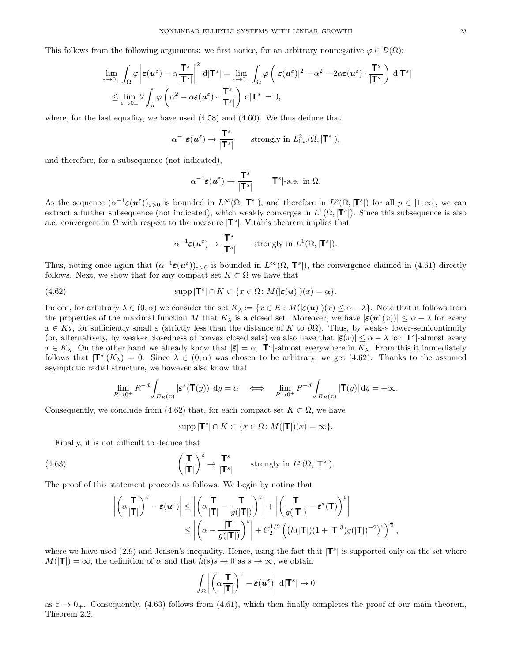This follows from the following arguments: we first notice, for an arbitrary nonnegative  $\varphi \in \mathcal{D}(\Omega)$ :

$$
\lim_{\varepsilon \to 0_+} \int_{\Omega} \varphi \left| \varepsilon(\mathbf{u}^{\varepsilon}) - \alpha \frac{\mathbf{T}^s}{|\mathbf{T}^s|} \right|^2 d|\mathbf{T}^s| = \lim_{\varepsilon \to 0_+} \int_{\Omega} \varphi \left( |\varepsilon(\mathbf{u}^{\varepsilon})|^2 + \alpha^2 - 2\alpha \varepsilon(\mathbf{u}^{\varepsilon}) \cdot \frac{\mathbf{T}^s}{|\mathbf{T}^s|} \right) d|\mathbf{T}^s|
$$
\n
$$
\leq \lim_{\varepsilon \to 0_+} 2 \int_{\Omega} \varphi \left( \alpha^2 - \alpha \varepsilon(\mathbf{u}^{\varepsilon}) \cdot \frac{\mathbf{T}^s}{|\mathbf{T}^s|} \right) d|\mathbf{T}^s| = 0,
$$

where, for the last equality, we have used  $(4.58)$  and  $(4.60)$ . We thus deduce that

$$
\alpha^{-1}\varepsilon(\boldsymbol{u}^{\varepsilon}) \to \frac{\mathbf{T}^s}{|\mathbf{T}^s|} \qquad \text{strongly in } L^2_{\text{loc}}(\Omega, |\mathbf{T}^s|),
$$

and therefore, for a subsequence (not indicated),

$$
\alpha^{-1}\varepsilon(\boldsymbol{u}^{\varepsilon}) \to \frac{\mathsf{T}^s}{|\mathsf{T}^s|} \qquad |\mathsf{T}^s|\text{-a.e. in } \Omega.
$$

As the sequence  $(\alpha^{-1}\varepsilon(\boldsymbol{u}^{\varepsilon}))_{\varepsilon>0}$  is bounded in  $L^{\infty}(\Omega,|\mathbf{T}^{s}|)$ , and therefore in  $L^{p}(\Omega,|\mathbf{T}^{s}|)$  for all  $p \in [1,\infty]$ , we can extract a further subsequence (not indicated), which weakly converges in  $L^1(\Omega, |T^s|)$ . Since this subsequence is also a.e. convergent in  $\Omega$  with respect to the measure  $|T^s|$ , Vitali's theorem implies that

$$
\alpha^{-1}\varepsilon(\boldsymbol{u}^{\varepsilon}) \to \frac{\mathbf{T}^s}{|\mathbf{T}^s|} \qquad \text{strongly in } L^1(\Omega, |\mathbf{T}^s|).
$$

Thus, noting once again that  $(\alpha^{-1}\epsilon(\mathbf{u}^{\varepsilon}))_{\varepsilon>0}$  is bounded in  $L^{\infty}(\Omega,|\mathbf{T}^s|)$ , the convergence claimed in (4.61) directly follows. Next, we show that for any compact set  $K \subset \Omega$  we have that

(4.62) 
$$
\text{supp} |\mathbf{T}^s| \cap K \subset \{x \in \Omega : M(|\varepsilon(\boldsymbol{u})|)(x) = \alpha\}.
$$

Indeed, for arbitrary  $\lambda \in (0, \alpha)$  we consider the set  $K_{\lambda} := \{x \in K : M(|\epsilon(u)|)(x) \leq \alpha - \lambda\}$ . Note that it follows from the properties of the maximal function M that  $K_\lambda$  is a closed set. Moreover, we have  $|\boldsymbol{\varepsilon}(\boldsymbol{u}^\varepsilon(x))| \leq \alpha - \lambda$  for every  $x \in K_\lambda$ , for sufficiently small  $\varepsilon$  (strictly less than the distance of K to  $\partial\Omega$ ). Thus, by weak-\* lower-semicontinuity (or, alternatively, by weak-\* closedness of convex closed sets) we also have that  $|\bar{\epsilon}(x)| \leq \alpha - \lambda$  for  $|\mathbf{T}^s|$ -almost every  $x \in K_\lambda$ . On the other hand we already know that  $|\bar{\varepsilon}| = \alpha$ ,  $|\mathbf{T}^s|$ -almost everywhere in  $K_\lambda$ . From this it immediately follows that  $|\mathbf{T}^s|(K_\lambda) = 0$ . Since  $\lambda \in (0,\alpha)$  was chosen to be arbitrary, we get (4.62). Thanks to the assumed asymptotic radial structure, we however also know that

$$
\lim_{R \to 0^+} R^{-d} \int_{B_R(x)} |\varepsilon^*(\mathbf{T}(y))| \, \mathrm{d}y = \alpha \quad \Longleftrightarrow \quad \lim_{R \to 0^+} R^{-d} \int_{B_R(x)} |\mathbf{T}(y)| \, \mathrm{d}y = +\infty.
$$

Consequently, we conclude from (4.62) that, for each compact set  $K \subset \Omega$ , we have

$$
\operatorname{supp} |\mathbf{T}^s| \cap K \subset \{x \in \Omega \colon M(|\mathbf{T}|)(x) = \infty\}.
$$

Finally, it is not difficult to deduce that

(4.63) 
$$
\left(\frac{\mathbf{T}}{|\mathbf{T}|}\right)^{\varepsilon} \to \frac{\mathbf{T}^{s}}{|\mathbf{T}^{s}|} \text{ strongly in } L^{p}(\Omega, |\mathbf{T}^{s}|).
$$

The proof of this statement proceeds as follows. We begin by noting that

$$
\begin{aligned} \left| \left( \alpha \frac{\mathsf{T}}{|\mathsf{T}|} \right)^{\varepsilon} - \varepsilon(u^{\varepsilon}) \right| &\leq \left| \left( \alpha \frac{\mathsf{T}}{|\mathsf{T}|} - \frac{\mathsf{T}}{g(|\mathsf{T}|)} \right)^{\varepsilon} \right| + \left| \left( \frac{\mathsf{T}}{g(|\mathsf{T}|)} - \varepsilon^*(\mathsf{T}) \right)^{\varepsilon} \right| \\ &\leq \left| \left( \alpha - \frac{|\mathsf{T}|}{g(|\mathsf{T}|)} \right)^{\varepsilon} \right| + C_2^{1/2} \left( \left( h(|\mathsf{T}|)(1 + |\mathsf{T}|^3) g(|\mathsf{T}|)^{-2} \right)^{\varepsilon} \right)^{\frac{1}{2}}, \end{aligned}
$$

where we have used  $(2.9)$  and Jensen's inequality. Hence, using the fact that  $|\mathbf{T}^s|$  is supported only on the set where  $M(|{\bf T}|) = \infty$ , the definition of  $\alpha$  and that  $h(s)s \to 0$  as  $s \to \infty$ , we obtain

$$
\int_{\Omega} \left| \left( \alpha \frac{\mathbf{T}}{|\mathbf{T}|} \right)^{\varepsilon} - \varepsilon(u^{\varepsilon}) \right| d|\mathbf{T}^{s}| \to 0
$$

as  $\varepsilon \to 0_+$ . Consequently, (4.63) follows from (4.61), which then finally completes the proof of our main theorem, Theorem 2.2.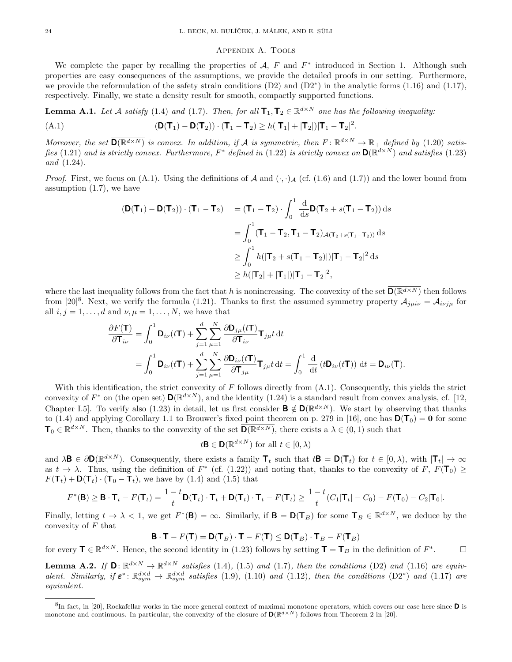## Appendix A. Tools

We complete the paper by recalling the properties of  $A$ ,  $F$  and  $F^*$  introduced in Section 1. Although such properties are easy consequences of the assumptions, we provide the detailed proofs in our setting. Furthermore, we provide the reformulation of the safety strain conditions (D2) and (D2<sup>∗</sup>) in the analytic forms (1.16) and (1.17), respectively. Finally, we state a density result for smooth, compactly supported functions.

**Lemma A.1.** Let A satisfy (1.4) and (1.7). Then, for all  $\mathbf{T}_1, \mathbf{T}_2 \in \mathbb{R}^{d \times N}$  one has the following inequality:

(A.1) 
$$
(\mathbf{D}(\mathbf{T}_1) - \mathbf{D}(\mathbf{T}_2)) \cdot (\mathbf{T}_1 - \mathbf{T}_2) \ge h(|\mathbf{T}_1| + |\mathbf{T}_2|)|\mathbf{T}_1 - \mathbf{T}_2|^2.
$$

Moreover, the set  $\overline{D(\mathbb{R}^{d\times N})}$  is convex. In addition, if A is symmetric, then  $F: \mathbb{R}^{d\times N} \to \mathbb{R}_+$  defined by (1.20) satisfies (1.21) and is strictly convex. Furthermore,  $F^*$  defined in (1.22) is strictly convex on  $\mathsf{D}(\mathbb{R}^{d\times N})$  and satisfies (1.23) and (1.24).

*Proof.* First, we focus on (A.1). Using the definitions of A and  $(\cdot, \cdot)_{\mathcal{A}}$  (cf. (1.6) and (1.7)) and the lower bound from assumption (1.7), we have

$$
(\mathbf{D}(\mathbf{T}_1) - \mathbf{D}(\mathbf{T}_2)) \cdot (\mathbf{T}_1 - \mathbf{T}_2) = (\mathbf{T}_1 - \mathbf{T}_2) \cdot \int_0^1 \frac{d}{ds} \mathbf{D}(\mathbf{T}_2 + s(\mathbf{T}_1 - \mathbf{T}_2)) ds
$$
  
\n
$$
= \int_0^1 (\mathbf{T}_1 - \mathbf{T}_2, \mathbf{T}_1 - \mathbf{T}_2) \mathcal{A}(\mathbf{T}_2 + s(\mathbf{T}_1 - \mathbf{T}_2)) ds
$$
  
\n
$$
\geq \int_0^1 h(|\mathbf{T}_2 + s(\mathbf{T}_1 - \mathbf{T}_2)|)|\mathbf{T}_1 - \mathbf{T}_2|^2 ds
$$
  
\n
$$
\geq h(|\mathbf{T}_2| + |\mathbf{T}_1|)|\mathbf{T}_1 - \mathbf{T}_2|^2,
$$

where the last inequality follows from the fact that h is nonincreasing. The convexity of the set  $\overline{D(R^{d\times N})}$  then follows from [20]<sup>8</sup>. Next, we verify the formula (1.21). Thanks to first the assumed symmetry property  $A_{j\mu i\nu} = A_{i\nu j\mu}$  for all  $i, j = 1, \ldots, d$  and  $\nu, \mu = 1, \ldots, N$ , we have that

$$
\frac{\partial F(\mathbf{T})}{\partial \mathbf{T}_{i\nu}} = \int_0^1 \mathbf{D}_{i\nu}(t\mathbf{T}) + \sum_{j=1}^d \sum_{\mu=1}^N \frac{\partial \mathbf{D}_{j\mu}(t\mathbf{T})}{\partial \mathbf{T}_{i\nu}} \mathbf{T}_{j\mu} t \, \mathrm{d}t \n= \int_0^1 \mathbf{D}_{i\nu}(t\mathbf{T}) + \sum_{j=1}^d \sum_{\mu=1}^N \frac{\partial \mathbf{D}_{i\nu}(t\mathbf{T})}{\partial \mathbf{T}_{j\mu}} \mathbf{T}_{j\mu} t \, \mathrm{d}t = \int_0^1 \frac{\mathrm{d}}{\mathrm{d}t} \left( t\mathbf{D}_{i\nu}(t\mathbf{T}) \right) \, \mathrm{d}t = \mathbf{D}_{i\nu}(\mathbf{T}).
$$

With this identification, the strict convexity of  $F$  follows directly from  $(A.1)$ . Consequently, this yields the strict convexity of  $F^*$  on (the open set)  $\mathbf{D}(\mathbb{R}^{d\times N})$ , and the identity (1.24) is a standard result from convex analysis, cf. [12, Chapter I.5. To verify also (1.23) in detail, let us first consider  $\mathbf{B} \notin \mathbf{D}(\mathbb{R}^{d \times N})$ . We start by observing that thanks to (1.4) and applying Corollary 1.1 to Brouwer's fixed point theorem on p. 279 in [16], one has  $\mathbf{D}(\mathbf{T}_0) = \mathbf{0}$  for some  $\mathbf{T}_0 \in \mathbb{R}^{d \times N}$ . Then, thanks to the convexity of the set  $\overline{\mathbf{D}(\mathbb{R}^{d \times N})}$ , there exists a  $\lambda \in (0,1)$  such that

$$
t\mathbf{B} \in \mathbf{D}(\mathbb{R}^{d \times N}) \text{ for all } t \in [0, \lambda)
$$

and  $\lambda \mathbf{B} \in \partial \mathbf{D}(\mathbb{R}^{d \times N})$ . Consequently, there exists a family  $\mathbf{T}_t$  such that  $t\mathbf{B} = \mathbf{D}(\mathbf{T}_t)$  for  $t \in [0, \lambda)$ , with  $|\mathbf{T}_t| \to \infty$ as  $t \to \lambda$ . Thus, using the definition of  $F^*$  (cf. (1.22)) and noting that, thanks to the convexity of  $F$ ,  $F(\mathbf{T}_0) \ge$  $F(\mathbf{T}_t) + \mathbf{D}(\mathbf{T}_t) \cdot (\mathbf{T}_0 - \mathbf{T}_t)$ , we have by (1.4) and (1.5) that

$$
F^*(\mathbf{B}) \geq \mathbf{B} \cdot \mathbf{T}_t - F(\mathbf{T}_t) = \frac{1-t}{t} \mathbf{D}(\mathbf{T}_t) \cdot \mathbf{T}_t + \mathbf{D}(\mathbf{T}_t) \cdot \mathbf{T}_t - F(\mathbf{T}_t) \geq \frac{1-t}{t} (C_1 |\mathbf{T}_t| - C_0) - F(\mathbf{T}_0) - C_2 |\mathbf{T}_0|.
$$

Finally, letting  $t \to \lambda < 1$ , we get  $F^*(\mathbf{B}) = \infty$ . Similarly, if  $\mathbf{B} = \mathbf{D}(\mathbf{T}_B)$  for some  $\mathbf{T}_B \in \mathbb{R}^{d \times N}$ , we deduce by the convexity of  $F$  that

 $\mathbf{B} \cdot \mathbf{T} - F(\mathbf{T}) = \mathbf{D}(\mathbf{T}_B) \cdot \mathbf{T} - F(\mathbf{T}) \leq \mathbf{D}(\mathbf{T}_B) \cdot \mathbf{T}_B - F(\mathbf{T}_B)$ 

for every  $\mathbf{T} \in \mathbb{R}^{d \times N}$ . Hence, the second identity in (1.23) follows by setting  $\mathbf{T} = \mathbf{T}_B$  in the definition of  $F^*$  $\Box$ 

**Lemma A.2.** If  $\mathbf{D}$ :  $\mathbb{R}^{d \times N} \to \mathbb{R}^{d \times N}$  satisfies (1.4), (1.5) and (1.7), then the conditions (D2) and (1.16) are equivalent. Similarly, if  $\varepsilon^* \colon \mathbb{R}^{d \times d}_{sym} \to \mathbb{R}^{d \times d}_{sym}$  satisfies (1.9), (1.10) and (1.12), then the conditions (D2<sup>∗</sup>) and (1.17) are equivalent.

 ${}^{8}$ In fact, in [20], Rockafellar works in the more general context of maximal monotone operators, which covers our case here since  $\bf{D}$  is monotone and continuous. In particular, the convexity of the closure of  $\mathbf{D}(\mathbb{R}^{d\times N})$  follows from Theorem 2 in [20].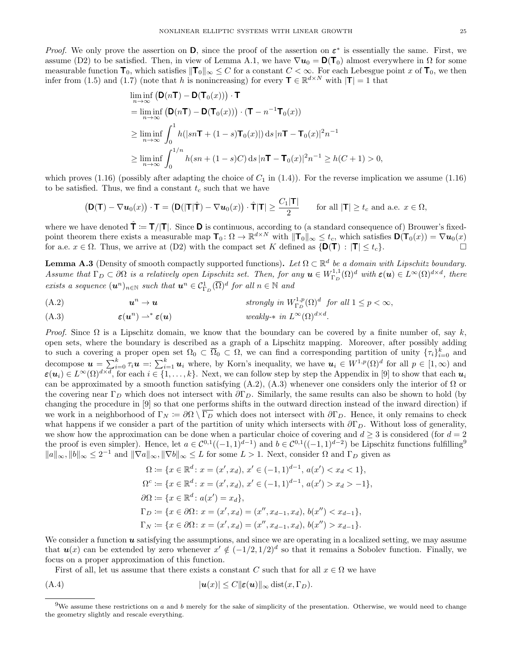*Proof.* We only prove the assertion on  $D$ , since the proof of the assertion on  $\varepsilon^*$  is essentially the same. First, we assume (D2) to be satisfied. Then, in view of Lemma A.1, we have  $\nabla u_0 = \mathbf{D}(\mathbf{T}_0)$  almost everywhere in  $\Omega$  for some measurable function  $\mathbf{T}_0$ , which satisfies  $\|\mathbf{T}_0\|_{\infty} \leq C$  for a constant  $C < \infty$ . For each Lebesgue point x of  $\mathbf{T}_0$ , we then infer from (1.5) and (1.7) (note that h is nonincreasing) for every  $\mathbf{T} \in \mathbb{R}^{d \times N}$  with  $|\mathbf{T}| = 1$  that

$$
\liminf_{n \to \infty} \left( \mathbf{D}(n\mathbf{T}) - \mathbf{D}(\mathbf{T}_0(x)) \right) \cdot \mathbf{T}
$$
\n
$$
= \liminf_{n \to \infty} \left( \mathbf{D}(n\mathbf{T}) - \mathbf{D}(\mathbf{T}_0(x)) \right) \cdot (\mathbf{T} - n^{-1}\mathbf{T}_0(x))
$$
\n
$$
\geq \liminf_{n \to \infty} \int_0^1 h(|sn\mathbf{T} + (1-s)\mathbf{T}_0(x)|) \, ds \, |n\mathbf{T} - \mathbf{T}_0(x)|^2 n^{-1}
$$
\n
$$
\geq \liminf_{n \to \infty} \int_0^{1/n} h(sn + (1-s)C) \, ds \, |n\mathbf{T} - \mathbf{T}_0(x)|^2 n^{-1} \geq h(C+1) > 0,
$$

which proves (1.16) (possibly after adapting the choice of  $C_1$  in (1.4)). For the reverse implication we assume (1.16) to be satisfied. Thus, we find a constant  $t_c$  such that we have

$$
\left(\mathbf{D}(\mathbf{T}) - \nabla \boldsymbol{u}_0(x)\right) \cdot \mathbf{T} = \left(\mathbf{D}(|\mathbf{T}|\hat{\mathbf{T}}) - \nabla \boldsymbol{u}_0(x)\right) \cdot \hat{\mathbf{T}}|\mathbf{T}| \ge \frac{C_1|\mathbf{T}|}{2} \quad \text{for all } |\mathbf{T}| \ge t_c \text{ and a.e. } x \in \Omega,
$$

where we have denoted  $\hat{\mathbf{T}} \coloneqq \mathbf{T}/|\mathbf{T}|$ . Since **D** is continuous, according to (a standard consequence of) Brouwer's fixedpoint theorem there exists a measurable map  $\mathbf{T}_0$ :  $\Omega \to \mathbb{R}^{d \times N}$  with  $\|\mathbf{T}_0\|_{\infty} \leq t_c$ , which satisfies  $\mathbf{D}(\mathbf{T}_0(x)) = \nabla u_0(x)$ for a.e.  $x \in \Omega$ . Thus, we arrive at (D2) with the compact set K defined as  $\{D(T) : |T| \le t_c\}$ .

**Lemma A.3** (Density of smooth compactly supported functions). Let  $\Omega \subset \mathbb{R}^d$  be a domain with Lipschitz boundary. Assume that  $\Gamma_D \subset \partial\Omega$  is a relatively open Lipschitz set. Then, for any  $\mathbf{u} \in W^{1,1}_{\Gamma_D}(\Omega)^d$  with  $\varepsilon(\mathbf{u}) \in L^{\infty}(\Omega)^{d \times d}$ , there exists a sequence  $(\mathbf{u}^n)_{n\in\mathbb{N}}$  such that  $\mathbf{u}^n \in \mathcal{C}^1_{\Gamma_D}(\overline{\Omega})^d$  for all  $n \in \mathbb{N}$  and

(A.2) 
$$
\mathbf{u}^n \to \mathbf{u} \qquad \qquad \text{strongly in } W_{\Gamma_D}^{1,p}(\Omega)^d \text{ for all } 1 \leq p < \infty,
$$

(A.3) 
$$
\boldsymbol{\varepsilon}(\boldsymbol{u}^n) \rightharpoonup^* \boldsymbol{\varepsilon}(\boldsymbol{u}) \qquad \text{weakly-* in } L^{\infty}(\Omega)^{d \times d}.
$$

Proof. Since  $\Omega$  is a Lipschitz domain, we know that the boundary can be covered by a finite number of, say k, open sets, where the boundary is described as a graph of a Lipschitz mapping. Moreover, after possibly adding to such a covering a proper open set  $\Omega_0 \subset \overline{\Omega}_0 \subset \Omega$ , we can find a corresponding partition of unity  $\{\tau_i\}_{i=0}^k$  and decompose  $u = \sum_{i=0}^{k} \tau_i u =: \sum_{i=1}^{k} u_i$  where, by Korn's inequality, we have  $u_i \in W^{1,p}(\Omega)^d$  for all  $p \in [1,\infty)$  and  $\boldsymbol{\varepsilon}(\boldsymbol{u}_i) \in L^{\infty}(\Omega)^{d \times d}$ , for each  $i \in \{1, \ldots, k\}$ . Next, we can follow step by step the Appendix in [9] to show that each  $\boldsymbol{u}_i$ can be approximated by a smooth function satisfying  $(A.2)$ ,  $(A.3)$  whenever one considers only the interior of  $\Omega$  or the covering near Γ<sub>D</sub> which does not intersect with  $\partial\Gamma_D$ . Similarly, the same results can also be shown to hold (by changing the procedure in [9] so that one performs shifts in the outward direction instead of the inward direction) if we work in a neighborhood of  $\Gamma_N := \partial\Omega \setminus \overline{\Gamma_D}$  which does not intersect with  $\partial\Gamma_D$ . Hence, it only remains to check what happens if we consider a part of the partition of unity which intersects with  $\partial\Gamma_D$ . Without loss of generality, we show how the approximation can be done when a particular choice of covering and  $d \geq 3$  is considered (for  $d = 2$ ) the proof is even simpler). Hence, let  $a \in C^{0,1}((-1,1)^{d-1})$  and  $b \in C^{0,1}((-1,1)^{d-2})$  be Lipschitz functions fulfilling<sup>9</sup>  $||a||_{\infty}, ||b||_{\infty} \leq 2^{-1}$  and  $||\nabla a||_{\infty}, ||\nabla b||_{\infty} \leq L$  for some  $L > 1$ . Next, consider  $\Omega$  and  $\Gamma_D$  given as

$$
\Omega := \{x \in \mathbb{R}^d : x = (x', x_d), x' \in (-1, 1)^{d-1}, a(x') < x_d < 1\},\
$$
\n
$$
\Omega^c := \{x \in \mathbb{R}^d : x = (x', x_d), x' \in (-1, 1)^{d-1}, a(x') > x_d > -1\},\
$$
\n
$$
\partial\Omega := \{x \in \mathbb{R}^d : a(x') = x_d\},\
$$
\n
$$
\Gamma_D := \{x \in \partial\Omega : x = (x', x_d) = (x'', x_{d-1}, x_d), b(x'') < x_{d-1}\},\
$$
\n
$$
\Gamma_N := \{x \in \partial\Omega : x = (x', x_d) = (x'', x_{d-1}, x_d), b(x'') > x_{d-1}\}.
$$

We consider a function  $u$  satisfying the assumptions, and since we are operating in a localized setting, we may assume that  $u(x)$  can be extended by zero whenever  $x' \notin (-1/2, 1/2)^d$  so that it remains a Sobolev function. Finally, we focus on a proper approximation of this function.

First of all, let us assume that there exists a constant C such that for all  $x \in \Omega$  we have

$$
|\mathbf{u}(x)| \le C \|\mathbf{\varepsilon}(\mathbf{u})\|_{\infty} \operatorname{dist}(x, \Gamma_D).
$$

 $9$ We assume these restrictions on a and b merely for the sake of simplicity of the presentation. Otherwise, we would need to change the geometry slightly and rescale everything.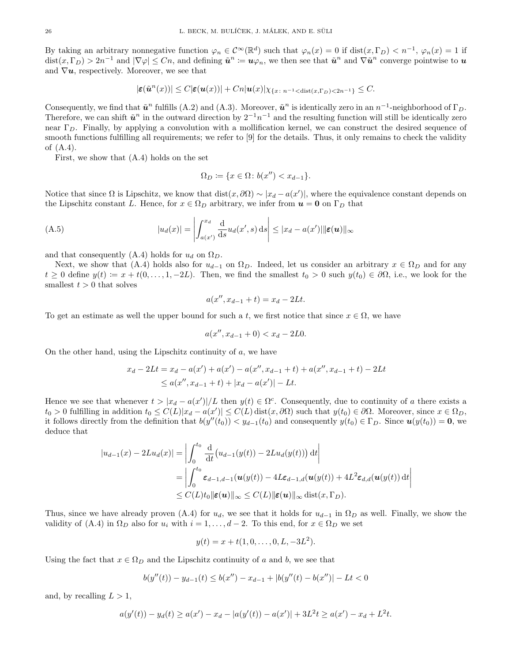By taking an arbitrary nonnegative function  $\varphi_n \in C^{\infty}(\mathbb{R}^d)$  such that  $\varphi_n(x) = 0$  if  $dist(x, \Gamma_D) < n^{-1}$ ,  $\varphi_n(x) = 1$  if  $dist(x, \Gamma_D) > 2n^{-1}$  and  $|\nabla \varphi| \leq Cn$ , and defining  $\tilde{u}^n := u\varphi_n$ , we then see that  $\tilde{u}^n$  and  $\nabla \tilde{u}^n$  converge pointwise to  $u$ and  $\nabla u$ , respectively. Moreover, we see that

$$
|\varepsilon(\tilde{u}^n(x))| \leq C |\varepsilon(u(x))| + Cn|u(x)| \chi_{\{x \colon n^{-1} < \text{dist}(x, \Gamma_D) < 2n^{-1}\}} \leq C.
$$

Consequently, we find that  $\tilde{u}^n$  fulfills (A.2) and (A.3). Moreover,  $\tilde{u}^n$  is identically zero in an  $n^{-1}$ -neighborhood of  $\Gamma_D$ . Therefore, we can shift  $\tilde{u}^n$  in the outward direction by  $2^{-1}n^{-1}$  and the resulting function will still be identically zero near  $\Gamma_D$ . Finally, by applying a convolution with a mollification kernel, we can construct the desired sequence of smooth functions fulfilling all requirements; we refer to [9] for the details. Thus, it only remains to check the validity of (A.4).

First, we show that (A.4) holds on the set

$$
\Omega_D \coloneqq \{ x \in \Omega \colon b(x'') < x_{d-1} \}.
$$

Notice that since  $\Omega$  is Lipschitz, we know that  $dist(x, \partial \Omega) \sim |x_d - a(x')|$ , where the equivalence constant depends on the Lipschitz constant L. Hence, for  $x \in \Omega_D$  arbitrary, we infer from  $u = 0$  on  $\Gamma_D$  that

(A.5) 
$$
|u_d(x)| = \left| \int_{a(x)}^{x_d} \frac{d}{ds} u_d(x',s) ds \right| \leq |x_d - a(x')| \|\varepsilon(u)\|_{\infty}
$$

and that consequently (A.4) holds for  $u_d$  on  $\Omega_D$ .

Next, we show that (A.4) holds also for  $u_{d-1}$  on  $\Omega_D$ . Indeed, let us consider an arbitrary  $x \in \Omega_D$  and for any  $t \geq 0$  define  $y(t) := x + t(0, \ldots, 1, -2L)$ . Then, we find the smallest  $t_0 > 0$  such  $y(t_0) \in \partial \Omega$ , i.e., we look for the smallest  $t > 0$  that solves

$$
a(x'', x_{d-1} + t) = x_d - 2Lt.
$$

To get an estimate as well the upper bound for such a t, we first notice that since  $x \in \Omega$ , we have

$$
a(x'', x_{d-1} + 0) < x_d - 2L0.
$$

On the other hand, using the Lipschitz continuity of a, we have

$$
x_d - 2Lt = x_d - a(x') + a(x') - a(x'', x_{d-1} + t) + a(x'', x_{d-1} + t) - 2Lt
$$
  
\n
$$
\leq a(x'', x_{d-1} + t) + |x_d - a(x')| - Lt.
$$

Hence we see that whenever  $t > |x_d - a(x')|/L$  then  $y(t) \in \Omega^c$ . Consequently, due to continuity of a there exists a  $t_0 > 0$  fulfilling in addition  $t_0 \le C(L)|x_d - a(x')| \le C(L)$  dist $(x, \partial \Omega)$  such that  $y(t_0) \in \partial \Omega$ . Moreover, since  $x \in \Omega_D$ , it follows directly from the definition that  $b(y''(t_0)) < y_{d-1}(t_0)$  and consequently  $y(t_0) \in \Gamma_D$ . Since  $u(y(t_0)) = 0$ , we deduce that

$$
|u_{d-1}(x) - 2Lu_d(x)| = \left| \int_0^{t_0} \frac{d}{dt} (u_{d-1}(y(t)) - 2Lu_d(y(t))) dt \right|
$$
  
= 
$$
\left| \int_0^{t_0} \varepsilon_{d-1,d-1}(\boldsymbol{u}(y(t)) - 4L\varepsilon_{d-1,d}(\boldsymbol{u}(y(t)) + 4L^2\varepsilon_{d,d}(\boldsymbol{u}(y(t))) dt \right|
$$
  

$$
\leq C(L)t_0 ||\boldsymbol{\varepsilon}(\boldsymbol{u})||_{\infty} \leq C(L) ||\boldsymbol{\varepsilon}(\boldsymbol{u})||_{\infty} \text{dist}(x, \Gamma_D).
$$

Thus, since we have already proven (A.4) for  $u_d$ , we see that it holds for  $u_{d-1}$  in  $\Omega_D$  as well. Finally, we show the validity of (A.4) in  $\Omega_D$  also for  $u_i$  with  $i = 1, \ldots, d - 2$ . To this end, for  $x \in \Omega_D$  we set

$$
y(t) = x + t(1, 0, \dots, 0, L, -3L^2).
$$

Using the fact that  $x \in \Omega_D$  and the Lipschitz continuity of a and b, we see that

$$
b(y''(t)) - y_{d-1}(t) \le b(x'') - x_{d-1} + |b(y''(t) - b(x'')| - Lt < 0
$$

and, by recalling  $L > 1$ ,

$$
a(y'(t)) - y_d(t) \ge a(x') - x_d - |a(y'(t)) - a(x')| + 3L^2t \ge a(x') - x_d + L^2t.
$$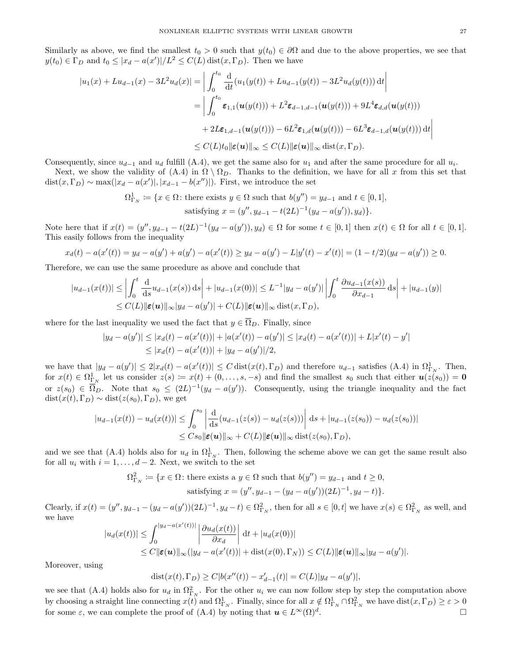Similarly as above, we find the smallest  $t_0 > 0$  such that  $y(t_0) \in \partial\Omega$  and due to the above properties, we see that  $y(t_0) \in \Gamma_D$  and  $t_0 \leq |x_d - a(x')|/L^2 \leq C(L) \text{dist}(x, \Gamma_D)$ . Then we have

$$
|u_1(x) + Lu_{d-1}(x) - 3L^2u_d(x)| = \left| \int_0^{t_0} \frac{d}{dt} (u_1(y(t)) + Lu_{d-1}(y(t)) - 3L^2u_d(y(t))) dt \right|
$$
  
\n
$$
= \left| \int_0^{t_0} \varepsilon_{1,1}(u(y(t))) + L^2\varepsilon_{d-1,d-1}(u(y(t))) + 9L^4\varepsilon_{d,d}(u(y(t)))
$$
  
\n
$$
+ 2L\varepsilon_{1,d-1}(u(y(t))) - 6L^2\varepsilon_{1,d}(u(y(t))) - 6L^3\varepsilon_{d-1,d}(u(y(t))) dt \right|
$$
  
\n
$$
\leq C(L)t_0 \|\varepsilon(u)\|_{\infty} \leq C(L) \|\varepsilon(u)\|_{\infty} \text{ dist}(x, \Gamma_D).
$$

Consequently, since  $u_{d-1}$  and  $u_d$  fulfill (A.4), we get the same also for  $u_1$  and after the same procedure for all  $u_i$ .

Next, we show the validity of  $(A.4)$  in  $\Omega \setminus \Omega_D$ . Thanks to the definition, we have for all x from this set that  $dist(x, \Gamma_D) \sim \max(|x_d - a(x')|, |x_{d-1} - b(x'')|)$ . First, we introduce the set

$$
\Omega^1_{\Gamma_N} := \{ x \in \Omega \colon \text{there exists } y \in \Omega \text{ such that } b(y'') = y_{d-1} \text{ and } t \in [0, 1],
$$
  
satisfying  $x = (y'', y_{d-1} - t(2L)^{-1}(y_d - a(y')), y_d) \}.$ 

Note here that if  $x(t) = (y'', y_{d-1} - t(2L)^{-1}(y_d - a(y')), y_d) \in \Omega$  for some  $t \in [0, 1]$  then  $x(t) \in \Omega$  for all  $t \in [0, 1]$ . This easily follows from the inequality

$$
x_d(t) - a(x'(t)) = y_d - a(y') + a(y') - a(x'(t)) \ge y_d - a(y') - L|y'(t) - x'(t)| = (1 - t/2)(y_d - a(y')) \ge 0.
$$

Therefore, we can use the same procedure as above and conclude that

$$
|u_{d-1}(x(t))| \leq \left| \int_0^t \frac{d}{ds} u_{d-1}(x(s)) ds \right| + |u_{d-1}(x(0))| \leq L^{-1} |y_d - a(y')| \left| \int_0^t \frac{\partial u_{d-1}(x(s))}{\partial x_{d-1}} ds \right| + |u_{d-1}(y)|
$$
  
\n
$$
\leq C(L) \|\varepsilon(\mathbf{u})\|_{\infty} |y_d - a(y')| + C(L) \|\varepsilon(\mathbf{u})\|_{\infty} \operatorname{dist}(x, \Gamma_D),
$$

where for the last inequality we used the fact that  $y \in \overline{\Omega}_D$ . Finally, since

$$
|y_d - a(y')| \le |x_d(t) - a(x'(t))| + |a(x'(t)) - a(y')| \le |x_d(t) - a(x'(t))| + L|x'(t) - y'|
$$
  
 
$$
\le |x_d(t) - a(x'(t))| + |y_d - a(y')|/2,
$$

we have that  $|y_d - a(y')| \leq 2|x_d(t) - a(x'(t))| \leq C \text{dist}(x(t), \Gamma_D)$  and therefore  $u_{d-1}$  satisfies (A.4) in  $\Omega_{\Gamma_N}^1$ . Then, for  $x(t) \in \Omega^1_{\Gamma_N}$  let us consider  $z(s) := x(t) + (0, \ldots, s, -s)$  and find the smallest  $s_0$  such that either  $u(z(s_0)) = 0$ or  $z(s_0) \in \overline{\Omega}_D$ . Note that  $s_0 \leq (2L)^{-1}(y_d - a(y'))$ . Consequently, using the triangle inequality and the fact  $dist(x(t), \Gamma_D) \sim dist(z(s_0), \Gamma_D)$ , we get

$$
|u_{d-1}(x(t)) - u_d(x(t))| \leq \int_0^{s_0} \left| \frac{d}{ds} (u_{d-1}(z(s)) - u_d(z(s))) \right| ds + |u_{d-1}(z(s_0)) - u_d(z(s_0))|
$$
  

$$
\leq C s_0 ||\mathbf{\varepsilon}(u)||_{\infty} + C(L) ||\mathbf{\varepsilon}(u)||_{\infty} \operatorname{dist}(z(s_0), \Gamma_D),
$$

and we see that (A.4) holds also for  $u_d$  in  $\Omega^1_{\Gamma_N}$ . Then, following the scheme above we can get the same result also for all  $u_i$  with  $i = 1, \ldots, d - 2$ . Next, we switch to the set

$$
\Omega_{\Gamma_N}^2 := \{ x \in \Omega \colon \text{there exists a } y \in \Omega \text{ such that } b(y'') = y_{d-1} \text{ and } t \ge 0, \\ \text{satisfying } x = (y'', y_{d-1} - (y_d - a(y'))(2L)^{-1}, y_d - t) \}.
$$

Clearly, if  $x(t) = (y'', y_{d-1} - (y_d - a(y'))(2L)^{-1}, y_d - t) \in \Omega_{\Gamma_N}^2$ , then for all  $s \in [0, t]$  we have  $x(s) \in \Omega_{\Gamma_N}^2$  as well, and we have

$$
|u_d(x(t))| \leq \int_0^{|y_d - a(x'(t))|} \left| \frac{\partial u_d(x(t))}{\partial x_d} \right| dt + |u_d(x(0))|
$$
  
\n
$$
\leq C ||\boldsymbol{\varepsilon}(\boldsymbol{u})||_{\infty} (|y_d - a(x'(t))| + \text{dist}(x(0), \Gamma_N)) \leq C(L) ||\boldsymbol{\varepsilon}(\boldsymbol{u})||_{\infty} |y_d - a(y')|.
$$

Moreover, using

$$
dist(x(t),\Gamma_D) \ge C|b(x''(t))-x_{d-1}'(t)|=C(L)|y_d-a(y')|,
$$

we see that (A.4) holds also for  $u_d$  in  $\Omega_{\Gamma_N}^2$ . For the other  $u_i$  we can now follow step by step the computation above by choosing a straight line connecting  $x(t)$  and  $\Omega_{\Gamma_N}^1$ . Finally, since for all  $x \notin \Omega_{\Gamma_N}^1 \cap \Omega_{\Gamma_N}^2$  we have  $dist(x, \Gamma_D) \geq \varepsilon > 0$ for some  $\varepsilon$ , we can complete the proof of (A.4) by noting that  $u \in L^{\infty}(\Omega)^d$ . .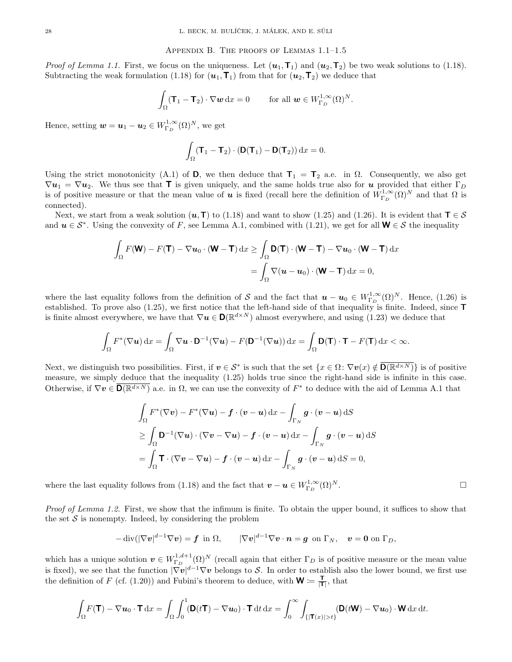### Appendix B. The proofs of Lemmas 1.1–1.5

*Proof of Lemma 1.1.* First, we focus on the uniqueness. Let  $(\mathbf{u}_1, \mathbf{T}_1)$  and  $(\mathbf{u}_2, \mathbf{T}_2)$  be two weak solutions to (1.18). Subtracting the weak formulation (1.18) for  $(\mathbf{u}_1, \mathbf{T}_1)$  from that for  $(\mathbf{u}_2, \mathbf{T}_2)$  we deduce that

$$
\int_{\Omega} (\mathbf{T}_1 - \mathbf{T}_2) \cdot \nabla \mathbf{w} \,dx = 0 \qquad \text{for all } \mathbf{w} \in W^{1,\infty}_{\Gamma_D}(\Omega)^N.
$$

Hence, setting  $\boldsymbol{w} = \boldsymbol{u}_1 - \boldsymbol{u}_2 \in W^{1,\infty}_{\Gamma_D}(\Omega)^N$ , we get

$$
\int_{\Omega} (\mathbf{T}_1 - \mathbf{T}_2) \cdot (\mathbf{D}(\mathbf{T}_1) - \mathbf{D}(\mathbf{T}_2)) dx = 0.
$$

Using the strict monotonicity (A.1) of D, we then deduce that  $T_1 = T_2$  a.e. in  $\Omega$ . Consequently, we also get  $\nabla u_1 = \nabla u_2$ . We thus see that **T** is given uniquely, and the same holds true also for **u** provided that either  $\Gamma_D$ is of positive measure or that the mean value of **u** is fixed (recall here the definition of  $W^{1,\infty}_{\Gamma_D}(\Omega)^N$  and that  $\Omega$  is connected).

Next, we start from a weak solution  $(u, T)$  to (1.18) and want to show (1.25) and (1.26). It is evident that  $T \in S$ and  $u \in S^*$ . Using the convexity of F, see Lemma A.1, combined with (1.21), we get for all  $W \in S$  the inequality

$$
\int_{\Omega} F(\mathbf{W}) - F(\mathbf{T}) - \nabla u_0 \cdot (\mathbf{W} - \mathbf{T}) \, dx \ge \int_{\Omega} \mathbf{D}(\mathbf{T}) \cdot (\mathbf{W} - \mathbf{T}) - \nabla u_0 \cdot (\mathbf{W} - \mathbf{T}) \, dx
$$
\n
$$
= \int_{\Omega} \nabla (\mathbf{u} - \mathbf{u}_0) \cdot (\mathbf{W} - \mathbf{T}) \, dx = 0,
$$

where the last equality follows from the definition of S and the fact that  $u - u_0 \in W^{1,\infty}_{\Gamma_D}(\Omega)^N$ . Hence, (1.26) is established. To prove also  $(1.25)$ , we first notice that the left-hand side of that inequality is finite. Indeed, since  $\blacksquare$ is finite almost everywhere, we have that  $\nabla u \in \mathbf{D}(\mathbb{R}^{d\times N})$  almost everywhere, and using (1.23) we deduce that

$$
\int_{\Omega} F^*(\nabla \mathbf{u}) \, dx = \int_{\Omega} \nabla \mathbf{u} \cdot \mathbf{D}^{-1}(\nabla \mathbf{u}) - F(\mathbf{D}^{-1}(\nabla \mathbf{u})) \, dx = \int_{\Omega} \mathbf{D}(\mathbf{T}) \cdot \mathbf{T} - F(\mathbf{T}) \, dx < \infty.
$$

Next, we distinguish two possibilities. First, if  $v \in S^*$  is such that the set  $\{x \in \Omega : \nabla v(x) \notin \overline{\mathsf{D}(\mathbb{R}^{d \times N})}\}$  is of positive measure, we simply deduce that the inequality (1.25) holds true since the right-hand side is infinite in this case. Otherwise, if  $\nabla v \in \overline{\mathbf{D}(\mathbb{R}^{d\times N})}$  a.e. in  $\Omega$ , we can use the convexity of  $F^*$  to deduce with the aid of Lemma A.1 that

$$
\int_{\Omega} F^*(\nabla v) - F^*(\nabla u) - \mathbf{f} \cdot (\mathbf{v} - \mathbf{u}) \, dx - \int_{\Gamma_N} \mathbf{g} \cdot (\mathbf{v} - \mathbf{u}) \, dS
$$
\n
$$
\geq \int_{\Omega} \mathbf{D}^{-1}(\nabla u) \cdot (\nabla v - \nabla u) - \mathbf{f} \cdot (\mathbf{v} - \mathbf{u}) \, dx - \int_{\Gamma_N} \mathbf{g} \cdot (\mathbf{v} - \mathbf{u}) \, dS
$$
\n
$$
= \int_{\Omega} \mathbf{T} \cdot (\nabla v - \nabla u) - \mathbf{f} \cdot (\mathbf{v} - \mathbf{u}) \, dx - \int_{\Gamma_N} \mathbf{g} \cdot (\mathbf{v} - \mathbf{u}) \, dS = 0,
$$

where the last equality follows from (1.18) and the fact that  $\mathbf{v} - \mathbf{u} \in W^{1,\infty}_{\Gamma_D}(\Omega)^N$ .

Proof of Lemma 1.2. First, we show that the infimum is finite. To obtain the upper bound, it suffices to show that the set  $S$  is nonempty. Indeed, by considering the problem

$$
-\operatorname{div}(|\nabla v|^{d-1}\nabla v)=\mathbf{f}\,\,\text{ in }\,\Omega,\qquad |\nabla v|^{d-1}\nabla v\cdot\mathbf{n}=\mathbf{g}\,\,\text{ on }\Gamma_N,\quad v=\mathbf{0}\,\,\text{on }\Gamma_D,
$$

which has a unique solution  $v oldsymbol{v} \in W_{\Gamma_D}^{1,d+1}(\Omega)^N$  (recall again that either  $\Gamma_D$  is of positive measure or the mean value is fixed), we see that the function  $|\nabla v|^{d-1}\nabla v$  belongs to S. In order to establish also the lower bound, we first use the definition of F (cf. (1.20)) and Fubini's theorem to deduce, with  $\mathbf{W} := \frac{\mathbf{T}}{|\mathbf{T}|}$ , that

$$
\int_{\Omega} F(\mathbf{T}) - \nabla u_0 \cdot \mathbf{T} \, dx = \int_{\Omega} \int_0^1 (\mathbf{D}(t\mathbf{T}) - \nabla u_0) \cdot \mathbf{T} \, dt \, dx = \int_0^\infty \int_{\{|\mathbf{T}(x)| > t\}} (\mathbf{D}(t\mathbf{W}) - \nabla u_0) \cdot \mathbf{W} \, dx \, dt.
$$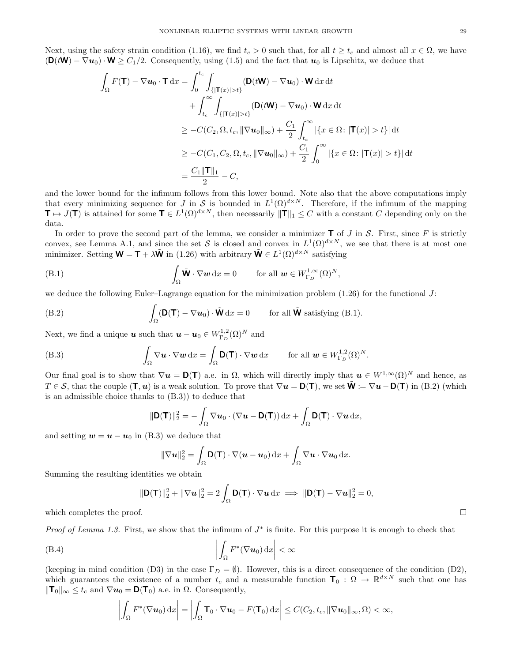Next, using the safety strain condition (1.16), we find  $t_c > 0$  such that, for all  $t \geq t_c$  and almost all  $x \in \Omega$ , we have  $(\mathbf{D}(t\mathbf{W}) - \nabla u_0) \cdot \mathbf{W} \geq C_1/2$ . Consequently, using (1.5) and the fact that  $u_0$  is Lipschitz, we deduce that

$$
\int_{\Omega} F(\mathbf{T}) - \nabla u_0 \cdot \mathbf{T} dx = \int_0^{t_c} \int_{\{|\mathbf{T}(x)| > t\}} (\mathbf{D}(t\mathbf{W}) - \nabla u_0) \cdot \mathbf{W} dx dt \n+ \int_{t_c}^{\infty} \int_{\{|\mathbf{T}(x)| > t\}} (\mathbf{D}(t\mathbf{W}) - \nabla u_0) \cdot \mathbf{W} dx dt \n\geq -C(C_2, \Omega, t_c, \|\nabla u_0\|_{\infty}) + \frac{C_1}{2} \int_{t_c}^{\infty} |\{x \in \Omega : |\mathbf{T}(x)| > t\}| dt \n\geq -C(C_1, C_2, \Omega, t_c, \|\nabla u_0\|_{\infty}) + \frac{C_1}{2} \int_0^{\infty} |\{x \in \Omega : |\mathbf{T}(x)| > t\}| dt \n= \frac{C_1 \|\mathbf{T}\|_1}{2} - C,
$$

and the lower bound for the infimum follows from this lower bound. Note also that the above computations imply that every minimizing sequence for J in S is bounded in  $L^1(\Omega)^{d\times N}$ . Therefore, if the infimum of the mapping  $\mathbf{T} \mapsto J(\mathbf{T})$  is attained for some  $\mathbf{T} \in L^1(\Omega)^{d \times N}$ , then necessarily  $\|\mathbf{T}\|_1 \leq C$  with a constant C depending only on the data.

In order to prove the second part of the lemma, we consider a minimizer  $\mathsf T$  of J in S. First, since F is strictly convex, see Lemma A.1, and since the set S is closed and convex in  $L^1(\Omega)^{d\times N}$ , we see that there is at most one minimizer. Setting  $\mathbf{W} = \mathbf{T} + \lambda \tilde{\mathbf{W}}$  in (1.26) with arbitrary  $\tilde{\mathbf{W}} \in L^1(\Omega)^{d \times N}$  satisfying

(B.1) 
$$
\int_{\Omega} \tilde{\mathbf{W}} \cdot \nabla \mathbf{w} \, dx = 0 \quad \text{for all } \mathbf{w} \in W_{\Gamma_D}^{1,\infty}(\Omega)^N,
$$

we deduce the following Euler–Lagrange equation for the minimization problem  $(1.26)$  for the functional J:

(B.2) 
$$
\int_{\Omega} (\mathbf{D}(\mathbf{T}) - \nabla \mathbf{u}_0) \cdot \tilde{\mathbf{W}} \, dx = 0 \quad \text{for all } \tilde{\mathbf{W}} \text{ satisfying (B.1)}.
$$

Next, we find a unique  $\boldsymbol{u}$  such that  $\boldsymbol{u} - \boldsymbol{u}_0 \in W_{{\Gamma}_D}^{1,2}(\Omega)^N$  and

(B.3) 
$$
\int_{\Omega} \nabla \mathbf{u} \cdot \nabla \mathbf{w} \,dx = \int_{\Omega} \mathbf{D}(\mathbf{T}) \cdot \nabla \mathbf{w} \,dx \quad \text{for all } \mathbf{w} \in W_{\Gamma_D}^{1,2}(\Omega)^N.
$$

Our final goal is to show that  $\nabla u = D(T)$  a.e. in  $\Omega$ , which will directly imply that  $u \in W^{1,\infty}(\Omega)^N$  and hence, as  $T \in \mathcal{S}$ , that the couple  $(\mathbf{T}, \mathbf{u})$  is a weak solution. To prove that  $\nabla \mathbf{u} = \mathbf{D}(\mathbf{T})$ , we set  $\tilde{\mathbf{W}} \coloneqq \nabla \mathbf{u} - \mathbf{D}(\mathbf{T})$  in (B.2) (which is an admissible choice thanks to (B.3)) to deduce that

$$
\|\mathbf{D}(\mathbf{T})\|_2^2 = -\int_{\Omega} \nabla \boldsymbol{u}_0 \cdot (\nabla \boldsymbol{u} - \mathbf{D}(\mathbf{T})) \, \mathrm{d}x + \int_{\Omega} \mathbf{D}(\mathbf{T}) \cdot \nabla \boldsymbol{u} \, \mathrm{d}x,
$$

and setting  $w = u - u_0$  in (B.3) we deduce that

$$
\|\nabla \mathbf{u}\|_2^2 = \int_{\Omega} \mathbf{D}(\mathbf{T}) \cdot \nabla (\mathbf{u} - \mathbf{u}_0) \,dx + \int_{\Omega} \nabla \mathbf{u} \cdot \nabla \mathbf{u}_0 \,dx.
$$

Summing the resulting identities we obtain

$$
\|\mathbf{D}(\mathbf{T})\|_2^2 + \|\nabla \mathbf{u}\|_2^2 = 2 \int_{\Omega} \mathbf{D}(\mathbf{T}) \cdot \nabla \mathbf{u} \, \mathrm{d}x \implies \|\mathbf{D}(\mathbf{T}) - \nabla \mathbf{u}\|_2^2 = 0,
$$

which completes the proof.  $\square$ 

Proof of Lemma 1.3. First, we show that the infimum of  $J^*$  is finite. For this purpose it is enough to check that

(B.4) 
$$
\left| \int_{\Omega} F^*(\nabla u_0) \, \mathrm{d}x \right| < \infty
$$

(keeping in mind condition (D3) in the case  $\Gamma_D = \emptyset$ ). However, this is a direct consequence of the condition (D2), which guarantees the existence of a number  $t_c$  and a measurable function  $\mathbf{T}_0 : \Omega \to \mathbb{R}^{d \times N}$  such that one has  $\|\mathbf{T}_0\|_{\infty} \leq t_c$  and  $\nabla u_0 = \mathbf{D}(\mathbf{T}_0)$  a.e. in  $\Omega$ . Consequently,

$$
\left|\int_{\Omega} F^*(\nabla \boldsymbol{u}_0) \,dx\right| = \left|\int_{\Omega} \boldsymbol{T}_0 \cdot \nabla \boldsymbol{u}_0 - F(\boldsymbol{T}_0) \,dx\right| \leq C(C_2, t_c, \|\nabla \boldsymbol{u}_0\|_{\infty}, \Omega) < \infty,
$$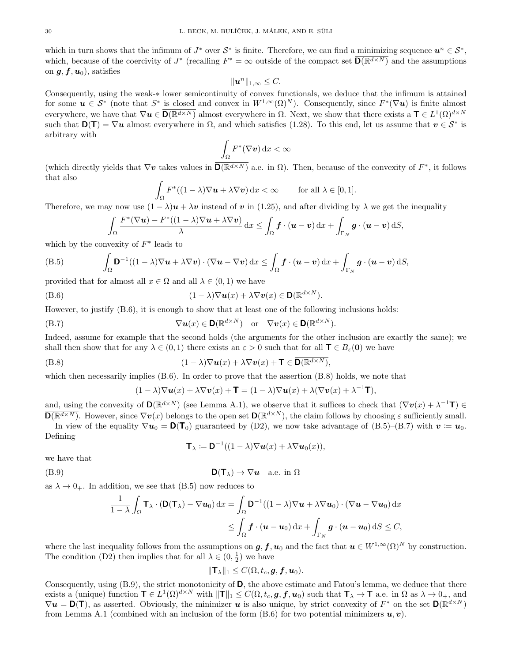which in turn shows that the infimum of  $J^*$  over  $S^*$  is finite. Therefore, we can find a minimizing sequence  $u^n \in S^*$ , which, because of the coercivity of  $J^*$  (recalling  $F^* = \infty$  outside of the compact set  $\overline{D(\mathbb{R}^{d \times N})}$  and the assumptions on  $g, f, u_0$ , satisfies

$$
\|\boldsymbol{u}^n\|_{1,\infty}\leq C.
$$

Consequently, using the weak-∗ lower semicontinuity of convex functionals, we deduce that the infimum is attained for some  $u \in S^*$  (note that  $S^*$  is closed and convex in  $W^{1,\infty}(\Omega)^N$ ). Consequently, since  $F^*(\nabla u)$  is finite almost everywhere, we have that  $\nabla u \in \overline{\mathsf{D}(\mathbb{R}^{d\times N})}$  almost everywhere in  $\Omega$ . Next, we show that there exists a  $\mathsf{T} \in L^1(\Omega)^{d\times N}$ such that  $D(T) = \nabla u$  almost everywhere in  $\Omega$ , and which satisfies (1.28). To this end, let us assume that  $v \in S^*$  is arbitrary with

$$
\int_{\Omega} F^*(\nabla v) \, \mathrm{d}x < \infty
$$

(which directly yields that  $\nabla v$  takes values in  $\overline{D(R^{d\times N})}$  a.e. in  $\Omega$ ). Then, because of the convexity of  $F^*$ , it follows that also

$$
\int_{\Omega} F^*((1-\lambda)\nabla \mathbf{u} + \lambda \nabla \mathbf{v}) \, \mathrm{d}x < \infty \qquad \text{for all } \lambda \in [0,1].
$$

Therefore, we may now use  $(1 - \lambda)\mathbf{u} + \lambda \mathbf{v}$  instead of v in (1.25), and after dividing by  $\lambda$  we get the inequality

$$
\int_{\Omega} \frac{F^*(\nabla \boldsymbol{u}) - F^*((1-\lambda)\nabla \boldsymbol{u} + \lambda \nabla \boldsymbol{v})}{\lambda} dx \leq \int_{\Omega} \boldsymbol{f} \cdot (\boldsymbol{u} - \boldsymbol{v}) dx + \int_{\Gamma_N} \boldsymbol{g} \cdot (\boldsymbol{u} - \boldsymbol{v}) dS,
$$

which by the convexity of  $F^*$  leads to

(B.5) 
$$
\int_{\Omega} \mathbf{D}^{-1}((1-\lambda)\nabla \mathbf{u} + \lambda \nabla \mathbf{v}) \cdot (\nabla \mathbf{u} - \nabla \mathbf{v}) \,dx \leq \int_{\Omega} \mathbf{f} \cdot (\mathbf{u} - \mathbf{v}) \,dx + \int_{\Gamma_N} \mathbf{g} \cdot (\mathbf{u} - \mathbf{v}) \,dS,
$$

provided that for almost all  $x \in \Omega$  and all  $\lambda \in (0,1)$  we have

(B.6) 
$$
(1 - \lambda)\nabla \mathbf{u}(x) + \lambda \nabla \mathbf{v}(x) \in \mathbf{D}(\mathbb{R}^{d \times N}).
$$

However, to justify (B.6), it is enough to show that at least one of the following inclusions holds:

(B.7) 
$$
\nabla u(x) \in \mathbf{D}(\mathbb{R}^{d \times N}) \text{ or } \nabla v(x) \in \mathbf{D}(\mathbb{R}^{d \times N}).
$$

Indeed, assume for example that the second holds (the arguments for the other inclusion are exactly the same); we shall then show that for any  $\lambda \in (0,1)$  there exists an  $\varepsilon > 0$  such that for all  $\mathbf{T} \in B_{\varepsilon}(\mathbf{0})$  we have

(B.8) 
$$
(1 - \lambda)\nabla u(x) + \lambda \nabla v(x) + \mathbf{T} \in \overline{\mathbf{D}(\mathbb{R}^{d \times N})},
$$

which then necessarily implies  $(B.6)$ . In order to prove that the assertion  $(B.8)$  holds, we note that

$$
(1 - \lambda)\nabla \mathbf{u}(x) + \lambda \nabla \mathbf{v}(x) + \mathbf{T} = (1 - \lambda)\nabla \mathbf{u}(x) + \lambda(\nabla \mathbf{v}(x) + \lambda^{-1}\mathbf{T}),
$$

and, using the convexity of  $\overline{D(R^{d\times N})}$  (see Lemma A.1), we observe that it suffices to check that  $(\nabla v(x) + \lambda^{-1}T) \in$  $\overline{\mathbf{D}(\mathbb{R}^{d\times N})}$ . However, since  $\nabla \mathbf{v}(x)$  belongs to the open set  $\mathbf{D}(\mathbb{R}^{d\times N})$ , the claim follows by choosing  $\varepsilon$  sufficiently small. In view of the equality  $\nabla u_0 = \mathsf{D}(\mathsf{T}_0)$  guaranteed by (D2), we now take advantage of (B.5)–(B.7) with  $v := u_0$ .

Defining

$$
\mathbf{T}_{\lambda} \coloneqq \mathbf{D}^{-1}((1-\lambda)\nabla \mathbf{u}(x) + \lambda \nabla \mathbf{u}_0(x)),
$$

we have that

$$
D(T_{\lambda}) \to \nabla u \quad \text{a.e. in } \Omega
$$

as  $\lambda \to 0_+$ . In addition, we see that (B.5) now reduces to

$$
\frac{1}{1-\lambda} \int_{\Omega} \mathbf{T}_{\lambda} \cdot (\mathbf{D}(\mathbf{T}_{\lambda}) - \nabla \boldsymbol{u}_{0}) dx = \int_{\Omega} \mathbf{D}^{-1}((1-\lambda)\nabla \boldsymbol{u} + \lambda \nabla \boldsymbol{u}_{0}) \cdot (\nabla \boldsymbol{u} - \nabla \boldsymbol{u}_{0}) dx
$$
  
\$\leq \int\_{\Omega} \boldsymbol{f} \cdot (\boldsymbol{u} - \boldsymbol{u}\_{0}) dx + \int\_{\Gamma\_{N}} \boldsymbol{g} \cdot (\boldsymbol{u} - \boldsymbol{u}\_{0}) dS \leq C\$,

where the last inequality follows from the assumptions on  $g, f, u_0$  and the fact that  $u \in W^{1,\infty}(\Omega)^N$  by construction. The condition (D2) then implies that for all  $\lambda \in (0, \frac{1}{2})$  we have

$$
\|\mathbf{T}_{\lambda}\|_{1} \leq C(\Omega,t_{c},\mathbf{g},\mathbf{f},\mathbf{u}_{0}).
$$

Consequently, using  $(B.9)$ , the strict monotonicity of  $D$ , the above estimate and Fatou's lemma, we deduce that there exists a (unique) function  $\mathbf{T} \in L^1(\Omega)^{d \times N}$  with  $\|\mathbf{T}\|_1 \leq C(\Omega, t_c, \mathbf{g}, \mathbf{f}, \mathbf{u}_0)$  such that  $\mathbf{T}_{\lambda} \to \mathbf{T}$  a.e. in  $\Omega$  as  $\lambda \to 0_+$ , and  $\nabla u = \mathsf{D}(\mathsf{T})$ , as asserted. Obviously, the minimizer u is also unique, by strict convexity of  $F^*$  on the set  $\mathsf{D}(\mathbb{R}^{d\times N})$ from Lemma A.1 (combined with an inclusion of the form  $(B.6)$  for two potential minimizers  $u, v$ ).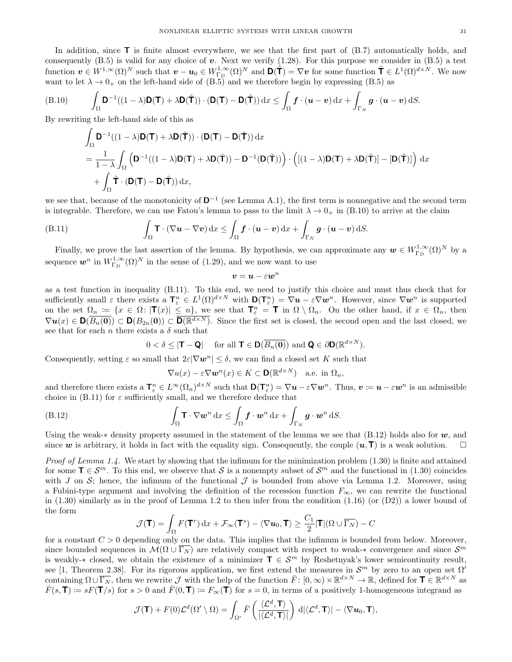In addition, since  $\mathsf{T}$  is finite almost everywhere, we see that the first part of  $(B.7)$  automatically holds, and consequently  $(B.5)$  is valid for any choice of v. Next we verify  $(1.28)$ . For this purpose we consider in  $(B.5)$  a test function  $\mathbf{v} \in W^{1,\infty}(\Omega)^N$  such that  $\mathbf{v} - \mathbf{u}_0 \in W^{1,\infty}_{\Gamma_D}(\Omega)^N$  and  $\mathbf{D}(\tilde{\mathbf{T}}) = \nabla \mathbf{v}$  for some function  $\tilde{\mathbf{T}} \in L^1(\Omega)^{d \times N}$ . We now want to let  $\lambda \to 0_+$  on the left-hand side of (B.5) and we therefore begin by expressing (B.5) as

(B.10) 
$$
\int_{\Omega} \mathbf{D}^{-1}((1-\lambda)\mathbf{D}(\mathbf{T})+\lambda\mathbf{D}(\tilde{\mathbf{T}}))\cdot(\mathbf{D}(\mathbf{T})-\mathbf{D}(\tilde{\mathbf{T}}))\,\mathrm{d}x \leq \int_{\Omega} \mathbf{f}\cdot(\mathbf{u}-\mathbf{v})\,\mathrm{d}x + \int_{\Gamma_N} \mathbf{g}\cdot(\mathbf{u}-\mathbf{v})\,\mathrm{d}S.
$$

By rewriting the left-hand side of this as

$$
\int_{\Omega} \mathbf{D}^{-1}((1-\lambda)\mathbf{D}(\mathbf{T}) + \lambda \mathbf{D}(\tilde{\mathbf{T}})) \cdot (\mathbf{D}(\mathbf{T}) - \mathbf{D}(\tilde{\mathbf{T}})) dx \n= \frac{1}{1-\lambda} \int_{\Omega} (\mathbf{D}^{-1}((1-\lambda)\mathbf{D}(\mathbf{T}) + \lambda \mathbf{D}(\tilde{\mathbf{T}})) - \mathbf{D}^{-1}(\mathbf{D}(\tilde{\mathbf{T}}))) \cdot ((1-\lambda)\mathbf{D}(\mathbf{T}) + \lambda \mathbf{D}(\tilde{\mathbf{T}})) - [\mathbf{D}(\tilde{\mathbf{T}})] ) dx \n+ \int_{\Omega} \tilde{\mathbf{T}} \cdot (\mathbf{D}(\mathbf{T}) - \mathbf{D}(\tilde{\mathbf{T}})) dx,
$$

we see that, because of the monotonicity of  $\mathbf{D}^{-1}$  (see Lemma A.1), the first term is nonnegative and the second term is integrable. Therefore, we can use Fatou's lemma to pass to the limit  $\lambda \to 0_+$  in (B.10) to arrive at the claim

(B.11) 
$$
\int_{\Omega} \mathbf{T} \cdot (\nabla \boldsymbol{u} - \nabla \boldsymbol{v}) \, dx \leq \int_{\Omega} \boldsymbol{f} \cdot (\boldsymbol{u} - \boldsymbol{v}) \, dx + \int_{\Gamma_N} \boldsymbol{g} \cdot (\boldsymbol{u} - \boldsymbol{v}) \, dS.
$$

Finally, we prove the last assertion of the lemma. By hypothesis, we can approximate any  $w \in W^{1,\infty}_{\Gamma_D}(\Omega)^N$  by a sequence  $w^n$  in  $W_{\Gamma_D}^{1,\infty}(\Omega)^N$  in the sense of (1.29), and we now want to use

$$
\bm{v}=\bm{u}-\varepsilon\bm{w}^n
$$

as a test function in inequality (B.11). To this end, we need to justify this choice and must thus check that for sufficiently small  $\varepsilon$  there exists a  $\mathbf{T}_{\varepsilon}^n \in L^1(\Omega)^{d \times N}$  with  $\mathbf{D}(\mathbf{T}_{\varepsilon}^n) = \nabla u - \varepsilon \nabla w^n$ . However, since  $\nabla w^n$  is supported on the set  $\Omega_n := \{x \in \Omega : |\mathbf{T}(x)| \leq n\}$ , we see that  $\mathbf{T}_\varepsilon^n = \mathbf{T}$  in  $\Omega \setminus \Omega_n$ . On the other hand, if  $x \in \Omega_n$ , then  $\nabla u(x) \in \mathsf{D}(\overline{B_n(0)}) \subset \mathsf{D}(B_{2n}(0)) \subset \overline{\mathsf{D}(\mathbb{R}^{d\times N})}$ . Since the first set is closed, the second open and the last closed, we see that for each n there exists a  $\delta$  such that

$$
0 < \delta \le |\mathbf{T} - \mathbf{Q}| \quad \text{ for all } \mathbf{T} \in \mathbf{D}(\overline{B_n(\mathbf{0})}) \text{ and } \mathbf{Q} \in \partial \mathbf{D}(\mathbb{R}^{d \times N}).
$$

Consequently, setting  $\varepsilon$  so small that  $2\varepsilon|\nabla w^n|\leq \delta$ , we can find a closed set K such that

$$
\nabla u(x) - \varepsilon \nabla \boldsymbol{w}^n(x) \in K \subset \mathbf{D}(\mathbb{R}^{d \times N}) \quad \text{a.e. in } \Omega_n,
$$

and therefore there exists a  $\mathbf{T}_{\varepsilon}^n \in L^{\infty}(\Omega_n)^{d \times N}$  such that  $\mathbf{D}(\mathbf{T}_{\varepsilon}^n) = \nabla u - \varepsilon \nabla w^n$ . Thus,  $v \coloneqq u - \varepsilon w^n$  is an admissible choice in  $(B.11)$  for  $\varepsilon$  sufficiently small, and we therefore deduce that

$$
\int_{\Omega} \mathbf{T} \cdot \nabla \mathbf{w}^n \, dx \le \int_{\Omega} \mathbf{f} \cdot \mathbf{w}^n \, dx + \int_{\Gamma_N} \mathbf{g} \cdot \mathbf{w}^n \, dS.
$$

Using the weak-∗ density property assumed in the statement of the lemma we see that  $(B.12)$  holds also for w, and since w is arbitrary, it holds in fact with the equality sign. Consequently, the couple  $(u, T)$  is a weak solution.  $\Box$ 

*Proof of Lemma 1.4.* We start by showing that the infimum for the minimization problem  $(1.30)$  is finite and attained for some  $\mathsf{T} \in \mathcal{S}^m$ . To this end, we observe that S is a nonempty subset of  $\mathcal{S}^m$  and the functional in (1.30) coincides with J on S; hence, the infimum of the functional  $\mathcal J$  is bounded from above via Lemma 1.2. Moreover, using a Fubini-type argument and involving the definition of the recession function  $F_{\infty}$ , we can rewrite the functional in  $(1.30)$  similarly as in the proof of Lemma 1.2 to then infer from the condition  $(1.16)$  (or  $(D2)$ ) a lower bound of the form

$$
\mathcal{J}(\mathbf{T}) = \int_{\Omega} F(\mathbf{T}^r) dx + \mathcal{F}_{\infty}(\mathbf{T}^s) - \langle \nabla \mathbf{u}_0, \mathbf{T} \rangle \ge \frac{C_1}{2} |\mathbf{T}| (\Omega \cup \overline{\Gamma_N}) - C
$$

for a constant  $C > 0$  depending only on the data. This implies that the infimum is bounded from below. Moreover, since bounded sequences in  $\mathcal{M}(\Omega \cup \overline{\Gamma_N})$  are relatively compact with respect to weak-\* convergence and since  $\mathcal{S}^m$ is weakly-∗ closed, we obtain the existence of a minimizer  $\mathbf{T} \in \mathcal{S}^m$  by Reshetnyak's lower semicontinuity result, see [1, Theorem 2.38]. For its rigorous application, we first extend the measures in  $\mathcal{S}^m$  by zero to an open set  $\Omega'$ containing  $\Omega \cup \overline{\Gamma_N}$ , then we rewrite  $\mathcal J$  with the help of the function  $\bar F \colon [0,\infty) \times \mathbb R^{d \times N} \to \mathbb R$ , defined for  $\mathbf T \in \mathbb R^{d \times N}$  as  $\overline{F}(s,T) \coloneqq sF(T/s)$  for  $s > 0$  and  $\overline{F}(0,T) \coloneqq F_{\infty}(T)$  for  $s = 0$ , in terms of a positively 1-homogeneous integrand as

$$
\mathcal{J}(\mathbf{T}) + F(0)\mathcal{L}^d(\Omega' \setminus \Omega) = \int_{\Omega'} \bar{F}\left(\frac{\langle \mathcal{L}^d, \mathbf{T} \rangle}{|\langle \mathcal{L}^d, \mathbf{T} \rangle|}\right) \, \mathrm{d} |\langle \mathcal{L}^d, \mathbf{T} \rangle| - \langle \nabla \boldsymbol{u}_0, \mathbf{T} \rangle,
$$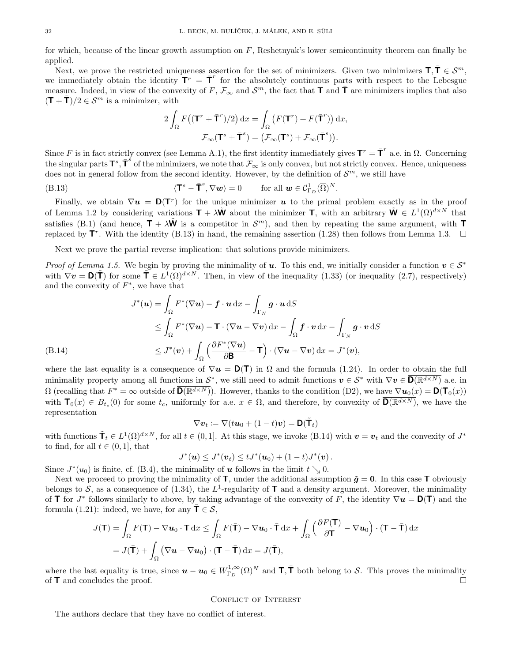for which, because of the linear growth assumption on  $F$ , Reshetnyak's lower semicontinuity theorem can finally be applied.

Next, we prove the restricted uniqueness assertion for the set of minimizers. Given two minimizers  $\mathbf{T}, \mathbf{T} \in \mathcal{S}^m$ , we immediately obtain the identity  $T^r = \overline{T}^r$  for the absolutely continuous parts with respect to the Lebesgue measure. Indeed, in view of the convexity of F,  $\mathcal{F}_{\infty}$  and  $\mathcal{S}^{m}$ , the fact that  $\overline{\mathbf{T}}$  and  $\overline{\mathbf{T}}$  are minimizers implies that also  $({\bf T} + \bar{{\bf T}})/2 \in \mathcal{S}^m$  is a minimizer, with

$$
2\int_{\Omega} F\big((\mathbf{T}^r + \bar{\mathbf{T}}^r)/2\big) \, \mathrm{d}x = \int_{\Omega} \big(F(\mathbf{T}^r) + F(\bar{\mathbf{T}}^r)\big) \, \mathrm{d}x,
$$

$$
\mathcal{F}_{\infty}(\mathbf{T}^s + \bar{\mathbf{T}}^s) = \big(\mathcal{F}_{\infty}(\mathbf{T}^s) + \mathcal{F}_{\infty}(\bar{\mathbf{T}}^s)\big).
$$

Since F is in fact strictly convex (see Lemma A.1), the first identity immediately gives  $T^r = \overline{T}^r$  a.e. in  $\Omega$ . Concerning the singular parts  $\mathsf{T}^s$ ,  $\bar{\mathsf{T}}^s$  of the minimizers, we note that  $\mathcal{F}_{\infty}$  is only convex, but not strictly convex. Hence, uniqueness does not in general follow from the second identity. However, by the definition of  $\mathcal{S}^m$ , we still have

(B.13) 
$$
\langle \mathbf{T}^s - \overline{\mathbf{T}}^s, \nabla \mathbf{w} \rangle = 0 \quad \text{for all } \mathbf{w} \in \mathcal{C}^1_{\Gamma_D}(\overline{\Omega})^N.
$$

Finally, we obtain  $\nabla u = \mathsf{D}(\mathsf{T}^r)$  for the unique minimizer u to the primal problem exactly as in the proof of Lemma 1.2 by considering variations  $\mathbf{T} + \lambda \tilde{\mathbf{W}}$  about the minimizer  $\mathbf{T}$ , with an arbitrary  $\tilde{\mathbf{W}} \in L^1(\Omega)^{d \times N}$  that satisfies (B.1) (and hence,  $T + \lambda \tilde{W}$  is a competitor in  $\mathcal{S}^m$ ), and then by repeating the same argument, with T replaced by  $\mathbf{T}^r$ . With the identity (B.13) in hand, the remaining assertion (1.28) then follows from Lemma 1.3.  $\Box$ 

Next we prove the partial reverse implication: that solutions provide minimizers.

*Proof of Lemma 1.5.* We begin by proving the minimality of u. To this end, we initially consider a function  $v \in S^*$ with  $\nabla v = \mathbf{D}(\tilde{\mathbf{T}})$  for some  $\tilde{\mathbf{T}} \in L^1(\Omega)^{d \times N}$ . Then, in view of the inequality (1.33) (or inequality (2.7), respectively) and the convexity of  $F^*$ , we have that

$$
J^*(u) = \int_{\Omega} F^*(\nabla u) - \mathbf{f} \cdot u \, dx - \int_{\Gamma_N} \mathbf{g} \cdot u \, dS
$$
  
\n
$$
\leq \int_{\Omega} F^*(\nabla u) - \mathbf{T} \cdot (\nabla u - \nabla v) \, dx - \int_{\Omega} \mathbf{f} \cdot v \, dx - \int_{\Gamma_N} \mathbf{g} \cdot v \, dS
$$
  
\n(B.14)  
\n
$$
\leq J^*(v) + \int_{\Omega} \left( \frac{\partial F^*(\nabla u)}{\partial \mathbf{B}} - \mathbf{T} \right) \cdot (\nabla u - \nabla v) \, dx = J^*(v),
$$

where the last equality is a consequence of  $\nabla u = D(T)$  in  $\Omega$  and the formula (1.24). In order to obtain the full minimality property among all functions in  $S^*$ , we still need to admit functions  $v \in S^*$  with  $\nabla v \in \overline{D(\mathbb{R}^{d\times N})}$  a.e. in  $\Omega$  (recalling that  $F^* = \infty$  outside of  $\overline{\mathsf{D}(\mathbb{R}^{d\times N})}$ ). However, thanks to the condition (D2), we have  $\nabla u_0(x) = \mathsf{D}(\mathsf{T}_0(x))$ with  $\mathbf{T}_0(x) \in B_{t_c}(0)$  for some  $t_c$ , uniformly for a.e.  $x \in \Omega$ , and therefore, by convexity of  $\overline{\mathbf{D}(\mathbb{R}^{d\times N})}$ , we have the representation

$$
\nabla v_t \coloneqq \nabla(t\mathbf{u}_0 + (1-t)\mathbf{v}) = \mathbf{D}(\tilde{\mathbf{T}}_t)
$$

with functions  $\tilde{\mathbf{T}}_t \in L^1(\Omega)^{d \times N}$ , for all  $t \in (0,1]$ . At this stage, we invoke (B.14) with  $\mathbf{v} = \mathbf{v}_t$  and the convexity of  $J^*$ to find, for all  $t \in (0, 1]$ , that

$$
J^*(u) \leq J^*(v_t) \leq tJ^*(u_0) + (1-t)J^*(v).
$$

Since  $J^*(u_0)$  is finite, cf. (B.4), the minimality of **u** follows in the limit  $t \searrow 0$ .

Next we proceed to proving the minimality of  $\mathbf{T}$ , under the additional assumption  $\tilde{\boldsymbol{q}} = \boldsymbol{0}$ . In this case  $\mathbf{T}$  obviously belongs to S, as a consequence of (1.34), the L<sup>1</sup>-regularity of  $\mathsf T$  and a density argument. Moreover, the minimality of **T** for  $J^*$  follows similarly to above, by taking advantage of the convexity of F, the identity  $\nabla u = D(T)$  and the formula (1.21): indeed, we have, for any  $\mathbf{T} \in \mathcal{S}$ ,

$$
J(\mathbf{T}) = \int_{\Omega} F(\mathbf{T}) - \nabla u_0 \cdot \mathbf{T} \, dx \le \int_{\Omega} F(\bar{\mathbf{T}}) - \nabla u_0 \cdot \bar{\mathbf{T}} \, dx + \int_{\Omega} \left( \frac{\partial F(\mathbf{T})}{\partial \mathbf{T}} - \nabla u_0 \right) \cdot (\mathbf{T} - \bar{\mathbf{T}}) \, dx
$$

$$
= J(\bar{\mathbf{T}}) + \int_{\Omega} \left( \nabla u - \nabla u_0 \right) \cdot (\mathbf{T} - \bar{\mathbf{T}}) \, dx = J(\bar{\mathbf{T}}),
$$

where the last equality is true, since  $u - u_0 \in W^{1,\infty}_{\Gamma_D}(\Omega)^N$  and  $\mathsf{T}, \bar{\mathsf{T}}$  both belong to S. This proves the minimality of  $\mathsf{T}$  and concludes the proof.

### Conflict of Interest

The authors declare that they have no conflict of interest.